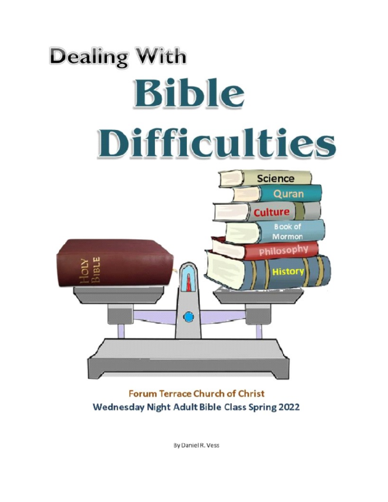

**Forum Terrace Church of Christ** Wednesday Night Adult Bible Class Spring 2022

**By Daniel R. Vess**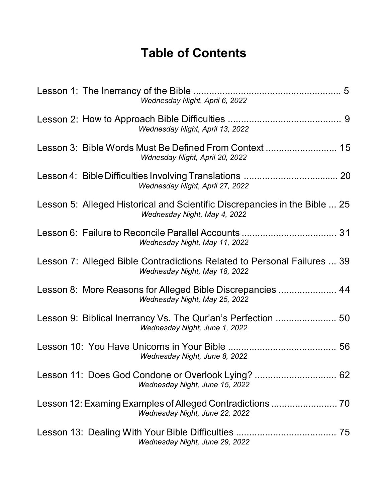# **Table of Contents**

| Wednesday Night, April 6, 2022                                                                             |
|------------------------------------------------------------------------------------------------------------|
| Wednesday Night, April 13, 2022                                                                            |
| Wdnesday Night, April 20, 2022                                                                             |
| Wednesday Night, April 27, 2022                                                                            |
| Lesson 5: Alleged Historical and Scientific Discrepancies in the Bible  25<br>Wednesday Night, May 4, 2022 |
| Wednesday Night, May 11, 2022                                                                              |
| Lesson 7: Alleged Bible Contradictions Related to Personal Failures  39<br>Wednesday Night, May 18, 2022   |
| Lesson 8: More Reasons for Alleged Bible Discrepancies  44<br>Wednesday Night, May 25, 2022                |
| Wednesday Night, June 1, 2022                                                                              |
| 56<br>Wednesday Night, June 8, 2022                                                                        |
| Wednesday Night, June 15, 2022                                                                             |
| Wednesday Night, June 22, 2022                                                                             |
| Wednesday Night, June 29, 2022                                                                             |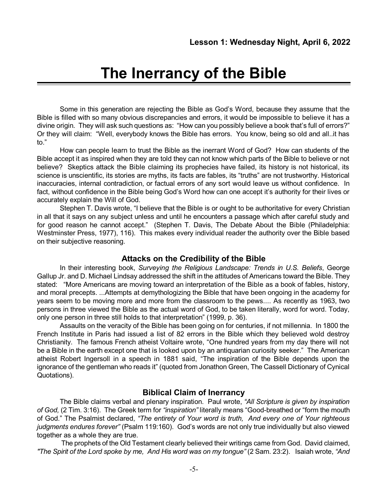# **The Inerrancy of the Bible**

Some in this generation are rejecting the Bible as God's Word, because they assume that the Bible is filled with so many obvious discrepancies and errors, it would be impossible to believe it has a divine origin. They will ask such questions as: "How can you possibly believe a book that's full of errors?" Or they will claim: "Well, everybody knows the Bible has errors. You know, being so old and all..it has to."

How can people learn to trust the Bible as the inerrant Word of God? How can students of the Bible accept it as inspired when they are told they can not know which parts of the Bible to believe or not believe? Skeptics attack the Bible claiming its prophecies have failed, its history is not historical, its science is unscientific, its stories are myths, its facts are fables, its "truths" are not trustworthy. Historical inaccuracies, internal contradiction, or factual errors of any sort would leave us without confidence. In fact, without confidence in the Bible being God's Word how can one accept it's authority for their lives or accurately explain the Will of God.

Stephen T. Davis wrote, "I believe that the Bible is or ought to be authoritative for every Christian in all that it says on any subject unless and until he encounters a passage which after careful study and for good reason he cannot accept." (Stephen T. Davis, The Debate About the Bible (Philadelphia: Westminster Press, 1977), 116). This makes every individual reader the authority over the Bible based on their subjective reasoning.

#### **Attacks on the Credibility of the Bible**

In their interesting book, *Surveying the Religious Landscape: Trends in U.S. Beliefs*, George Gallup Jr. and D. Michael Lindsay addressed the shift in the attitudes of Americans toward the Bible. They stated: "More Americans are moving toward an interpretation of the Bible as a book of fables, history, and moral precepts. ...Attempts at demythologizing the Bible that have been ongoing in the academy for years seem to be moving more and more from the classroom to the pews.... As recently as 1963, two persons in three viewed the Bible as the actual word of God, to be taken literally, word for word. Today, only one person in three still holds to that interpretation" (1999, p. 36).

Assaults on the veracity of the Bible has been going on for centuries, if not millennia. In 1800 the French Institute in Paris had issued a list of 82 errors in the Bible which they believed wold destroy Christianity. The famous French atheist Voltaire wrote, "One hundred years from my day there will not be a Bible in the earth except one that is looked upon by an antiquarian curiosity seeker." The American atheist Robert Ingersoll in a speech in 1881 said, "The inspiration of the Bible depends upon the ignorance of the gentleman who reads it" (quoted from Jonathon Green, The Cassell Dictionary of Cynical Quotations).

#### **Biblical Claim of Inerrancy**

The Bible claims verbal and plenary inspiration. Paul wrote, *"All Scripture is given by inspiration of God,* (2 Tim. 3:16). The Greek term for *"inspiration"* literally means "Good-breathed or "form the mouth of God." The Psalmist declared, *"The entirety of Your word is truth, And every one of Your righteous judgments endures forever"* (Psalm 119:160). God's words are not only true individually but also viewed together as a whole they are true.

The prophets of the Old Testament clearly believed their writings came from God. David claimed, *"The Spirit of the Lord spoke by me, And His word was on my tongue"* (2 Sam. 23:2). Isaiah wrote, *"And*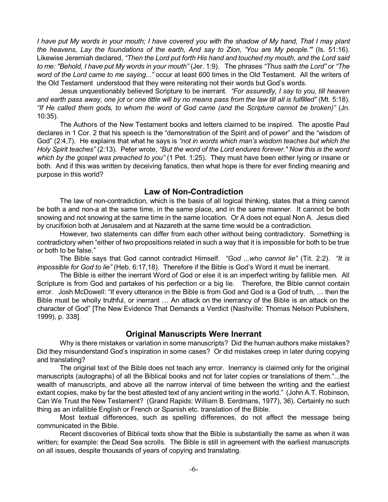I have put My words in your mouth; I have covered you with the shadow of My hand, That I may plant *the heavens, Lay the foundations of the earth, And say to Zion, 'You are My people.'"* (Is. 51:16). Likewise Jeremiah declared, *"Then the Lord put forth His hand and touched my mouth, and the Lord said to me: "Behold, I have put My words in your mouth"* (Jer. 1:9). The phrases *"Thus saith the Lord"* or *"The word of the Lord came to me saying..."* occur at least 600 times in the Old Testament. All the writers of the Old Testament understood that they were reiterating not their words but God's words.

Jesus unquestionably believed Scripture to be inerrant. *"For assuredly, I say to you, till heaven* and earth pass away, one jot or one tittle will by no means pass from the law till all is fulfilled" (Mt. 5:18). *"If He called them gods, to whom the word of God came (and the Scripture cannot be broken)"* (Jn. 10:35).

The Authors of the New Testament books and letters claimed to be inspired. The apostle Paul declares in 1 Cor. 2 that his speech is the "demonstration of the Spirit and of power" and the "wisdom of God" (2:4,7). He explains that what he says is *"not in words which man's wisdom teaches but which the Holy Spirit teaches"* (2:13). Peter wrote, *"But the word of the Lord endures forever." Now this is the word which by the gospel was preached to you"* (1 Pet. 1:25). They must have been either lying or insane or both. And if this was written by deceiving fanatics, then what hope is there for ever finding meaning and purpose in this world?

#### **Law of Non-Contradiction**

The law of non-contradiction, which is the basis of all logical thinking, states that a thing cannot be both a and non-a at the same time, in the same place, and in the same manner. It cannot be both snowing and not snowing at the same time in the same location. Or A does not equal Non A. Jesus died by crucifixion both at Jerusalem and at Nazareth at the same time would be a contradiction.

However, two statements can differ from each other without being contradictory. Something is contradictory when "either of two propositions related in such a way that it is impossible for both to be true or both to be false."

The Bible says that God cannot contradict Himself. *"God ...who cannot lie"* (Tit. 2:2). *"It is impossible for God to lie"* (Heb. 6:17,18). Therefore if the Bible is God's Word it must be inerrant.

The Bible is either the inerrant Word of God or else it is an imperfect writing by fallible men. All Scripture is from God and partakes of his perfection or a big lie. Therefore, the Bible cannot contain error. Josh McDowell: "If every utterance in the Bible is from God and God is a God of truth, … then the Bible must be wholly truthful, or inerrant … An attack on the inerrancy of the Bible is an attack on the character of God" [The New Evidence That Demands a Verdict (Nashville: Thomas Nelson Publishers, 1999), p. 338].

#### **Original Manuscripts Were Inerrant**

Why is there mistakes or variation in some manuscripts? Did the human authors make mistakes? Did they misunderstand God's inspiration in some cases? Or did mistakes creep in later during copying and translating?

The original text of the Bible does not teach any error. Inerrancy is claimed only for the original manuscripts (autographs) of all the Biblical books and not for later copies or translations of them."...the wealth of manuscripts, and above all the narrow interval of time between the writing and the earliest extant copies, make by far the best attested text of any ancient writing in the world." (John A.T. Robinson, Can We Trust the New Testament? (Grand Rapids: William B. Eerdmans, 1977), 36). Certainly no such thing as an infallible English or French or Spanish etc. translation of the Bible.

Most textual differences, such as spelling differences, do not affect the message being communicated in the Bible.

Recent discoveries of Biblical texts show that the Bible is substantially the same as when it was written; for example: the Dead Sea scrolls. The Bible is still in agreement with the earliest manuscripts on all issues, despite thousands of years of copying and translating.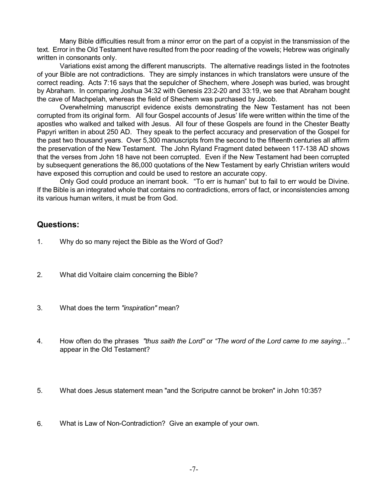Many Bible difficulties result from a minor error on the part of a copyist in the transmission of the text. Error in the Old Testament have resulted from the poor reading of the vowels; Hebrew was originally written in consonants only.

Variations exist among the different manuscripts. The alternative readings listed in the footnotes of your Bible are not contradictions. They are simply instances in which translators were unsure of the correct reading. Acts 7:16 says that the sepulcher of Shechem, where Joseph was buried, was brought by Abraham. In comparing Joshua 34:32 with Genesis 23:2-20 and 33:19, we see that Abraham bought the cave of Machpelah, whereas the field of Shechem was purchased by Jacob.

Overwhelming manuscript evidence exists demonstrating the New Testament has not been corrupted from its original form. All four Gospel accounts of Jesus' life were written within the time of the apostles who walked and talked with Jesus. All four of these Gospels are found in the Chester Beatty Papyri written in about 250 AD. They speak to the perfect accuracy and preservation of the Gospel for the past two thousand years. Over 5,300 manuscripts from the second to the fifteenth centuries all affirm the preservation of the New Testament. The John Ryland Fragment dated between 117-138 AD shows that the verses from John 18 have not been corrupted. Even if the New Testament had been corrupted by subsequent generations the 86,000 quotations of the New Testament by early Christian writers would have exposed this corruption and could be used to restore an accurate copy.

Only God could produce an inerrant book. "To err is human" but to fail to err would be Divine. If the Bible is an integrated whole that contains no contradictions, errors of fact, or inconsistencies among its various human writers, it must be from God.

#### **Questions:**

- 1. Why do so many reject the Bible as the Word of God?
- 2. What did Voltaire claim concerning the Bible?
- 3. What does the term *"inspiration"* mean?
- 4. How often do the phrases *"thus saith the Lord"* or *"The word of the Lord came to me saying..."* appear in the Old Testament?
- 5. What does Jesus statement mean "and the Scriputre cannot be broken" in John 10:35?
- 6. What is Law of Non-Contradiction? Give an example of your own.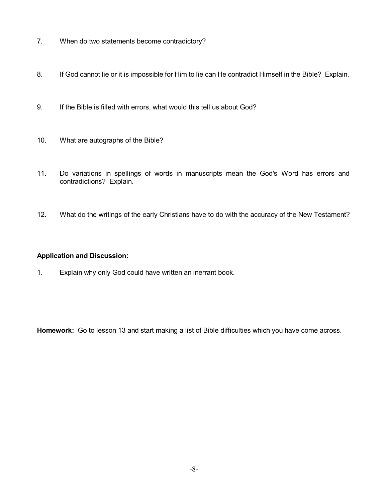- 7. When do two statements become contradictory?
- 8. If God cannot lie or it is impossible for Him to lie can He contradict Himself in the Bible? Explain.
- 9. If the Bible is filled with errors, what would this tell us about God?
- 10. What are autographs of the Bible?
- 11. Do variations in spellings of words in manuscripts mean the God's Word has errors and contradictions? Explain.
- 12. What do the writings of the early Christians have to do with the accuracy of the New Testament?

#### **Application and Discussion:**

1. Explain why only God could have written an inerrant book.

**Homework:** Go to lesson 13 and start making a list of Bible difficulties which you have come across.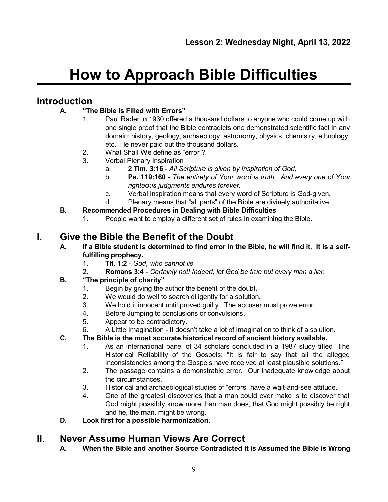# **How to Approach Bible Difficulties**

# **Introduction**

## **A. "The Bible is Filled with Errors"**

- 1. Paul Rader in 1930 offered a thousand dollars to anyone who could come up with one single proof that the Bible contradicts one demonstrated scientific fact in any domain: history, geology, archaeology, astronomy, physics, chemistry, ethnology, etc. He never paid out the thousand dollars.
- 2. What Shall We define as "error"?
- 3. Verbal Plenary Inspiration
	- a. **2 Tim. 3:16** *All Scripture is given by inspiration of God,*
	- b. **Ps. 119:160** *The entirety of Your word is truth, And every one of Your righteous judgments endures forever.*
	- c. Verbal inspiration means that every word of Scripture is God-given.
	- d. Plenary means that "all parts" of the Bible are divinely authoritative.
- **B. Recommended Procedures in Dealing with Bible Difficulties**
	- 1. People want to employ a different set of rules in examining the Bible.

# **I. Give the Bible the Benefit of the Doubt**

- A. If a Bible student is determined to find error in the Bible, he will find it. It is a self**fulfilling prophecy.**
	- 1. **Tit. 1:2** *God, who cannot lie*
	- 2. **Romans 3:4** *Certainly not! Indeed, let God be true but every man a liar.*

## **B. "The principle of charity"**

- 1. Begin by giving the author the benefit of the doubt.
- 2. We would do well to search diligently for a solution.
- 3. We hold it innocent until proved guilty. The accuser must prove error.
- 4. Before Jumping to conclusions or convulsions.
- 5. Appear to be contradictory.
- 6. A Little Imagination It doesn't take a lot of imagination to think of a solution.
- **C. The Bible is the most accurate historical record of ancient history available.**
	- 1. As an international panel of 34 scholars concluded in a 1987 study titled "The Historical Reliability of the Gospels: "It is fair to say that all the alleged inconsistencies among the Gospels have received at least plausible solutions."
	- 2. The passage contains a demonstrable error. Our inadequate knowledge about the circumstances.
	- 3. Historical and archaeological studies of "errors" have a wait-and-see attitude.
	- 4. One of the greatest discoveries that a man could ever make is to discover that God might possibly know more than man does, that God might possibly be right and he, the man, might be wrong.
- **D. Look first for a possible harmonization.**

# **II. Never Assume Human Views Are Correct**

**A. When the Bible and another Source Contradicted it is Assumed the Bible is Wrong**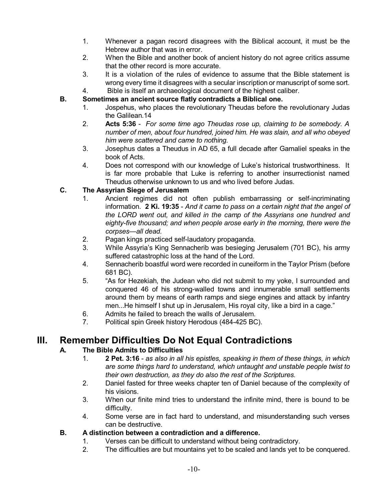- 1. Whenever a pagan record disagrees with the Biblical account, it must be the Hebrew author that was in error.
- 2. When the Bible and another book of ancient history do not agree critics assume that the other record is more accurate.
- 3. It is a violation of the rules of evidence to assume that the Bible statement is wrong every time it disagrees with a secular inscription or manuscript of some sort.
- 4. Bible is itself an archaeological document of the highest caliber.

#### **B. Sometimes an ancient source flatly contradicts a Biblical one.**

- 1. Jospehus, who places the revolutionary Theudas before the revolutionary Judas the Galilean.14
- 2. **Acts 5:36** *For some time ago Theudas rose up, claiming to be somebody. A number of men, about four hundred, joined him. He was slain, and all who obeyed him were scattered and came to nothing.*
- 3. Josephus dates a Theudus in AD 65, a full decade after Gamaliel speaks in the book of Acts.
- 4. Does not correspond with our knowledge of Luke's historical trustworthiness. It is far more probable that Luke is referring to another insurrectionist named Theudus otherwise unknown to us and who lived before Judas.

#### **C. The Assyrian Siege of Jerusalem**

- 1. Ancient regimes did not often publish embarrassing or self-incriminating information. **2 Ki. 19:35** - *And it came to pass on a certain night that the angel of the LORD went out, and killed in the camp of the Assyrians one hundred and eighty-five thousand; and when people arose early in the morning, there were the corpses—all dead.*
- 2. Pagan kings practiced self-laudatory propaganda.
- 3. While Assyria's King Sennacherib was besieging Jerusalem (701 BC), his army suffered catastrophic loss at the hand of the Lord.
- 4. Sennacherib boastful word were recorded in cuneiform in the Taylor Prism (before 681 BC).
- 5. "As for Hezekiah, the Judean who did not submit to my yoke, I surrounded and conquered 46 of his strong-walled towns and innumerable small settlements around them by means of earth ramps and siege engines and attack by infantry men...He himself I shut up in Jerusalem, His royal city, like a bird in a cage."
- 6. Admits he failed to breach the walls of Jerusalem.
- 7. Political spin Greek history Herodous (484-425 BC).

# **III. Remember Difficulties Do Not Equal Contradictions**

#### **A. The Bible Admits to Difficulties**

- 1. **2 Pet. 3:16** *as also in all his epistles, speaking in them of these things, in which are some things hard to understand, which untaught and unstable people twist to their own destruction, as they do also the rest of the Scriptures.*
- 2. Daniel fasted for three weeks chapter ten of Daniel because of the complexity of his visions.
- 3. When our finite mind tries to understand the infinite mind, there is bound to be difficulty.
- 4. Some verse are in fact hard to understand, and misunderstanding such verses can be destructive.

#### **B. A distinction between a contradiction and a difference.**

- 1. Verses can be difficult to understand without being contradictory.
- 2. The difficulties are but mountains yet to be scaled and lands yet to be conquered.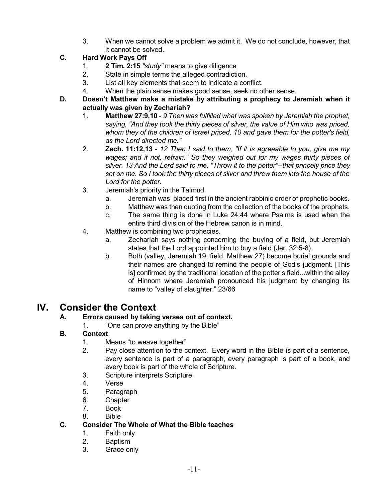3. When we cannot solve a problem we admit it. We do not conclude, however, that it cannot be solved.

## **C. Hard Work Pays Off**

- 1. **2 Tim. 2:15** *"study"* means to give diligence
- 2. State in simple terms the alleged contradiction.
- 3. List all key elements that seem to indicate a conflict.
- 4. When the plain sense makes good sense, seek no other sense.
- **D. Doesn't Matthew make a mistake by attributing a prophecy to Jeremiah when it actually was given by Zechariah?**
	- 1. **Matthew 27:9,10** *9 Then was fulfilled what was spoken by Jeremiah the prophet, saying, "And they took the thirty pieces of silver, the value of Him who was priced, whom they of the children of Israel priced, 10 and gave them for the potter's field, as the Lord directed me."*
	- 2. **Zech. 11:12,13** *12 Then I said to them, "If it is agreeable to you, give me my wages; and if not, refrain." So they weighed out for my wages thirty pieces of silver. 13 And the Lord said to me, "Throw it to the potter"--that princely price they set on me. So I took the thirty pieces of silver and threw them into the house of the Lord for the potter.*
	- 3. Jeremiah's priority in the Talmud.
		- a. Jeremiah was placed first in the ancient rabbinic order of prophetic books.
		- b. Matthew was then quoting from the collection of the books of the prophets.
		- c. The same thing is done in Luke 24:44 where Psalms is used when the entire third division of the Hebrew canon is in mind.
	- 4. Matthew is combining two prophecies.
		- a. Zechariah says nothing concerning the buying of a field, but Jeremiah states that the Lord appointed him to buy a field (Jer. 32:5-8).
		- b. Both (valley, Jeremiah 19; field, Matthew 27) become burial grounds and their names are changed to remind the people of God's judgment. [This is] confirmed by the traditional location of the potter's field...within the alley of Hinnom where Jeremiah pronounced his judgment by changing its name to "valley of slaughter." 23/66

# **IV. Consider the Context**

## **A. Errors caused by taking verses out of context.**

1. "One can prove anything by the Bible"

## **B. Context**

- 1. Means "to weave together"
- 2. Pay close attention to the context. Every word in the Bible is part of a sentence, every sentence is part of a paragraph, every paragraph is part of a book, and every book is part of the whole of Scripture.
- 3. Scripture interprets Scripture.
- 4. Verse
- 5. Paragraph
- 6. Chapter
- 7. Book
- 8. Bible

#### **C. Consider The Whole of What the Bible teaches**

- 1. Faith only
- 2. Baptism
- 3. Grace only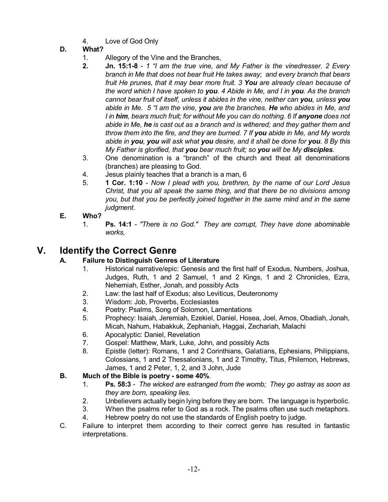- 4. Love of God Only
- **D. What?**
	- 1. Allegory of the Vine and the Branches,
	- **2. Jn. 15:1-8** *1 "I am the true vine, and My Father is the vinedresser. 2 Every branch in Me that does not bear fruit He takes away; and every branch that bears fruit He prunes, that it may bear more fruit. 3 You are already clean because of* the word which I have spoken to you. 4 Abide in Me, and I in you. As the branch *cannot bear fruit of itself, unless it abides in the vine, neither can you, unless you abide in Me. 5 "I am the vine, you are the branches. He who abides in Me, and I in him, bears much fruit; for without Me you can do nothing. 6 If anyone does not abide in Me, he is cast out as a branch and is withered; and they gather them and throw them into the fire, and they are burned. 7 If you abide in Me, and My words abide in you, you will ask what you desire, and it shall be done for you. 8 By this My Father is glorified, that you bear much fruit; so you will be My disciples.*
	- 3. One denomination is a "branch" of the church and theat all denominations (branches) are pleasing to God.
	- 4. Jesus plainly teaches that a branch is a man, 6
	- 5. **1 Cor. 1:10** *Now I plead with you, brethren, by the name of our Lord Jesus Christ, that you all speak the same thing, and that there be no divisions among you, but that you be perfectly joined together in the same mind and in the same judgment.*

#### **E. Who?**

1. **Ps. 14:1** - *"There is no God." They are corrupt, They have done abominable works,*

# **V. Identify the Correct Genre**

## **A. Failure to Distinguish Genres of Literature**

- 1. Historical narrative/epic: Genesis and the first half of Exodus, Numbers, Joshua, Judges, Ruth, 1 and 2 Samuel, 1 and 2 Kings, 1 and 2 Chronicles, Ezra, Nehemiah, Esther, Jonah, and possibly Acts
- 2. Law: the last half of Exodus; also Leviticus, Deuteronomy
- 3. Wisdom: Job, Proverbs, Ecclesiastes
- 4. Poetry: Psalms, Song of Solomon, Lamentations
- 5. Prophecy: Isaiah, Jeremiah, Ezekiel, Daniel, Hosea, Joel, Amos, Obadiah, Jonah, Micah, Nahum, Habakkuk, Zephaniah, Haggai, Zechariah, Malachi
- 6. Apocalyptic: Daniel, Revelation
- 7. Gospel: Matthew, Mark, Luke, John, and possibly Acts
- 8. Epistle (letter): Romans, 1 and 2 Corinthians, Galatians, Ephesians, Philippians, Colossians, 1 and 2 Thessalonians, 1 and 2 Timothy, Titus, Philemon, Hebrews, James, 1 and 2 Peter, 1, 2, and 3 John, Jude

## **B. Much of the Bible is poetry - some 40%**.

- 1. **Ps. 58:3** *The wicked are estranged from the womb; They go astray as soon as they are born, speaking lies.*
- 2. Unbelievers actually begin lying before they are born. The language is hyperbolic.
- 3. When the psalms refer to God as a rock. The psalms often use such metaphors.
- 4. Hebrew poetry do not use the standards of English poetry to judge.
- C. Failure to interpret them according to their correct genre has resulted in fantastic interpretations.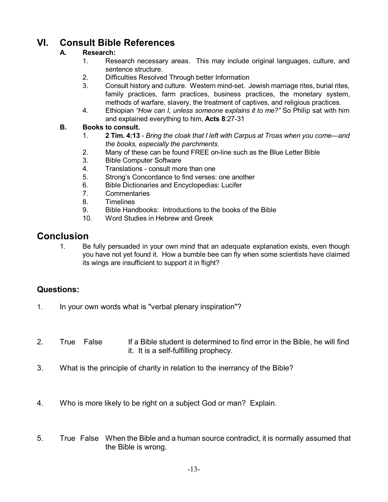# **VI. Consult Bible References**

# **A. Research:**

- 1. Research necessary areas. This may include original languages, culture, and sentence structure.
- 2. Difficulties Resolved Through better Information
- 3. Consult history and culture. Western mind-set. Jewish marriage rites, burial rites, family practices, farm practices, business practices, the monetary system, methods of warfare, slavery, the treatment of captives, and religious practices.
- 4. Ethiopian *"How can I, unless someone explains it to me?"* So Philip sat with him and explained everything to him, **Acts 8**:27-31

#### **B. Books to consult.**

- 1. **2 Tim. 4:13** *Bring the cloak that I left with Carpus at Troas when you come—and the books, especially the parchments.*
- 2. Many of these can be found FREE on-line such as the Blue Letter Bible
- 3. Bible Computer Software
- 4. Translations consult more than one
- 5. Strong's Concordance to find verses: one another
- 6. Bible Dictionaries and Encyclopedias: Lucifer
- 7. Commentaries
- 8. Timelines
- 9. Bible Handbooks: Introductions to the books of the Bible
- 10. Word Studies in Hebrew and Greek

# **Conclusion**

1. Be fully persuaded in your own mind that an adequate explanation exists, even though you have not yet found it. How a bumble bee can fly when some scientists have claimed its wings are insufficient to support it in flight?

#### **Questions:**

- 1. In your own words what is "verbal plenary inspiration"?
- 2. True False If a Bible student is determined to find error in the Bible, he will find it. It is a self-fulfilling prophecy.
- 3. What is the principle of charity in relation to the inerrancy of the Bible?
- 4. Who is more likely to be right on a subject God or man? Explain.
- 5. True False When the Bible and a human source contradict, it is normally assumed that the Bible is wrong.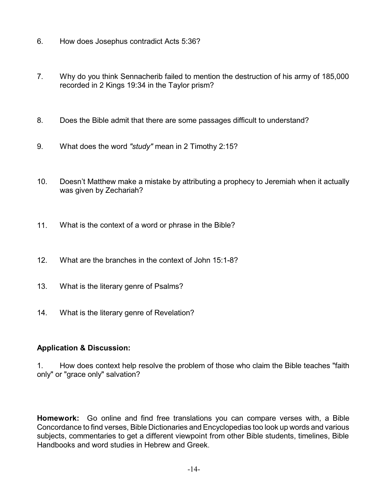- 6. How does Josephus contradict Acts 5:36?
- 7. Why do you think Sennacherib failed to mention the destruction of his army of 185,000 recorded in 2 Kings 19:34 in the Taylor prism?
- 8. Does the Bible admit that there are some passages difficult to understand?
- 9. What does the word *"study"* mean in 2 Timothy 2:15?
- 10. Doesn't Matthew make a mistake by attributing a prophecy to Jeremiah when it actually was given by Zechariah?
- 11. What is the context of a word or phrase in the Bible?
- 12. What are the branches in the context of John 15:1-8?
- 13. What is the literary genre of Psalms?
- 14. What is the literary genre of Revelation?

#### **Application & Discussion:**

1. How does context help resolve the problem of those who claim the Bible teaches "faith only" or "grace only" salvation?

**Homework:** Go online and find free translations you can compare verses with, a Bible Concordance to find verses, Bible Dictionaries and Encyclopedias too look up words and various subjects, commentaries to get a different viewpoint from other Bible students, timelines, Bible Handbooks and word studies in Hebrew and Greek.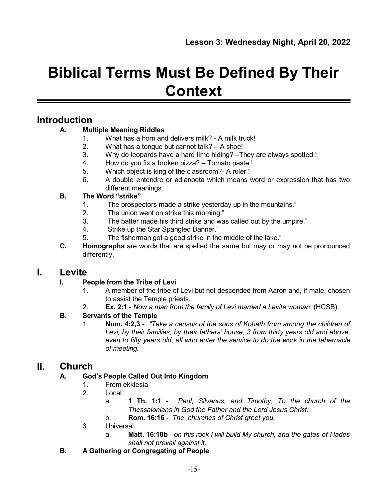# **Biblical Terms Must Be Defined By Their Context**

# **Introduction**

## **A. Multiple Meaning Riddles**

- 1. What has a horn and delivers milk? A milk truck!
- 2. What has a tongue but cannot talk? A shoe!
- 3. Why do leopards have a hard time hiding? –They are always spotted !
- 4. How do you fix a broken pizza? Tomato paste !
- 5. Which object is king of the classroom?- A ruler !
- 6. A double entendre or adianoeta which means word or expression that has two different meanings.

## **B. The Word "strike"**

- 1. "The prospectors made a strike yesterday up in the mountains."
- 2. "The union went on strike this morning."
- 3. "The batter made his third strike and was called out by the umpire."
- 4. "Strike up the Star Spangled Banner."
- 5. "The fisherman got a good strike in the middle of the lake."
- **C. Homographs** are words that are spelled the same but may or may not be pronounced differently.

# **I. Levite**

## **I. People from the Tribe of Levi**

- 1. A member of the tribe of Levi but not descended from Aaron and, if male, chosen to assist the Temple priests.
- 2. **Ex. 2:1** *Now a man from the family of Levi married a Levite woman.* (HCSB)

# **B. Servants of the Temple**

1. **Num. 4:2,3** - *"Take a census of the sons of Kohath from among the children of Levi, by their families, by their fathers' house, 3 from thirty years old and above, even to fifty years old, all who enter the service to do the work in the tabernacle of meeting.*

# **II. Church**

## **A. God's People Called Out Into Kingdom**

- 1. From ekklesia
- 2. Local
	- a. **1 Th. 1:1** *Paul, Silvanus, and Timothy, To the church of the Thessalonians in God the Father and the Lord Jesus Christ:*
	- b. **Rom. 16:16** *The churches of Christ greet you.*
- 3. Universal
	- a. **Matt. 16:18b** *on this rock I will build My church, and the gates of Hades shall not prevail against it.*
- **B. A Gathering or Congregating of People**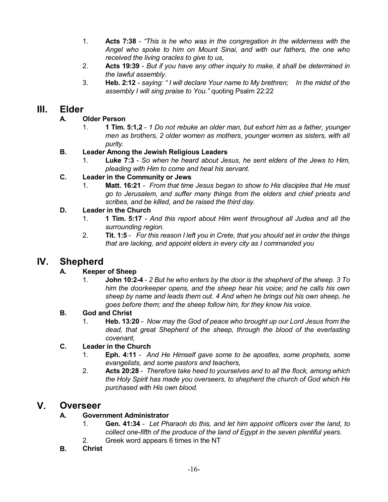- 1. **Acts 7:38** *"This is he who was in the congregation in the wilderness with the Angel who spoke to him on Mount Sinai, and with our fathers, the one who received the living oracles to give to us,*
- 2. **Acts 19:39** *But if you have any other inquiry to make, it shall be determined in the lawful assembly.*
- 3. **Heb. 2:12** *saying: " I will declare Your name to My brethren; In the midst of the assembly I will sing praise to You."* quoting Psalm 22:22

# **III. Elder**

## **A. Older Person**

1. **1 Tim. 5:1,2** - *1 Do not rebuke an older man, but exhort him as a father, younger men as brothers, 2 older women as mothers, younger women as sisters, with all purity.*

## **B. Leader Among the Jewish Religious Leaders**

1. **Luke 7:3** - *So when he heard about Jesus, he sent elders of the Jews to Him, pleading with Him to come and heal his servant.*

## **C. Leader in the Community or Jews**

1. **Matt. 16:21** - *From that time Jesus began to show to His disciples that He must go to Jerusalem, and suffer many things from the elders and chief priests and scribes, and be killed, and be raised the third day.*

## **D. Leader in the Church**

- 1. **1 Tim. 5:17** *And this report about Him went throughout all Judea and all the surrounding region.*
- 2. **Tit. 1:5** *For this reason I left you in Crete, that you should set in order the things that are lacking, and appoint elders in every city as I commanded you*

# **IV. Shepherd**

## **A. Keeper of Sheep**

1. **John 10:2-4** - *2 But he who enters by the door is the shepherd of the sheep. 3 To him the doorkeeper opens, and the sheep hear his voice; and he calls his own sheep by name and leads them out. 4 And when he brings out his own sheep, he goes before them; and the sheep follow him, for they know his voice*.

## **B. God and Christ**

1. **Heb. 13:20** - *Now may the God of peace who brought up our Lord Jesus from the dead, that great Shepherd of the sheep, through the blood of the everlasting covenant,*

## **C. Leader in the Church**

- 1. **Eph. 4:11** *And He Himself gave some to be apostles, some prophets, some evangelists, and some pastors and teachers,*
- 2. **Acts 20:28** *Therefore take heed to yourselves and to all the flock, among which the Holy Spirit has made you overseers, to shepherd the church of God which He purchased with His own blood.*

# **V. Overseer**

## **A. Government Administrator**

- 1. **Gen. 41:34** *Let Pharaoh do this, and let him appoint officers over the land, to collect one-fifth of the produce of the land of Egypt in the seven plentiful years.*
- 2. Greek word appears 6 times in the NT
- **B. Christ**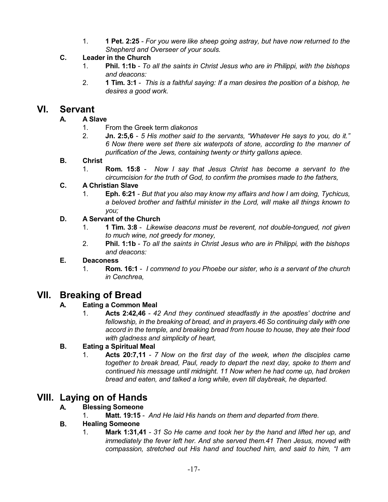1. **1 Pet. 2:25** - *For you were like sheep going astray, but have now returned to the Shepherd and Overseer of your souls.*

#### **C. Leader in the Church**

- 1. **Phil. 1:1b** *To all the saints in Christ Jesus who are in Philippi, with the bishops and deacons:*
- 2. **1 Tim. 3:1** *This is a faithful saying: If a man desires the position of a bishop, he desires a good work.*

# **VI. Servant**

#### **A. A Slave**

- 1. From the Greek term *diakonos*
- 2. **Jn. 2:5,6** *5 His mother said to the servants, "Whatever He says to you, do it." 6 Now there were set there six waterpots of stone, according to the manner of purification of the Jews, containing twenty or thirty gallons apiece.*

#### **B. Christ**

1. **Rom. 15:8** - *Now I say that Jesus Christ has become a servant to the circumcision for the truth of God, to confirm the promises made to the fathers,*

#### **C. A Christian Slave**

1. **Eph. 6:21** - *But that you also may know my affairs and how I am doing, Tychicus, a beloved brother and faithful minister in the Lord, will make all things known to you;*

#### **D. A Servant of the Church**

- 1. **1 Tim. 3:8** *Likewise deacons must be reverent, not double-tongued, not given to much wine, not greedy for money,*
- 2. **Phil. 1:1b** *To all the saints in Christ Jesus who are in Philippi, with the bishops and deacons:*

#### **E. Deaconess**

1. **Rom. 16:1** - *I commend to you Phoebe our sister, who is a servant of the church in Cenchrea,*

# **VII. Breaking of Bread**

## **A. Eating a Common Meal**

1. **Acts 2:42,46** - *42 And they continued steadfastly in the apostles' doctrine and fellowship, in the breaking of bread, and in prayers.46 So continuing daily with one accord in the temple, and breaking bread from house to house, they ate their food with gladness and simplicity of heart,*

## **B. Eating a Spiritual Meal**

1. **Acts 20:7,11** - *7 Now on the first day of the week, when the disciples came together to break bread, Paul, ready to depart the next day, spoke to them and continued his message until midnight. 11 Now when he had come up, had broken bread and eaten, and talked a long while, even till daybreak, he departed.*

# **VIII. Laying on of Hands**

## **A. Blessing Someone**

1. **Matt. 19:15** - *And He laid His hands on them and departed from there.*

#### **B. Healing Someone**

1. **Mark 1:31,41** - *31 So He came and took her by the hand and lifted her up, and immediately the fever left her. And she served them.41 Then Jesus, moved with compassion, stretched out His hand and touched him, and said to him, "I am*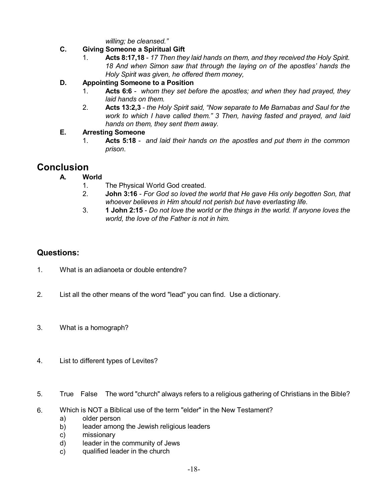*willing; be cleansed."*

#### **C. Giving Someone a Spiritual Gift**

1. **Acts 8:17,18** - *17 Then they laid hands on them, and they received the Holy Spirit. 18 And when Simon saw that through the laying on of the apostles' hands the Holy Spirit was given, he offered them money,*

#### **D. Appointing Someone to a Position**

- 1. **Acts 6:6** *whom they set before the apostles; and when they had prayed, they laid hands on them.*
- 2. **Acts 13:2,3** *the Holy Spirit said, "Now separate to Me Barnabas and Saul for the work to which I have called them." 3 Then, having fasted and prayed, and laid hands on them, they sent them away.*

#### **E. Arresting Someone**

1. **Acts 5:18** - *and laid their hands on the apostles and put them in the common prison*.

# **Conclusion**

- **A. World**
	- 1. The Physical World God created.
	- 2. **John 3:16** *For God so loved the world that He gave His only begotten Son, that whoever believes in Him should not perish but have everlasting life.*
	- 3. **1 John 2:15** *Do not love the world or the things in the world. If anyone loves the world, the love of the Father is not in him.*

# **Questions:**

- 1. What is an adianoeta or double entendre?
- 2. List all the other means of the word "lead" you can find. Use a dictionary.
- 3. What is a homograph?
- 4. List to different types of Levites?
- 5. True False The word "church" always refers to a religious gathering of Christians in the Bible?
- 6. Which is NOT a Biblical use of the term "elder" in the New Testament?
	- a) older person
	- b) leader among the Jewish religious leaders
	- c) missionary
	- d) leader in the community of Jews
	- c) qualified leader in the church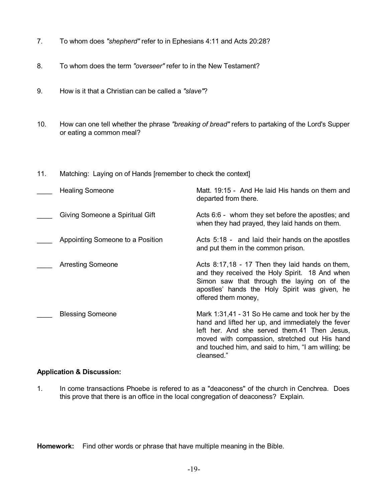- 7. To whom does *"shepherd"* refer to in Ephesians 4:11 and Acts 20:28?
- 8. To whom does the term *"overseer"* refer to in the New Testament?
- 9. How is it that a Christian can be called a *"slave"*?
- 10. How can one tell whether the phrase *"breaking of bread"* refers to partaking of the Lord's Supper or eating a common meal?
- 11. Matching: Laying on of Hands [remember to check the context]

| <b>Healing Someone</b>           | Matt. 19:15 - And He laid His hands on them and<br>departed from there.                                                                                                                                                                                                     |
|----------------------------------|-----------------------------------------------------------------------------------------------------------------------------------------------------------------------------------------------------------------------------------------------------------------------------|
| Giving Someone a Spiritual Gift  | Acts 6:6 - whom they set before the apostles; and<br>when they had prayed, they laid hands on them.                                                                                                                                                                         |
| Appointing Someone to a Position | Acts 5:18 - and laid their hands on the apostles<br>and put them in the common prison.                                                                                                                                                                                      |
| <b>Arresting Someone</b>         | Acts 8:17,18 - 17 Then they laid hands on them,<br>and they received the Holy Spirit. 18 And when<br>Simon saw that through the laying on of the<br>apostles' hands the Holy Spirit was given, he<br>offered them money,                                                    |
| <b>Blessing Someone</b>          | Mark 1:31,41 - 31 So He came and took her by the<br>hand and lifted her up, and immediately the fever<br>left her. And she served them.41 Then Jesus,<br>moved with compassion, stretched out His hand<br>and touched him, and said to him, "I am willing; be<br>cleansed." |

#### **Application & Discussion:**

1. In come transactions Phoebe is refered to as a "deaconess" of the church in Cenchrea. Does this prove that there is an office in the local congregation of deaconess? Explain.

**Homework:** Find other words or phrase that have multiple meaning in the Bible.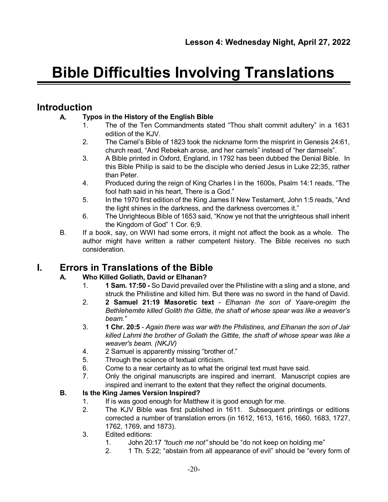# **Bible Difficulties Involving Translations**

# **Introduction**

## **A. Typos in the History of the English Bible**

- 1. The of the Ten Commandments stated "Thou shalt commit adultery" in a 1631 edition of the KJV.
- 2. The Camel's Bible of 1823 took the nickname form the misprint in Genesis 24:61, church read, "And Rebekah arose, and her camels" instead of "her damsels".
- 3. A Bible printed in Oxford, England, in 1792 has been dubbed the Denial Bible. In this Bible Philip is said to be the disciple who denied Jesus in Luke 22;35, rather than Peter.
- 4. Produced during the reign of King Charles I in the 1600s, Psalm 14:1 reads, "The fool hath said in his heart, There is a God."
- 5. In the 1970 first edition of the King James II New Testament, John 1:5 reads, "And the light shines in the darkness, and the darkness overcomes it."
- 6. The Unrighteous Bible of 1653 said, "Know ye not that the unrighteous shall inherit the Kingdom of God" 1 Cor. 6;9.
- B. If a book, say, on WWI had some errors, it might not affect the book as a whole. The author might have written a rather competent history. The Bible receives no such consideration.

# **I. Errors in Translations of the Bible**

## **A. Who Killed Goliath, David or Elhanan?**

- 1. **1 Sam. 17:50 -** So David prevailed over the Philistine with a sling and a stone, and struck the Philistine and killed him. But there was no sword in the hand of David.
- 2. **2 Samuel 21:19 Masoretic text** *Elhanan the son of Yaare-oregim the Bethlehemite killed Golith the Gittie, the shaft of whose spear was like a weaver's beam."*
- 3. **1 Chr. 20:5** *Again there was war with the Philistines, and Elhanan the son of Jair killed Lahmi the brother of Goliath the Gittite, the shaft of whose spear was like a weaver's beam. (NKJV)*
- 4. 2 Samuel is apparently missing "brother of."
- 5. Through the science of textual criticism.
- 6. Come to a near certainty as to what the original text must have said.
- 7. Only the original manuscripts are inspired and inerrant. Manuscript copies are inspired and inerrant to the extent that they reflect the original documents.

## **B. Is the King James Version Inspired?**

- 1. If is was good enough for Matthew it is good enough for me.
- 2. The KJV Bible was first published in 1611. Subsequent printings or editions corrected a number of translation errors (in 1612, 1613, 1616, 1660, 1683, 1727, 1762, 1769, and 1873).
- 3. Edited editions:
	- 1. John 20:17 *"touch me not"* should be "do not keep on holding me"
	- 2. 1 Th. 5:22; "abstain from all appearance of evil" should be "every form of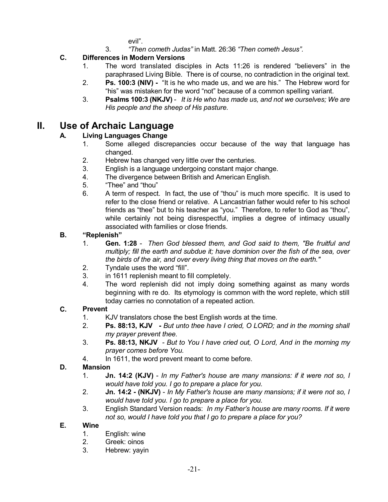evil".

3. *"Then cometh Judas"* in Matt. 26:36 *"Then cometh Jesus".*

#### **C. Differences in Modern Versions**

- 1. The word translated disciples in Acts 11:26 is rendered "believers" in the paraphrased Living Bible. There is of course, no contradiction in the original text.
- 2. **Ps. 100:3 (NIV) -** "It is he who made us, and we are his." The Hebrew word for "his" was mistaken for the word "not" because of a common spelling variant.
- 3. **Psalms 100:3 (NKJV)** *It is He who has made us, and not we ourselves; We are His people and the sheep of His pasture.*

# **II. Use of Archaic Language**

## **A. Living Languages Change**

- 1. Some alleged discrepancies occur because of the way that language has changed.
- 2. Hebrew has changed very little over the centuries.
- 3. English is a language undergoing constant major change.
- 4. The divergence between British and American English.
- 5. "Thee" and "thou"
- 6. A term of respect. In fact, the use of "thou" is much more specific. It is used to refer to the close friend or relative. A Lancastrian father would refer to his school friends as "thee" but to his teacher as "you." Therefore, to refer to God as "thou", while certainly not being disrespectful, implies a degree of intimacy usually associated with families or close friends.

#### **B. "Replenish"**

- 1. **Gen. 1:28** *Then God blessed them, and God said to them, "Be fruitful and multiply; fill the earth and subdue it; have dominion over the fish of the sea, over the birds of the air, and over every living thing that moves on the earth."*
- 2. Tyndale uses the word "fill".
- 3. in 1611 replenish meant to fill completely.
- 4. The word replenish did not imply doing something against as many words beginning with re do. Its etymology is common with the word replete, which still today carries no connotation of a repeated action.

#### **C. Prevent**

- 1. KJV translators chose the best English words at the time.
- 2. **Ps. 88:13, KJV -** *But unto thee have I cried, O LORD; and in the morning shall my prayer prevent thee.*
- 3. **Ps. 88:13, NKJV** *- But to You I have cried out, O Lord, And in the morning my prayer comes before You.*
- 4. In 1611, the word prevent meant to come before.

## **D. Mansion**

- 1. **Jn. 14:2 (KJV)** *In my Father's house are many mansions: if it were not so, I would have told you. I go to prepare a place for you.*
- 2. **Jn. 14:2 - (NKJV)** *In My Father's house are many mansions; if it were not so, I would have told you. I go to prepare a place for you.*
- 3. English Standard Version reads: *In my Father's house are many rooms. If it were not so, would I have told you that I go to prepare a place for you?*

#### **E. Wine**

- 1. English: wine
- 2. Greek: oinos
- 3. Hebrew: yayin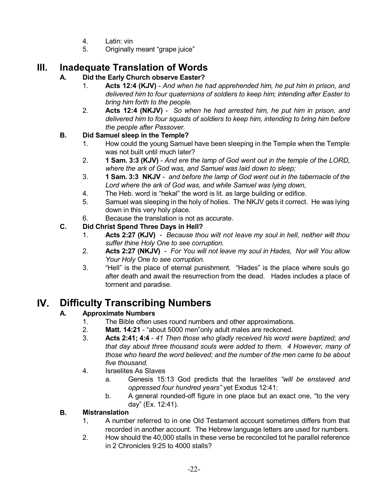- 4. Latin: vin
- 5. Originally meant "grape juice"

# **III. Inadequate Translation of Words**

## **A. Did the Early Church observe Easter?**

- 1. **Acts 12:4 (KJV)** *And when he had apprehended him, he put him in prison, and delivered him to four quaternions of soldiers to keep him; intending after Easter to bring him forth to the people.*
- 2. **Acts 12:4 (NKJV)** *So when he had arrested him, he put him in prison, and delivered him to four squads of soldiers to keep him, intending to bring him before the people after Passover.*

## **B. Did Samuel sleep in the Temple?**

- 1. How could the young Samuel have been sleeping in the Temple when the Temple was not built until much later?
- 2. **1 Sam. 3:3 (KJV)** *And ere the lamp of God went out in the temple of the LORD, where the ark of God was, and Samuel was laid down to sleep;*
- 3. **1 Sam. 3:3 NKJV** *and before the lamp of God went out in the tabernacle of the Lord where the ark of God was, and while Samuel was lying down,*
- 4. The Heb. word is "hekal" the word is lit. as large building or edifice.
- 5. Samuel was sleeping in the holy of holies. The NKJV gets it correct. He was lying down in this very holy place.
- 6. Because the translation is not as accurate.

## **C. Did Christ Spend Three Days in Hell?**

- 1. **Acts 2:27 (KJV)** *Because thou wilt not leave my soul in hell, neither wilt thou suffer thine Holy One to see corruption.*
- 2. **Acts 2:27 (NKJV)** *For You will not leave my soul in Hades, Nor will You allow Your Holy One to see corruption.*
- 3. "Hell" is the place of eternal punishment. "Hades" is the place where souls go after death and await the resurrection from the dead. Hades includes a place of torment and paradise.

# **IV. Difficulty Transcribing Numbers**

# **A. Approximate Numbers**

- 1. The Bible often uses round numbers and other approximations.
- 2. **Matt. 14:21** "about 5000 men"only adult males are reckoned.
- 3. **Acts 2:41; 4:4** *41 Then those who gladly received his word were baptized; and that day about three thousand souls were added to them. 4 However, many of those who heard the word believed; and the number of the men came to be about five thousand.*
- 4. Israelites As Slaves
	- a. Genesis 15:13 God predicts that the Israelites *"will be enslaved and oppressed four hundred years"* yet Exodus 12:41:
	- b. A general rounded-off figure in one place but an exact one, "to the very day" (Ex. 12:41).

## **B. Mistranslation**

- 1, A number referred to in one Old Testament account sometimes differs from that recorded in another account. The Hebrew language letters are used for numbers.
- 2. How should the 40,000 stalls in these verse be reconciled tot he parallel reference in 2 Chronicles 9:25 to 4000 stalls?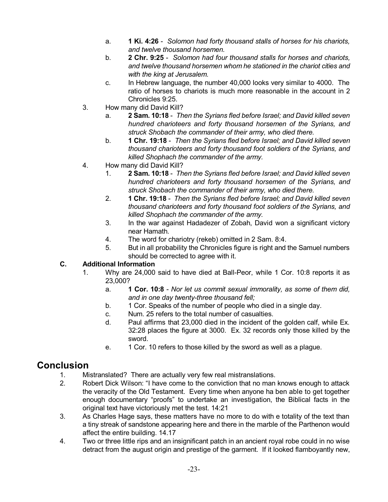- a. **1 Ki. 4:26** *Solomon had forty thousand stalls of horses for his chariots, and twelve thousand horsemen.*
- b. **2 Chr. 9:25** *Solomon had four thousand stalls for horses and chariots, and twelve thousand horsemen whom he stationed in the chariot cities and with the king at Jerusalem.*
- c. In Hebrew language, the number 40,000 looks very similar to 4000. The ratio of horses to chariots is much more reasonable in the account in 2 Chronicles 9:25.
- 3. How many did David Kill?
	- a. **2 Sam. 10:18** *Then the Syrians fled before Israel; and David killed seven hundred charioteers and forty thousand horsemen of the Syrians, and struck Shobach the commander of their army, who died there.*
	- b. **1 Chr. 19:18** *Then the Syrians fled before Israel; and David killed seven thousand charioteers and forty thousand foot soldiers of the Syrians, and killed Shophach the commander of the army.*
- 4. How many did David Kill?
	- 1. **2 Sam. 10:18** *Then the Syrians fled before Israel; and David killed seven hundred charioteers and forty thousand horsemen of the Syrians, and struck Shobach the commander of their army, who died there.*
	- 2. **1 Chr. 19:18** *Then the Syrians fled before Israel; and David killed seven thousand charioteers and forty thousand foot soldiers of the Syrians, and killed Shophach the commander of the army.*
	- 3. In the war against Hadadezer of Zobah, David won a significant victory near Hamath.
	- 4. The word for chariotry (rekeb) omitted in 2 Sam. 8:4.
	- 5. But in all probability the Chronicles figure is right and the Samuel numbers should be corrected to agree with it.

#### **C. Additional Information**

- 1. Why are 24,000 said to have died at Ball-Peor, while 1 Cor. 10:8 reports it as 23,000?
	- a. **1 Cor. 10:8** *Nor let us commit sexual immorality, as some of them did, and in one day twenty-three thousand fell;*
	- b. 1 Cor. Speaks of the number of people who died in a single day.
	- c. Num. 25 refers to the total number of casualties.
	- d. Paul affirms that 23,000 died in the incident of the golden calf, while Ex. 32:28 places the figure at 3000. Ex. 32 records only those killed by the sword.
	- e. 1 Cor. 10 refers to those killed by the sword as well as a plague.

# **Conclusion**

- 1. Mistranslated? There are actually very few real mistranslations.
- 2. Robert Dick Wilson: "I have come to the conviction that no man knows enough to attack the veracity of the Old Testament. Every time when anyone ha ben able to get together enough documentary "proofs" to undertake an investigation, the Biblical facts in the original text have victoriously met the test. 14:21
- 3. As Charles Hage says, these matters have no more to do with e totality of the text than a tiny streak of sandstone appearing here and there in the marble of the Parthenon would affect the entire building. 14.17
- 4. Two or three little rips and an insignificant patch in an ancient royal robe could in no wise detract from the august origin and prestige of the garment. If it looked flamboyantly new,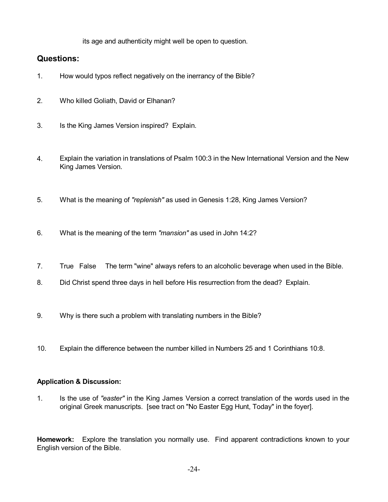its age and authenticity might well be open to question.

## **Questions:**

- 1. How would typos reflect negatively on the inerrancy of the Bible?
- 2. Who killed Goliath, David or Elhanan?
- 3. Is the King James Version inspired? Explain.
- 4. Explain the variation in translations of Psalm 100:3 in the New International Version and the New King James Version.
- 5. What is the meaning of *"replenish"* as used in Genesis 1:28, King James Version?
- 6. What is the meaning of the term *"mansion"* as used in John 14:2?
- 7. True False The term "wine" always refers to an alcoholic beverage when used in the Bible.
- 8. Did Christ spend three days in hell before His resurrection from the dead? Explain.
- 9. Why is there such a problem with translating numbers in the Bible?
- 10. Explain the difference between the number killed in Numbers 25 and 1 Corinthians 10:8.

#### **Application & Discussion:**

1. Is the use of *"easter"* in the King James Version a correct translation of the words used in the original Greek manuscripts. [see tract on "No Easter Egg Hunt, Today" in the foyer].

**Homework:** Explore the translation you normally use. Find apparent contradictions known to your English version of the Bible.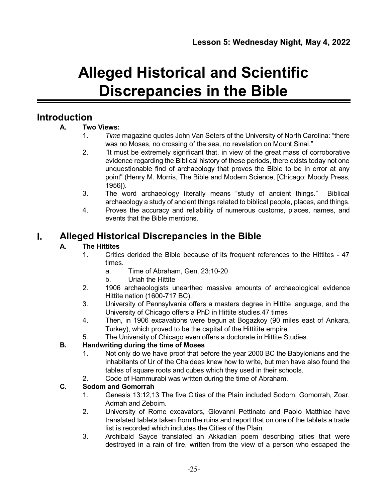# **Alleged Historical and Scientific Discrepancies in the Bible**

# **Introduction**

## **A. Two Views:**

- 1. *Time* magazine quotes John Van Seters of the University of North Carolina: "there was no Moses, no crossing of the sea, no revelation on Mount Sinai."
- 2. "It must be extremely significant that, in view of the great mass of corroborative evidence regarding the Biblical history of these periods, there exists today not one unquestionable find of archaeology that proves the Bible to be in error at any point" (Henry M. Morris, The Bible and Modern Science, [Chicago: Moody Press, 1956]).
- 3. The word archaeology literally means "study of ancient things." Biblical archaeology a study of ancient things related to biblical people, places, and things.
- 4. Proves the accuracy and reliability of numerous customs, places, names, and events that the Bible mentions.

# **I. Alleged Historical Discrepancies in the Bible**

#### **A. The Hittites**

- 1. Critics derided the Bible because of its frequent references to the Hittites 47 times.
	- a. Time of Abraham, Gen. 23:10-20
	- b. Uriah the Hittite
- 2. 1906 archaeologists unearthed massive amounts of archaeological evidence Hittite nation (1600-717 BC).
- 3. University of Pennsylvania offers a masters degree in Hittite language, and the University of Chicago offers a PhD in Hittite studies.47 times
- 4. Then, in 1906 excavations were begun at Bogazkoy (90 miles east of Ankara, Turkey), which proved to be the capital of the Hittitite empire.
- 5. The University of Chicago even offers a doctorate in Hittite Studies.

## **B. Handwriting during the time of Moses**

- 1. Not only do we have proof that before the year 2000 BC the Babylonians and the inhabitants of Ur of the Chaldees knew how to write, but men have also found the tables of square roots and cubes which they used in their schools.
- 2. Code of Hammurabi was written during the time of Abraham.

#### **C. Sodom and Gomorrah**

- 1. Genesis 13:12,13 The five Cities of the Plain included Sodom, Gomorrah, Zoar, Admah and Zeboim.
- 2. University of Rome excavators, Giovanni Pettinato and Paolo Matthiae have translated tablets taken from the ruins and report that on one of the tablets a trade list is recorded which includes the Cities of the Plain.
- 3. Archibald Sayce translated an Akkadian poem describing cities that were destroyed in a rain of fire, written from the view of a person who escaped the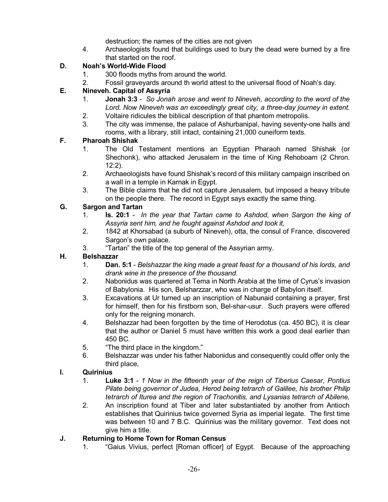destruction; the names of the cities are not given

4. Archaeologists found that buildings used to bury the dead were burned by a fire that started on the roof.

## **D. Noah's World-Wide Flood**

- 1. 300 floods myths from around the world.
- 2. Fossil graveyards around th world attest to the universal flood of Noah's day.

#### **E. Nineveh. Capital of Assyria**

- 1. **Jonah 3:3** *So Jonah arose and went to Nineveh, according to the word of the Lord. Now Nineveh was an exceedingly great city, a three-day journey in extent.*
- 2. Voltaire ridicules the biblical description of that phantom metropolis.
- 3. The city was immense, the palace of Ashurbanipal, having seventy-one halls and rooms, with a library, still intact, containing 21,000 cuneiform texts.

#### **F. Pharoah Shishak**

- 1. The Old Testament mentions an Egyptian Pharaoh named Shishak (or Shechonk), who attacked Jerusalem in the time of King Rehoboam (2 Chron. 12:2).
- 2. Archaeologists have found Shishak's record of this military campaign inscribed on a wall in a temple in Karnak in Egypt.
- 3. The Bible claims that he did not capture Jerusalem, but imposed a heavy tribute on the people there. The record in Egypt says exactly the same thing.

#### **G. Sargon and Tartan**

- 1. **Is. 20:1** *In the year that Tartan came to Ashdod, when Sargon the king of Assyria sent him, and he fought against Ashdod and took it,*
- 2. 1842 at Khorsabad (a suburb of Nineveh), otta, the consul of France, discovered Sargon's own palace.
- 3. "Tartan" the title of the top general of the Assyrian army.

## **H. Belshazzar**

- 1. **Dan. 5:1** *Belshazzar the king made a great feast for a thousand of his lords, and drank wine in the presence of the thousand.*
- 2. Nabonidus was quartered at Tema in North Arabia at the time of Cyrus's invasion of Babylonia. His son, Belsharzzar, who was in charge of Babylon itself.
- 3. Excavations at Ur turned up an inscription of Nabunaid containing a prayer, first for himself, then for his firstborn son, Bel-shar-usur. Such prayers were offered only for the reigning monarch.
- 4. Belshazzar had been forgotten by the time of Herodotus (ca. 450 BC), it is clear that the author or Daniel 5 must have written this work a good deal earlier than 450 BC.
- 5. "The third place in the kingdom."
- 6. Belshazzar was under his father Nabonidus and consequently could offer only the third place,

#### **I. Quirinius**

- 1. **Luke 3:1** *1 Now in the fifteenth year of the reign of Tiberius Caesar, Pontius Pilate being governor of Judea, Herod being tetrarch of Galilee, his brother Philip tetrarch of Iturea and the region of Trachonitis, and Lysanias tetrarch of Abilene,*
- 2. An inscription found at Tiber and later substantiated by another from Antioch establishes that Quirinius twice governed Syria as imperial legate. The first time was between 10 and 7 B.C. Quirinius was the military governor. Text does not give him a title.

## **J. Returning to Home Town for Roman Census**

1. "Gaius Vivius, perfect [Roman officer] of Egypt. Because of the approaching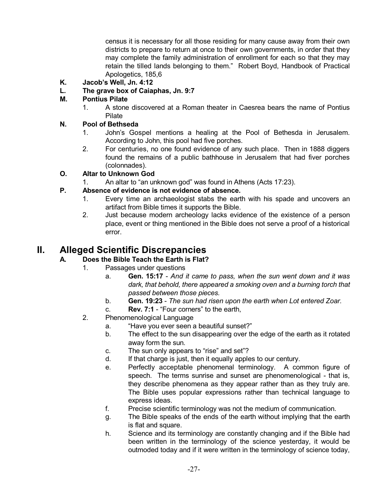census it is necessary for all those residing for many cause away from their own districts to prepare to return at once to their own governments, in order that they may complete the family administration of enrollment for each so that they may retain the tilled lands belonging to them." Robert Boyd, Handbook of Practical Apologetics, 185,6

- **K. Jacob's Well, Jn. 4:12**
- **L. The grave box of Caiaphas, Jn. 9:7**

#### **M. Pontius Pilate**

1. A stone discovered at a Roman theater in Caesrea bears the name of Pontius Pilate

#### **N. Pool of Bethseda**

- 1. John's Gospel mentions a healing at the Pool of Bethesda in Jerusalem. According to John, this pool had five porches.
- 2. For centuries, no one found evidence of any such place. Then in 1888 diggers found the remains of a public bathhouse in Jerusalem that had fiver porches (colonnades).

#### **O. Altar to Unknown God**

1. An altar to "an unknown god" was found in Athens (Acts 17:23).

#### **P. Absence of evidence is not evidence of absence.**

- 1. Every time an archaeologist stabs the earth with his spade and uncovers an artifact from Bible times it supports the Bible.
- 2. Just because modern archeology lacks evidence of the existence of a person place, event or thing mentioned in the Bible does not serve a proof of a historical error.

# **II. Alleged Scientific Discrepancies**

#### **A. Does the Bible Teach the Earth is Flat?**

- 1. Passages under questions
	- a. **Gen. 15:17** *And it came to pass, when the sun went down and it was dark, that behold, there appeared a smoking oven and a burning torch that passed between those pieces.*
	- b. **Gen. 19:23** *The sun had risen upon the earth when Lot entered Zoar.*
	- c. **Rev. 7:1** "Four corners" to the earth,
- 2. Phenomenological Language
	- a. "Have you ever seen a beautiful sunset?"
	- b. The effect to the sun disappearing over the edge of the earth as it rotated away form the sun.
	- c. The sun only appears to "rise" and set"?
	- d. If that charge is just, then it equally apples to our century.
	- e. Perfectly acceptable phenomenal terminology. A common figure of speech. The terms sunrise and sunset are phenomenological - that is, they describe phenomena as they appear rather than as they truly are. The Bible uses popular expressions rather than technical language to express ideas.
	- f. Precise scientific terminology was not the medium of communication.
	- g. The Bible speaks of the ends of the earth without implying that the earth is flat and square.
	- h. Science and its terminology are constantly changing and if the Bible had been written in the terminology of the science yesterday, it would be outmoded today and if it were written in the terminology of science today,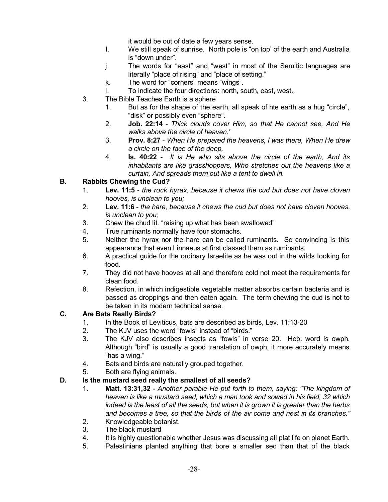it would be out of date a few years sense.

- I. We still speak of sunrise. North pole is "on top' of the earth and Australia is "down under".
- j. The words for "east" and "west" in most of the Semitic languages are literally "place of rising" and "place of setting."
- k. The word for "corners" means "wings".
- l. To indicate the four directions: north, south, east, west..
- 3. The Bible Teaches Earth is a sphere
	- 1. But as for the shape of the earth, all speak of hte earth as a hug "circle", "disk" or possibly even "sphere".
	- 2. **Job. 22:14** *Thick clouds cover Him, so that He cannot see, And He walks above the circle of heaven.'*
	- 3. **Prov. 8:27** *When He prepared the heavens, I was there, When He drew a circle on the face of the deep,*
	- 4. **Is. 40:22** *It is He who sits above the circle of the earth, And its inhabitants are like grasshoppers, Who stretches out the heavens like a curtain, And spreads them out like a tent to dwell in.*

## **B. Rabbits Chewing the Cud?**

- 1. **Lev. 11:5** *the rock hyrax, because it chews the cud but does not have cloven hooves, is unclean to you;*
- 2. **Lev. 11:6** *the hare, because it chews the cud but does not have cloven hooves, is unclean to you;*
- 3. Chew the chud lit. "raising up what has been swallowed"
- 4. True ruminants normally have four stomachs.
- 5. Neither the hyrax nor the hare can be called ruminants. So convincing is this appearance that even Linnaeus at first classed them as ruminants.
- 6. A practical guide for the ordinary Israelite as he was out in the wilds looking for food.
- 7. They did not have hooves at all and therefore cold not meet the requirements for clean food.
- 8. Refection, in which indigestible vegetable matter absorbs certain bacteria and is passed as droppings and then eaten again. The term chewing the cud is not to be taken in its modern technical sense.

## **C. Are Bats Really Birds?**

- 1. In the Book of Leviticus, bats are described as birds, Lev. 11:13-20
- 2. The KJV uses the word "fowls" instead of "birds."
- 3. The KJV also describes insects as "fowls" in verse 20. Heb. word is owph. Although "bird" is usually a good translation of owph, it more accurately means "has a wing."
- 4. Bats and birds are naturally grouped together.
- 5. Both are flying animals.

## **D. Is the mustard seed really the smallest of all seeds?**

- 1. **Matt. 13:31,32** *Another parable He put forth to them, saying: "The kingdom of heaven is like a mustard seed, which a man took and sowed in his field, 32 which indeed is the least of all the seeds; but when it is grown it is greater than the herbs and becomes a tree, so that the birds of the air come and nest in its branches."*
- 2. Knowledgeable botanist.
- 3. The black mustard
- 4. It is highly questionable whether Jesus was discussing all plat life on planet Earth.
- 5. Palestinians planted anything that bore a smaller sed than that of the black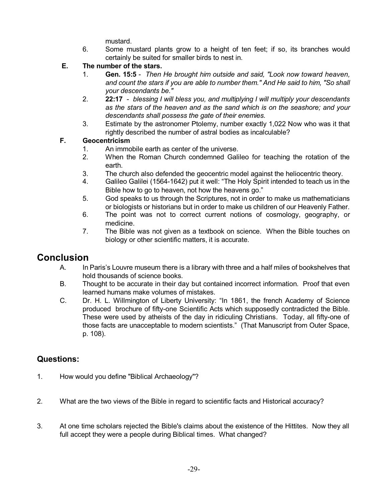mustard.

6. Some mustard plants grow to a height of ten feet; if so, its branches would certainly be suited for smaller birds to nest in.

## **E. The number of the stars.**

- 1. **Gen. 15:5** *Then He brought him outside and said, "Look now toward heaven, and count the stars if you are able to number them." And He said to him, "So shall your descendants be."*
- 2. **22:17** *blessing I will bless you, and multiplying I will multiply your descendants as the stars of the heaven and as the sand which is on the seashore; and your descendants shall possess the gate of their enemies.*
- 3. Estimate by the astronomer Ptolemy, number exactly 1,022 Now who was it that rightly described the number of astral bodies as incalculable?

#### **F. Geocentricism**

- 1. An immobile earth as center of the universe.
- 2. When the Roman Church condemned Galileo for teaching the rotation of the earth.
- 3. The church also defended the geocentric model against the heliocentric theory.
- 4. Galileo Galilei (1564-1642) put it well: "The Holy Spirit intended to teach us in the Bible how to go to heaven, not how the heavens go."
- 5. God speaks to us through the Scriptures, not in order to make us mathematicians or biologists or historians but in order to make us children of our Heavenly Father.
- 6. The point was not to correct current notions of cosmology, geography, or medicine.
- 7. The Bible was not given as a textbook on science. When the Bible touches on biology or other scientific matters, it is accurate.

# **Conclusion**

- A. In Paris's Louvre museum there is a library with three and a half miles of bookshelves that hold thousands of science books.
- B. Thought to be accurate in their day but contained incorrect information. Proof that even learned humans make volumes of mistakes.
- C. Dr. H. L. Willmington of Liberty University: "In 1861, the french Academy of Science produced brochure of fifty-one Scientific Acts which supposedly contradicted the Bible. These were used by atheists of the day in ridiculing Christians. Today, all fifty-one of those facts are unacceptable to modern scientists." (That Manuscript from Outer Space, p. 108).

# **Questions:**

- 1. How would you define "Biblical Archaeology"?
- 2. What are the two views of the Bible in regard to scientific facts and Historical accuracy?
- 3. At one time scholars rejected the Bible's claims about the existence of the Hittites. Now they all full accept they were a people during Biblical times. What changed?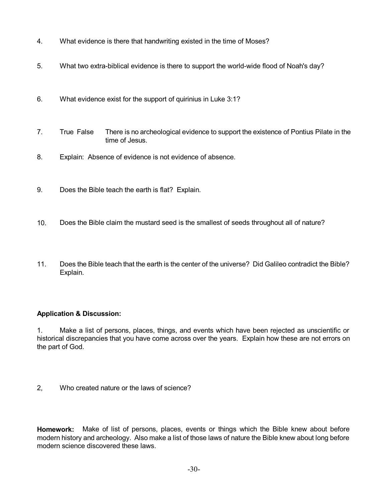- 4. What evidence is there that handwriting existed in the time of Moses?
- 5. What two extra-biblical evidence is there to support the world-wide flood of Noah's day?
- 6. What evidence exist for the support of quirinius in Luke 3:1?
- 7. True False There is no archeological evidence to support the existence of Pontius Pilate in the time of Jesus.
- 8. Explain: Absence of evidence is not evidence of absence.
- 9. Does the Bible teach the earth is flat? Explain.
- 10. Does the Bible claim the mustard seed is the smallest of seeds throughout all of nature?
- 11. Does the Bible teach that the earth is the center of the universe? Did Galileo contradict the Bible? Explain.

#### **Application & Discussion:**

1. Make a list of persons, places, things, and events which have been rejected as unscientific or historical discrepancies that you have come across over the years. Explain how these are not errors on the part of God.

2, Who created nature or the laws of science?

**Homework:** Make of list of persons, places, events or things which the Bible knew about before modern history and archeology. Also make a list of those laws of nature the Bible knew about long before modern science discovered these laws.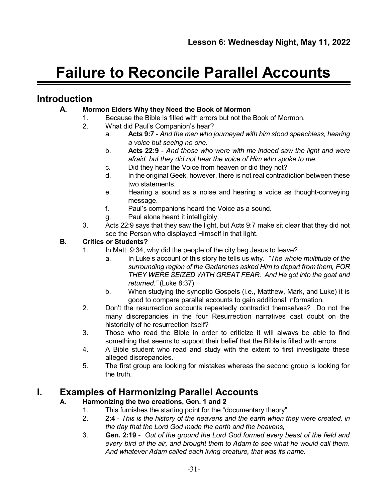# **Failure to Reconcile Parallel Accounts**

# **Introduction**

## **A. Mormon Elders Why they Need the Book of Mormon**

- 1. Because the Bible is filled with errors but not the Book of Mormon.
- 2. What did Paul's Companion's hear?
	- a. **Acts 9:7** *And the men who journeyed with him stood speechless, hearing a voice but seeing no one.*
	- b. **Acts 22:9** *And those who were with me indeed saw the light and were afraid, but they did not hear the voice of Him who spoke to me.*
	- c. Did they hear the Voice from heaven or did they not?
	- d. In the original Geek, however, there is not real contradiction between these two statements.
	- e. Hearing a sound as a noise and hearing a voice as thought-conveying message.
	- f. Paul's companions heard the Voice as a sound.
	- g. Paul alone heard it intelligibly.
- 3. Acts 22:9 says that they saw the light, but Acts 9:7 make sit clear that they did not see the Person who displayed Himself in that light.

#### **B. Critics or Students?**

- 1. In Matt. 9:34, why did the people of the city beg Jesus to leave?
	- a. In Luke's account of this story he tells us why. *"The whole multitude of the surrounding region of the Gadarenes asked Him to depart from them, FOR THEY WERE SEIZED WITH GREAT FEAR. And He got into the goat and returned."* (Luke 8:37).
	- b. When studying the synoptic Gospels (i.e., Matthew, Mark, and Luke) it is good to compare parallel accounts to gain additional information.
- 2. Don't the resurrection accounts repeatedly contradict themselves? Do not the many discrepancies in the four Resurrection narratives cast doubt on the historicity of he resurrection itself?
- 3. Those who read the Bible in order to criticize it will always be able to find something that seems to support their belief that the Bible is filled with errors.
- 4. A Bible student who read and study with the extent to first investigate these alleged discrepancies.
- 5. The first group are looking for mistakes whereas the second group is looking for the truth.

# **I. Examples of Harmonizing Parallel Accounts**

## **A. Harmonizing the two creations, Gen. 1 and 2**

- 1. This furnishes the starting point for the "documentary theory".
- 2. **2:4** *This is the history of the heavens and the earth when they were created, in the day that the Lord God made the earth and the heavens,*
- 3. **Gen. 2:19** *Out of the ground the Lord God formed every beast of the field and every bird of the air, and brought them to Adam to see what he would call them. And whatever Adam called each living creature, that was its name.*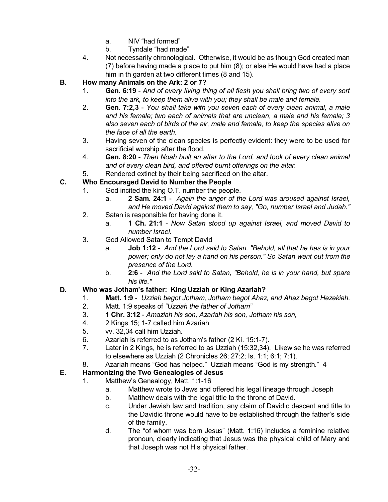- a. NIV "had formed"
- b. Tyndale "had made"
- 4. Not necessarily chronological. Otherwise, it would be as though God created man (7) before having made a place to put him (8); or else He would have had a place him in th garden at two different times (8 and 15).
- **B. How many Animals on the Ark: 2 or 7?**
	- 1. **Gen. 6:19** *And of every living thing of all flesh you shall bring two of every sort into the ark, to keep them alive with you; they shall be male and female.*
	- 2. **Gen. 7:2,3** *You shall take with you seven each of every clean animal, a male and his female; two each of animals that are unclean, a male and his female; 3 also seven each of birds of the air, male and female, to keep the species alive on the face of all the earth.*
	- 3. Having seven of the clean species is perfectly evident: they were to be used for sacrificial worship after the flood.
	- 4. **Gen. 8:20** *Then Noah built an altar to the Lord, and took of every clean animal and of every clean bird, and offered burnt offerings on the altar.*
	- 5. Rendered extinct by their being sacrificed on the altar.

#### **C. Who Encouraged David to Number the People**

- 1. God incited the king O.T. number the people.
	- a. **2 Sam. 24:1** *Again the anger of the Lord was aroused against Israel, and He moved David against them to say, "Go, number Israel and Judah."*
- 2. Satan is responsible for having done it.
	- a. **1 Ch. 21:1** *Now Satan stood up against Israel, and moved David to number Israel.*
- 3. God Allowed Satan to Tempt David
	- a. **Job 1:12** *And the Lord said to Satan, "Behold, all that he has is in your power; only do not lay a hand on his person." So Satan went out from the presence of the Lord.*
	- b. **2:6** *And the Lord said to Satan, "Behold, he is in your hand, but spare his life."*

#### **D. Who was Jotham's father: King Uzziah or King Azariah?**

- 1. **Matt. 1:9** *Uzziah begot Jotham, Jotham begot Ahaz, and Ahaz begot Hezekiah.*
- 2. Matt. 1:9 speaks of *"Uzziah the father of Jotham"*
- 3. **1 Chr. 3:12** *Amaziah his son, Azariah his son, Jotham his son,*
- 4. 2 Kings 15; 1-7 called him Azariah
- 5. vv. 32,34 call him Uzziah.
- 6. Azariah is referred to as Jotham's father (2 Ki. 15:1-7).
- 7. Later in 2 Kings, he is referred to as Uzziah (15:32,34). Likewise he was referred to elsewhere as Uzziah (2 Chronicles 26; 27:2; Is. 1:1; 6:1; 7:1).
- 8. Azariah means "God has helped." Uzziah means "God is my strength." 4

## **E. Harmonizing the Two Genealogies of Jesus**

- 1. Matthew's Genealogy, Matt. 1:1-16
	- a. Matthew wrote to Jews and offered his legal lineage through Joseph
	- b. Matthew deals with the legal title to the throne of David.
	- c. Under Jewish law and tradition, any claim of Davidic descent and title to the Davidic throne would have to be established through the father's side of the family.
	- d. The "of whom was born Jesus" (Matt. 1:16) includes a feminine relative pronoun, clearly indicating that Jesus was the physical child of Mary and that Joseph was not His physical father.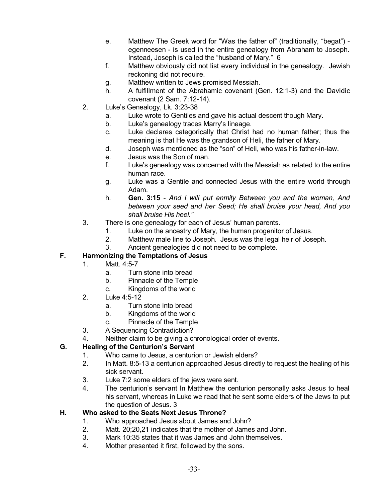- e. Matthew The Greek word for "Was the father of" (traditionally, "begat") egenneesen - is used in the entire genealogy from Abraham to Joseph. Instead, Joseph is called the "husband of Mary." 6
- f. Matthew obviously did not list every individual in the genealogy. Jewish reckoning did not require.
- g. Matthew written to Jews promised Messiah.
- h. A fulfillment of the Abrahamic covenant (Gen. 12:1-3) and the Davidic covenant (2 Sam. 7:12-14).
- 2. Luke's Genealogy, Lk. 3:23-38
	- a. Luke wrote to Gentiles and gave his actual descent though Mary.
	- b. Luke's genealogy traces Marry's lineage.
	- c. Luke declares categorically that Christ had no human father; thus the meaning is that He was the grandson of Heli, the father of Mary.
	- d. Joseph was mentioned as the "son" of Heli, who was his father-in-law.
	- e. Jesus was the Son of man.
	- f. Luke's genealogy was concerned with the Messiah as related to the entire human race.
	- g. Luke was a Gentile and connected Jesus with the entire world through Adam.
	- h. **Gen. 3:15** *And I will put enmity Between you and the woman, And between your seed and her Seed; He shall bruise your head, And you shall bruise His heel."*
- 3. There is one genealogy for each of Jesus' human parents.
	- 1. Luke on the ancestry of Mary, the human progenitor of Jesus.
	- 2. Matthew male line to Joseph. Jesus was the legal heir of Joseph.
	- 3. Ancient genealogies did not need to be complete.

#### **F. Harmonizing the Temptations of Jesus**

- 1. Matt. 4:5-7
	- a. Turn stone into bread
	- b. Pinnacle of the Temple
	- c. Kingdoms of the world
- 2. Luke 4:5-12
	- a. Turn stone into bread
	- b. Kingdoms of the world
	- c. Pinnacle of the Temple
- 3. A Sequencing Contradiction?
- 4. Neither claim to be giving a chronological order of events.

#### **G. Healing of the Centurion's Servant**

- 1. Who came to Jesus, a centurion or Jewish elders?
- 2. In Matt. 8:5-13 a centurion approached Jesus directly to request the healing of his sick servant.
- 3. Luke 7:2 some elders of the jews were sent.
- 4. The centurion's servant In Matthew the centurion personally asks Jesus to heal his servant, whereas in Luke we read that he sent some elders of the Jews to put the question of Jesus. 3

#### **H. Who asked to the Seats Next Jesus Throne?**

- 1. Who approached Jesus about James and John?
- 2. Matt. 20;20,21 indicates that the mother of James and John.
- 3. Mark 10:35 states that it was James and John themselves.
- 4. Mother presented it first, followed by the sons.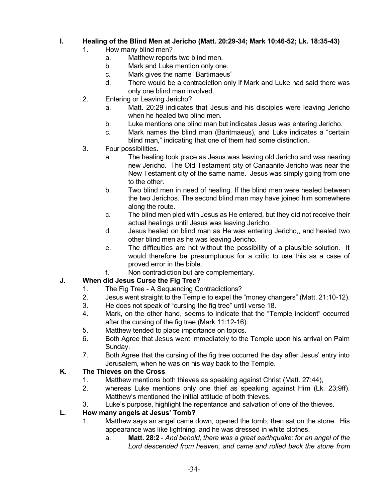#### **I. Healing of the Blind Men at Jericho (Matt. 20:29-34; Mark 10:46-52; Lk. 18:35-43)**

- 1. How many blind men?
	- a. Matthew reports two blind men.
	- b. Mark and Luke mention only one.
	- c. Mark gives the name "Bartimaeus"
	- d. There would be a contradiction only if Mark and Luke had said there was only one blind man involved.
- 2. Entering or Leaving Jericho?
	- a. Matt. 20:29 indicates that Jesus and his disciples were leaving Jericho when he healed two blind men.
	- b. Luke mentions one blind man but indicates Jesus was entering Jericho.
	- c. Mark names the blind man (Baritmaeus), and Luke indicates a "certain blind man," indicating that one of them had some distinction.
- 3. Four possibilities.
	- a. The healing took place as Jesus was leaving old Jericho and was nearing new Jericho. The Old Testament city of Canaanite Jericho was near the New Testament city of the same name. Jesus was simply going from one to the other.
	- b. Two blind men in need of healing. If the blind men were healed between the two Jerichos. The second blind man may have joined him somewhere along the route.
	- c. The blind men pled with Jesus as He entered, but they did not receive their actual healings until Jesus was leaving Jericho.
	- d. Jesus healed on blind man as He was entering Jericho,, and healed two other blind men as he was leaving Jericho.
	- e. The difficulties are not without the possibility of a plausible solution. It would therefore be presumptuous for a critic to use this as a case of proved error in the bible.
	- f. Non contradiction but are complementary.

## **J. When did Jesus Curse the Fig Tree?**

- 1. The Fig Tree A Sequencing Contradictions?
- 2. Jesus went straight to the Temple to expel the "money changers" (Matt. 21:10-12).
- 3. He does not speak of "cursing the fig tree" until verse 18.
- 4. Mark, on the other hand, seems to indicate that the "Temple incident" occurred after the cursing of the fig tree (Mark 11:12-16).
- 5. Matthew tended to place importance on topics.
- 6. Both Agree that Jesus went immediately to the Temple upon his arrival on Palm Sunday.
- 7. Both Agree that the cursing of the fig tree occurred the day after Jesus' entry into Jerusalem, when he was on his way back to the Temple.

## **K. The Thieves on the Cross**

- 1. Matthew mentions both thieves as speaking against Christ (Matt. 27:44),
- 2. whereas Luke mentions only one thief as speaking against Him (Lk. 23;9ff). Matthew's mentioned the initial attitude of both thieves.
- 3. Luke's purpose, highlight the repentance and salvation of one of the thieves.

## **L. How many angels at Jesus' Tomb?**

- 1. Matthew says an angel came down, opened the tomb, then sat on the stone. His appearance was like lightning, and he was dressed in white clothes,
	- a. **Matt. 28:2** *And behold, there was a great earthquake; for an angel of the Lord descended from heaven, and came and rolled back the stone from*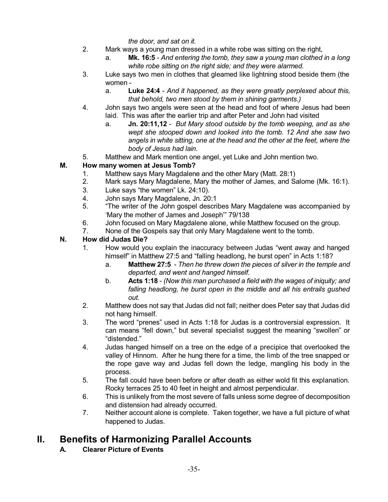*the door, and sat on it.*

- 2. Mark ways a young man dressed in a white robe was sitting on the right,
	- a. **Mk. 16:5** *And entering the tomb, they saw a young man clothed in a long white robe sitting on the right side; and they were alarmed.*
- 3. Luke says two men in clothes that gleamed like lightning stood beside them (the women
	- a. **Luke 24:4** *And it happened, as they were greatly perplexed about this, that behold, two men stood by them in shining garments.)*
- 4. John says two angels were seen at the head and foot of where Jesus had been laid. This was after the earlier trip and after Peter and John had visited
	- a. **Jn. 20:11,12** *But Mary stood outside by the tomb weeping, and as she wept she stooped down and looked into the tomb. 12 And she saw two angels in white sitting, one at the head and the other at the feet, where the body of Jesus had lain.*
- 5. Matthew and Mark mention one angel, yet Luke and John mention two.

## **M. How many women at Jesus Tomb?**

- 1. Matthew says Mary Magdalene and the other Mary (Matt. 28:1)
- 2. Mark says Mary Magdalene, Mary the mother of James, and Salome (Mk. 16:1).
- 3. Luke says "the women" Lk. 24:10).
- 4. John says Mary Magdalene, Jn. 20:1
- 5. "The writer of the John gospel describes Mary Magdalene was accompanied by 'Mary the mother of James and Joseph'" 79/138
- 6. John focused on Mary Magdalene alone, while Matthew focused on the group.
- 7. None of the Gospels say that only Mary Magdalene went to the tomb.

## **N. How did Judas Die?**

- 1. How would you explain the inaccuracy between Judas "went away and hanged himself" in Matthew 27:5 and "falling headlong, he burst open" in Acts 1:18?
	- a. **Matthew 27:5** *Then he threw down the pieces of silver in the temple and departed, and went and hanged himself.*
	- b. **Acts 1:18** *(Now this man purchased a field with the wages of iniquity; and falling headlong, he burst open in the middle and all his entrails gushed out.*
- 2. Matthew does not say that Judas did not fall; neither does Peter say that Judas did not hang himself.
- 3. The word "prenes" used in Acts 1:18 for Judas is a controversial expression. It can means "fell down," but several specialist suggest the meaning "swollen" or "distended."
- 4. Judas hanged himself on a tree on the edge of a precipice that overlooked the valley of Hinnom. After he hung there for a time, the limb of the tree snapped or the rope gave way and Judas fell down the ledge, mangling his body in the process.
- 5. The fall could have been before or after death as either wold fit this explanation. Rocky terraces 25 to 40 feet in height and almost perpendicular.
- 6. This is unlikely from the most severe of falls unless some degree of decomposition and distension had already occurred.
- 7. Neither account alone is complete. Taken together, we have a full picture of what happened to Judas.

# **II. Benefits of Harmonizing Parallel Accounts**

**A. Clearer Picture of Events**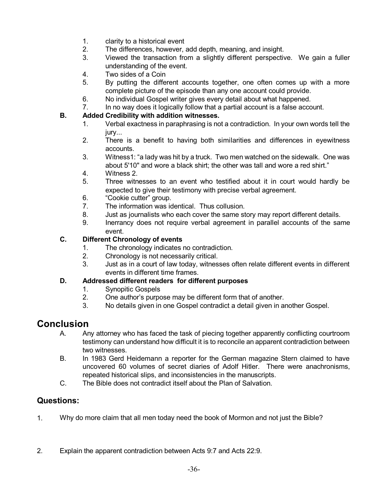- 1. clarity to a historical event
- 2. The differences, however, add depth, meaning, and insight.
- 3. Viewed the transaction from a slightly different perspective. We gain a fuller understanding of the event.
- 4. Two sides of a Coin
- 5. By putting the different accounts together, one often comes up with a more complete picture of the episode than any one account could provide.
- 6. No individual Gospel writer gives every detail about what happened.
- 7. In no way does it logically follow that a partial account is a false account.

#### **B. Added Credibility with addition witnesses.**

- 1. Verbal exactness in paraphrasing is not a contradiction. In your own words tell the iurv...
- 2. There is a benefit to having both similarities and differences in eyewitness accounts.
- 3. Witness1: "a lady was hit by a truck. Two men watched on the sidewalk. One was about 5'10" and wore a black shirt; the other was tall and wore a red shirt."
- 4. Witness 2.
- 5. Three witnesses to an event who testified about it in court would hardly be expected to give their testimony with precise verbal agreement.
- 6. "Cookie cutter" group.
- 7. The information was identical. Thus collusion.
- 8. Just as journalists who each cover the same story may report different details.
- 9. Inerrancy does not require verbal agreement in parallel accounts of the same event.

#### **C. Different Chronology of events**

- 1. The chronology indicates no contradiction.
- 2. Chronology is not necessarily critical.
- 3. Just as in a court of law today, witnesses often relate different events in different events in different time frames.

#### **D. Addressed different readers for different purposes**

- 1. Synopitic Gospels
- 2. One author's purpose may be different form that of another.
- 3. No details given in one Gospel contradict a detail given in another Gospel.

# **Conclusion**

- A. Any attorney who has faced the task of piecing together apparently conflicting courtroom testimony can understand how difficult it is to reconcile an apparent contradiction between two witnesses.
- B. In 1983 Gerd Heidemann a reporter for the German magazine Stern claimed to have uncovered 60 volumes of secret diaries of Adolf Hitler. There were anachronisms, repeated historical slips, and inconsistencies in the manuscripts.
- C. The Bible does not contradict itself about the Plan of Salvation.

# **Questions:**

- 1. Why do more claim that all men today need the book of Mormon and not just the Bible?
- 2. Explain the apparent contradiction between Acts 9:7 and Acts 22:9.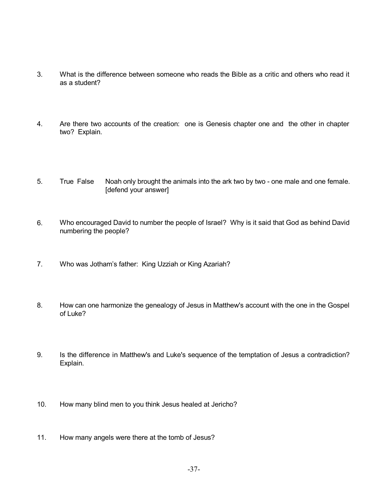- 3. What is the difference between someone who reads the Bible as a critic and others who read it as a student?
- 4. Are there two accounts of the creation: one is Genesis chapter one and the other in chapter two? Explain.
- 5. True False Noah only brought the animals into the ark two by two one male and one female. [defend your answer]
- 6. Who encouraged David to number the people of Israel? Why is it said that God as behind David numbering the people?
- 7. Who was Jotham's father: King Uzziah or King Azariah?
- 8. How can one harmonize the genealogy of Jesus in Matthew's account with the one in the Gospel of Luke?
- 9. Is the difference in Matthew's and Luke's sequence of the temptation of Jesus a contradiction? Explain.
- 10. How many blind men to you think Jesus healed at Jericho?
- 11. How many angels were there at the tomb of Jesus?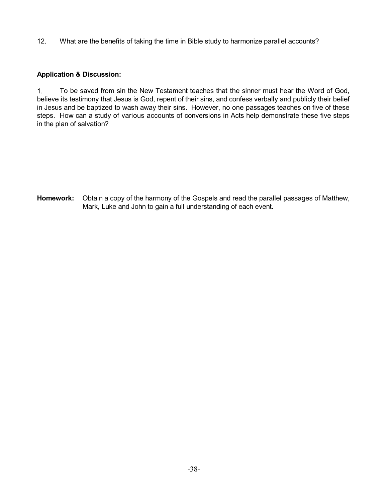12. What are the benefits of taking the time in Bible study to harmonize parallel accounts?

## **Application & Discussion:**

1. To be saved from sin the New Testament teaches that the sinner must hear the Word of God, believe its testimony that Jesus is God, repent of their sins, and confess verbally and publicly their belief in Jesus and be baptized to wash away their sins. However, no one passages teaches on five of these steps. How can a study of various accounts of conversions in Acts help demonstrate these five steps in the plan of salvation?

**Homework:** Obtain a copy of the harmony of the Gospels and read the parallel passages of Matthew, Mark, Luke and John to gain a full understanding of each event.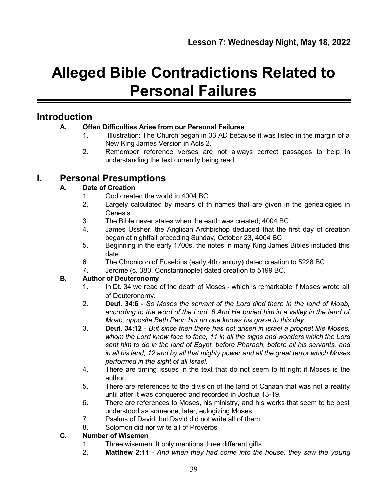# **Alleged Bible Contradictions Related to Personal Failures**

# **Introduction**

## **A. Often Difficulties Arise from our Personal Failures**

- 1. Illustration: The Church began in 33 AD because it was listed in the margin of a New King James Version in Acts 2.
- 2. Remember reference verses are not always correct passages to help in understanding the text currently being read.

# **I. Personal Presumptions**

## **A. Date of Creation**

- 1. God created the world in 4004 BC
- 2. Largely calculated by means of th names that are given in the genealogies in Genesis.
- 3. The Bible never states when the earth was created; 4004 BC
- 4. James Ussher, the Anglican Archbishop deduced that the first day of creation began at nightfall preceding Sunday, October 23, 4004 BC
- 5. Beginning in the early 1700s, the notes in many King James Bibles included this date.
- 6. The Chronicon of Eusebius (early 4th century) dated creation to 5228 BC
- 7. Jerome (c. 380, Constantinople) dated creation to 5199 BC.

## **B. Author of Deuteronomy**

- 1. In Dt. 34 we read of the death of Moses which is remarkable if Moses wrote all of Deuteronomy.
- 2. **Deut. 34:6** *So Moses the servant of the Lord died there in the land of Moab, according to the word of the Lord. 6 And He buried him in a valley in the land of Moab, opposite Beth Peor; but no one knows his grave to this day.*
- 3. **Deut. 34:12** *But since then there has not arisen in Israel a prophet like Moses, whom the Lord knew face to face, 11 in all the signs and wonders which the Lord sent him to do in the land of Egypt, before Pharaoh, before all his servants, and in all his land, 12 and by all that mighty power and all the great terror which Moses performed in the sight of all Israel.*
- 4. There are timing issues in the text that do not seem to fit right if Moses is the author.
- 5. There are references to the division of the land of Canaan that was not a reality until after it was conquered and recorded in Joshua 13-19.
- 6. There are references to Moses, his ministry, and his works that seem to be best understood as someone, later, eulogizing Moses.
- 7. Psalms of David, but David did not write all of them.
- 8. Solomon did nor write all of Proverbs

## **C. Number of Wisemen**

- 1. Three wisemen. It only mentions three different gifts.
- 2. **Matthew 2:11** *And when they had come into the house, they saw the young*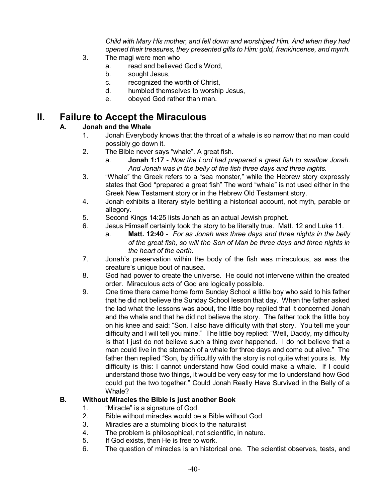*Child with Mary His mother, and fell down and worshiped Him. And when they had opened their treasures, they presented gifts to Him: gold, frankincense, and myrrh.*

- 3. The magi were men who
	- a. read and believed God's Word,
	- b. sought Jesus,
	- c. recognized the worth of Christ,
	- d. humbled themselves to worship Jesus,
	- e. obeyed God rather than man.

# **II. Failure to Accept the Miraculous**

## **A. Jonah and the Whale**

- 1. Jonah Everybody knows that the throat of a whale is so narrow that no man could possibly go down it.
- 2. The Bible never says "whale". A great fish.
	- a. **Jonah 1:17** *Now the Lord had prepared a great fish to swallow Jonah. And Jonah was in the belly of the fish three days and three nights.*
- 3. "Whale" the Greek refers to a "sea monster," while the Hebrew story expressly states that God "prepared a great fish" The word "whale" is not used either in the Greek New Testament story or in the Hebrew Old Testament story.
- 4. Jonah exhibits a literary style befitting a historical account, not myth, parable or allegory.
- 5. Second Kings 14:25 lists Jonah as an actual Jewish prophet.
- 6. Jesus Himself certainly took the story to be literally true. Matt. 12 and Luke 11.
	- a. **Matt. 12:40** *For as Jonah was three days and three nights in the belly of the great fish, so will the Son of Man be three days and three nights in the heart of the earth.*
- 7. Jonah's preservation within the body of the fish was miraculous, as was the creature's unique bout of nausea.
- 8. God had power to create the universe. He could not intervene within the created order. Miraculous acts of God are logically possible.
- 9. One time there came home form Sunday School a little boy who said to his father that he did not believe the Sunday School lesson that day. When the father asked the lad what the lessons was about, the little boy replied that it concerned Jonah and the whale and that he did not believe the story. The father took the little boy on his knee and said: "Son, I also have difficulty with that story. You tell me your difficulty and I will tell you mine." The little boy replied: "Well, Daddy, my difficulty is that I just do not believe such a thing ever happened. I do not believe that a man could live in the stomach of a whale for three days and come out alive." The father then replied "Son, by difficultly with the story is not quite what yours is. My difficulty is this: I cannot understand how God could make a whale. If I could understand those two things, it would be very easy for me to understand how God could put the two together." Could Jonah Really Have Survived in the Belly of a Whale?

## **B. Without Miracles the Bible is just another Book**

- 1. "Miracle" is a signature of God.
- 2. Bible without miracles would be a Bible without God
- 3. Miracles are a stumbling block to the naturalist
- 4. The problem is philosophical, not scientific, in nature.
- 5. If God exists, then He is free to work.
- 6. The question of miracles is an historical one. The scientist observes, tests, and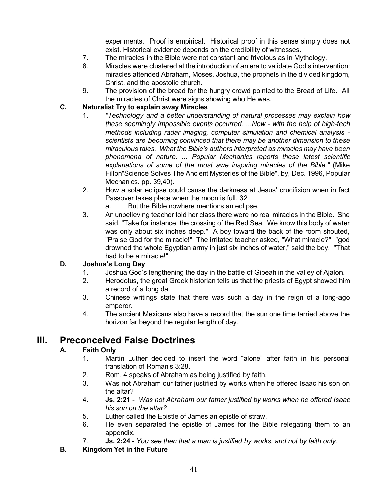experiments. Proof is empirical. Historical proof in this sense simply does not exist. Historical evidence depends on the credibility of witnesses.

- 7. The miracles in the Bible were not constant and frivolous as in Mythology.
- 8. Miracles were clustered at the introduction of an era to validate God's intervention: miracles attended Abraham, Moses, Joshua, the prophets in the divided kingdom, Christ, and the apostolic church.
- 9. The provision of the bread for the hungry crowd pointed to the Bread of Life. All the miracles of Christ were signs showing who He was.

## **C. Naturalist Try to explain away Miracles**

- 1. *"Technology and a better understanding of natural processes may explain how these seemingly impossible events occurred. ...Now - with the help of high-tech methods including radar imaging, computer simulation and chemical analysis scientists are becoming convinced that there may be another dimension to these miraculous tales. What the Bible's authors interpreted as miracles may have been phenomena of nature. ... Popular Mechanics reports these latest scientific explanations of some of the most awe inspiring miracles of the Bible."* (Mike Fillon"Science Solves The Ancient Mysteries of the Bible", by, Dec. 1996, Popular Mechanics. pp. 39,40).
- 2. How a solar eclipse could cause the darkness at Jesus' crucifixion when in fact Passover takes place when the moon is full. 32
	- a. But the Bible nowhere mentions an eclipse.
- 3. An unbelieving teacher told her class there were no real miracles in the Bible. She said, "Take for instance, the crossing of the Red Sea. We know this body of water was only about six inches deep." A boy toward the back of the room shouted, "Praise God for the miracle!" The irritated teacher asked, "What miracle?" "god drowned the whole Egyptian army in just six inches of water," said the boy. "That had to be a miracle!"

## **D. Joshua's Long Day**

- 1. Joshua God's lengthening the day in the battle of Gibeah in the valley of Ajalon.
- 2. Herodotus, the great Greek historian tells us that the priests of Egypt showed him a record of a long da.
- 3. Chinese writings state that there was such a day in the reign of a long-ago emperor.
- 4. The ancient Mexicans also have a record that the sun one time tarried above the horizon far beyond the regular length of day.

# **III. Preconceived False Doctrines**

## **A. Faith Only**

- 1. Martin Luther decided to insert the word "alone" after faith in his personal translation of Roman's 3:28.
- 2. Rom. 4 speaks of Abraham as being justified by faith.
- 3. Was not Abraham our father justified by works when he offered Isaac his son on the altar?
- 4. **Js. 2:21** *Was not Abraham our father justified by works when he offered Isaac his son on the altar?*
- 5. Luther called the Epistle of James an epistle of straw.
- 6. He even separated the epistle of James for the Bible relegating them to an appendix.
- 7. **Js. 2:24** *You see then that a man is justified by works, and not by faith only.*
- **B. Kingdom Yet in the Future**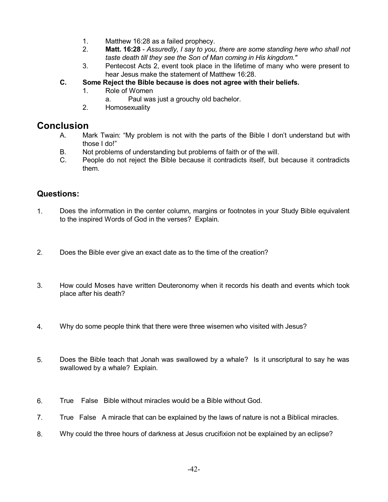- 1. Matthew 16:28 as a failed prophecy.
- 2. **Matt. 16:28** *Assuredly, I say to you, there are some standing here who shall not taste death till they see the Son of Man coming in His kingdom."*
- 3. Pentecost Acts 2, event took place in the lifetime of many who were present to hear Jesus make the statement of Matthew 16:28.
- **C. Some Reject the Bible because is does not agree with their beliefs.**
	- 1. Role of Women
		- a. Paul was just a grouchy old bachelor.
	- 2. Homosexuality

# **Conclusion**

- A. Mark Twain: "My problem is not with the parts of the Bible I don't understand but with those I do!"
- B. Not problems of understanding but problems of faith or of the will.
- C. People do not reject the Bible because it contradicts itself, but because it contradicts them.

# **Questions:**

- 1. Does the information in the center column, margins or footnotes in your Study Bible equivalent to the inspired Words of God in the verses? Explain.
- 2. Does the Bible ever give an exact date as to the time of the creation?
- 3. How could Moses have written Deuteronomy when it records his death and events which took place after his death?
- 4. Why do some people think that there were three wisemen who visited with Jesus?
- 5. Does the Bible teach that Jonah was swallowed by a whale? Is it unscriptural to say he was swallowed by a whale? Explain.
- 6. True False Bible without miracles would be a Bible without God.
- 7. True False A miracle that can be explained by the laws of nature is not a Biblical miracles.
- 8. Why could the three hours of darkness at Jesus crucifixion not be explained by an eclipse?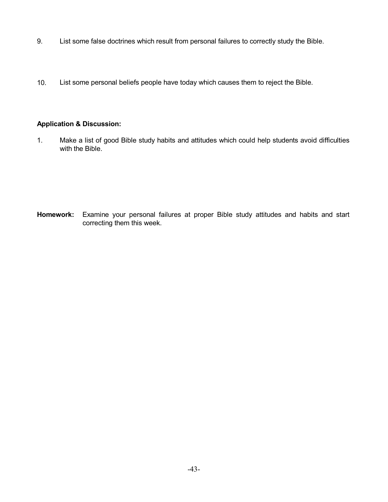- 9. List some false doctrines which result from personal failures to correctly study the Bible.
- 10. List some personal beliefs people have today which causes them to reject the Bible.

## **Application & Discussion:**

1. Make a list of good Bible study habits and attitudes which could help students avoid difficulties with the Bible.

**Homework:** Examine your personal failures at proper Bible study attitudes and habits and start correcting them this week.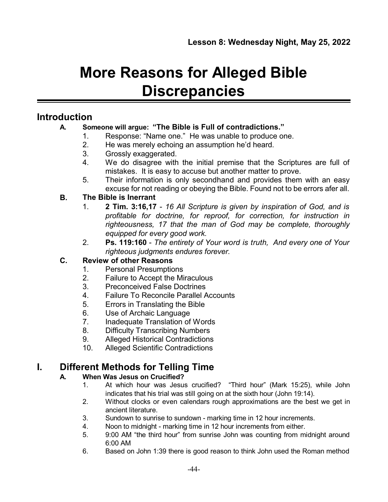# **More Reasons for Alleged Bible Discrepancies**

# **Introduction**

## **A. Someone will argue: "The Bible is Full of contradictions."**

- 1. Response: "Name one." He was unable to produce one.
- 2. He was merely echoing an assumption he'd heard.
- 3. Grossly exaggerated.
- 4. We do disagree with the initial premise that the Scriptures are full of mistakes. It is easy to accuse but another matter to prove.
- 5. Their information is only secondhand and provides them with an easy excuse for not reading or obeying the Bible. Found not to be errors afer all.

# **B. The Bible is Inerrant**

- 1. **2 Tim. 3:16,17** *16 All Scripture is given by inspiration of God, and is profitable for doctrine, for reproof, for correction, for instruction in righteousness, 17 that the man of God may be complete, thoroughly equipped for every good work.*
- 2. **Ps. 119:160** *The entirety of Your word is truth, And every one of Your righteous judgments endures forever.*

# **C. Review of other Reasons**

- 1. Personal Presumptions
- 2. Failure to Accept the Miraculous
- 3. Preconceived False Doctrines
- 4. Failure To Reconcile Parallel Accounts
- 5. Errors in Translating the Bible
- 6. Use of Archaic Language
- 7. Inadequate Translation of Words
- 8. Difficulty Transcribing Numbers
- 9. Alleged Historical Contradictions
- 10. Alleged Scientific Contradictions

# **I. Different Methods for Telling Time**

# **A. When Was Jesus on Crucified?**

- 1. At which hour was Jesus crucified? "Third hour" (Mark 15:25), while John indicates that his trial was still going on at the sixth hour (John 19:14).
- 2. Without clocks or even calendars rough approximations are the best we get in ancient literature.
- 3. Sundown to sunrise to sundown marking time in 12 hour increments.
- 4. Noon to midnight marking time in 12 hour increments from either.
- 5. 9:00 AM "the third hour" from sunrise John was counting from midnight around 6:00 AM
- 6. Based on John 1:39 there is good reason to think John used the Roman method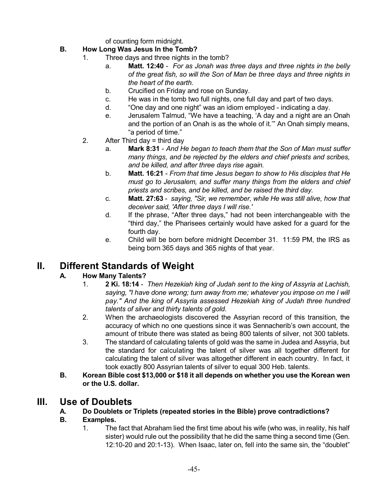of counting form midnight.

- **B. How Long Was Jesus In the Tomb?**
	- 1. Three days and three nights in the tomb?
		- a. **Matt. 12:40** *For as Jonah was three days and three nights in the belly of the great fish, so will the Son of Man be three days and three nights in the heart of the earth.*
		- b. Crucified on Friday and rose on Sunday.
		- c. He was in the tomb two full nights, one full day and part of two days.
		- d. "One day and one night" was an idiom employed indicating a day.
		- e. Jerusalem Talmud, "We have a teaching, 'A day and a night are an Onah and the portion of an Onah is as the whole of it.'" An Onah simply means, "a period of time."
	- 2. After Third day = third day
		- a. **Mark 8:31** *And He began to teach them that the Son of Man must suffer many things, and be rejected by the elders and chief priests and scribes, and be killed, and after three days rise again.*
		- b. **Matt. 16:21** *From that time Jesus began to show to His disciples that He must go to Jerusalem, and suffer many things from the elders and chief priests and scribes, and be killed, and be raised the third day.*
		- c. **Matt. 27:63** *saying, "Sir, we remember, while He was still alive, how that deceiver said, 'After three days I will rise.'*
		- d. If the phrase, "After three days," had not been interchangeable with the "third day," the Pharisees certainly would have asked for a guard for the fourth day.
		- e. Child will be born before midnight December 31. 11:59 PM, the IRS as being born 365 days and 365 nights of that year.

# **II. Different Standards of Weight**

## **A. How Many Talents?**

- 1. **2 Ki. 18:14** *Then Hezekiah king of Judah sent to the king of Assyria at Lachish, saying, "I have done wrong; turn away from me; whatever you impose on me I will pay." And the king of Assyria assessed Hezekiah king of Judah three hundred talents of silver and thirty talents of gold.*
- 2. When the archaeologists discovered the Assyrian record of this transition, the accuracy of which no one questions since it was Sennacherib's own account, the amount of tribute there was stated as being 800 talents of silver, not 300 tablets.
- 3. The standard of calculating talents of gold was the same in Judea and Assyria, but the standard for calculating the talent of silver was all together different for calculating the talent of silver was altogether different in each country. In fact, it took exactly 800 Assyrian talents of silver to equal 300 Heb. talents.
- **B. Korean Bible cost \$13,000 or \$18 it all depends on whether you use the Korean wen or the U.S. dollar.**

# **III. Use of Doublets**

## **A. Do Doublets or Triplets (repeated stories in the Bible) prove contradictions?**

## **B. Examples.**

1. The fact that Abraham lied the first time about his wife (who was, in reality, his half sister) would rule out the possibility that he did the same thing a second time (Gen. 12:10-20 and 20:1-13). When Isaac, later on, fell into the same sin, the "doublet"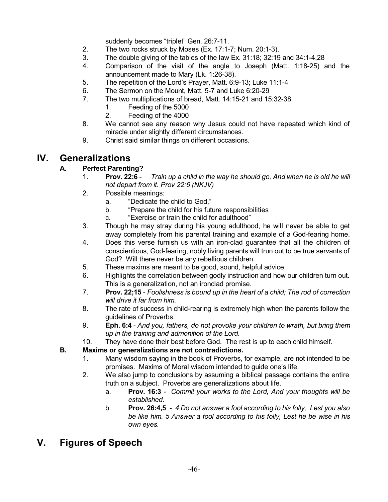suddenly becomes "triplet" Gen. 26:7-11.

- 2. The two rocks struck by Moses (Ex. 17:1-7; Num. 20:1-3).
- 3. The double giving of the tables of the law Ex. 31:18; 32:19 and 34:1-4,28
- 4. Comparison of the visit of the angle to Joseph (Matt. 1:18-25) and the announcement made to Mary (Lk. 1:26-38).
- 5. The repetition of the Lord's Prayer, Matt. 6:9-13; Luke 11:1-4
- 6. The Sermon on the Mount, Matt. 5-7 and Luke 6:20-29
- 7. The two multiplications of bread, Matt. 14:15-21 and 15:32-38
	- 1. Feeding of the 5000
	- 2. Feeding of the 4000
- 8. We cannot see any reason why Jesus could not have repeated which kind of miracle under slightly different circumstances.
- 9. Christ said similar things on different occasions.

# **IV. Generalizations**

## **A. Perfect Parenting?**

- 1. **Prov. 22:6** *Train up a child in the way he should go, And when he is old he will not depart from it. Prov 22:6 (NKJV)*
- 2. Possible meanings:
	- a. "Dedicate the child to God,"
	- b. "Prepare the child for his future responsibilities
	- c. "Exercise or train the child for adulthood"
- 3. Though he may stray during his young adulthood, he will never be able to get away completely from his parental training and example of a God-fearing home.
- 4. Does this verse furnish us with an iron-clad guarantee that all the children of conscientious, God-fearing, nobly living parents will trun out to be true servants of God? Will there never be any rebellious children.
- 5. These maxims are meant to be good, sound, helpful advice.
- 6. Highlights the correlation between godly instruction and how our children turn out. This is a generalization, not an ironclad promise.
- 7. **Prov. 22;15** *Foolishness is bound up in the heart of a child; The rod of correction will drive it far from him.*
- 8. The rate of success in child-rearing is extremely high when the parents follow the guidelines of Proverbs.
- 9. **Eph. 6:4** *And you, fathers, do not provoke your children to wrath, but bring them up in the training and admonition of the Lord.*
- 10. They have done their best before God. The rest is up to each child himself.

## **B. Maxims or generalizations are not contradictions.**

- 1. Many wisdom saying in the book of Proverbs, for example, are not intended to be promises. Maxims of Moral wisdom intended to guide one's life.
- 2. We also jump to conclusions by assuming a biblical passage contains the entire truth on a subject. Proverbs are generalizations about life.
	- a. **Prov. 16:3** *Commit your works to the Lord, And your thoughts will be established.*
	- b. **Prov. 26:4,5** *4 Do not answer a fool according to his folly, Lest you also be like him. 5 Answer a fool according to his folly, Lest he be wise in his own eyes.*

# **V. Figures of Speech**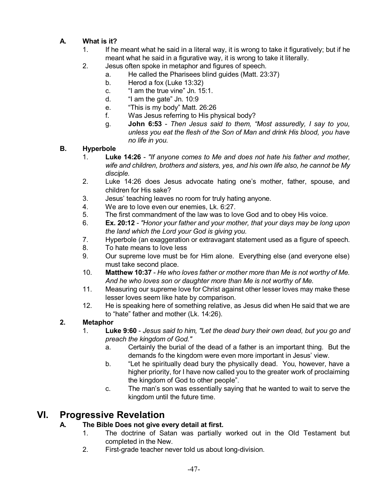# **A. What is it?**

- 1. If he meant what he said in a literal way, it is wrong to take it figuratively; but if he meant what he said in a figurative way, it is wrong to take it literally.
- 2. Jesus often spoke in metaphor and figures of speech.
	- a. He called the Pharisees blind guides (Matt. 23:37)
	- b. Herod a fox (Luke 13:32)
	- c. "I am the true vine" Jn. 15:1.
	- d. "I am the gate" Jn. 10:9
	- e. "This is my body" Matt. 26:26
	- f. Was Jesus referring to His physical body?
	- g. **John 6:53** *Then Jesus said to them, "Most assuredly, I say to you, unless you eat the flesh of the Son of Man and drink His blood, you have no life in you.*

## **B. Hyperbole**

- 1. **Luke 14:26** *"If anyone comes to Me and does not hate his father and mother, wife and children, brothers and sisters, yes, and his own life also, he cannot be My disciple.*
- 2. Luke 14:26 does Jesus advocate hating one's mother, father, spouse, and children for His sake?
- 3. Jesus' teaching leaves no room for truly hating anyone.
- 4. We are to love even our enemies, Lk. 6:27.
- 5. The first commandment of the law was to love God and to obey His voice.
- 6. **Ex. 20:12** *"Honor your father and your mother, that your days may be long upon the land which the Lord your God is giving you.*
- 7. Hyperbole (an exaggeration or extravagant statement used as a figure of speech.
- 8. To hate means to love less
- 9. Our supreme love must be for Him alone. Everything else (and everyone else) must take second place.
- 10. **Matthew 10:37** *He who loves father or mother more than Me is not worthy of Me. And he who loves son or daughter more than Me is not worthy of Me.*
- 11. Measuring our supreme love for Christ against other lesser loves may make these lesser loves seem like hate by comparison.
- 12. He is speaking here of something relative, as Jesus did when He said that we are to "hate" father and mother (Lk. 14:26).

# **2. Metaphor**

- 1. **Luke 9:60** *Jesus said to him, "Let the dead bury their own dead, but you go and preach the kingdom of God."*
	- a. Certainly the burial of the dead of a father is an important thing. But the demands fo the kingdom were even more important in Jesus' view.
	- b. "Let he spiritually dead bury the physically dead. You, however, have a higher priority, for I have now called you to the greater work of proclaiming the kingdom of God to other people".
	- c. The man's son was essentially saying that he wanted to wait to serve the kingdom until the future time.

# **VI. Progressive Revelation**

# **A. The Bible Does not give every detail at first.**

- 1. The doctrine of Satan was partially worked out in the Old Testament but completed in the New.
- 2. First-grade teacher never told us about long-division.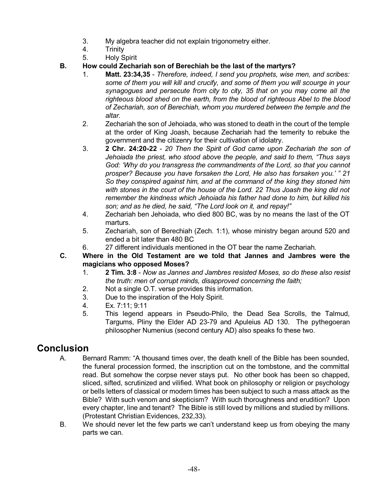- 3. My algebra teacher did not explain trigonometry either.
- 4. Trinity
- 5. Holy Spirit
- **B. How could Zechariah son of Berechiah be the last of the martyrs?**
	- 1. **Matt. 23:34,35** *Therefore, indeed, I send you prophets, wise men, and scribes: some of them you will kill and crucify, and some of them you will scourge in your synagogues and persecute from city to city, 35 that on you may come all the righteous blood shed on the earth, from the blood of righteous Abel to the blood of Zechariah, son of Berechiah, whom you murdered between the temple and the altar.*
	- 2. Zechariah the son of Jehoiada, who was stoned to death in the court of the temple at the order of King Joash, because Zechariah had the temerity to rebuke the government and the citizenry for their cultivation of idolatry.
	- 3. **2 Chr. 24:20-22** *20 Then the Spirit of God came upon Zechariah the son of Jehoiada the priest, who stood above the people, and said to them, "Thus says God: 'Why do you transgress the commandments of the Lord, so that you cannot prosper? Because you have forsaken the Lord, He also has forsaken you.' " 21 So they conspired against him, and at the command of the king they stoned him with stones in the court of the house of the Lord. 22 Thus Joash the king did not remember the kindness which Jehoiada his father had done to him, but killed his son; and as he died, he said, "The Lord look on it, and repay!"*
	- 4. Zechariah ben Jehoiada, who died 800 BC, was by no means the last of the OT marturs.
	- 5. Zechariah, son of Berechiah (Zech. 1:1), whose ministry began around 520 and ended a bit later than 480 BC
	- 6. 27 different individuals mentioned in the OT bear the name Zechariah.
- **C. Where in the Old Testament are we told that Jannes and Jambres were the magicians who opposed Moses?**
	- 1. **2 Tim. 3:8** *Now as Jannes and Jambres resisted Moses, so do these also resist the truth: men of corrupt minds, disapproved concerning the faith;*
	- 2. Not a single O.T. verse provides this information.
	- 3. Due to the inspiration of the Holy Spirit.
	- 4. Ex. 7:11; 9:11
	- 5. This legend appears in Pseudo-Philo, the Dead Sea Scrolls, the Talmud, Targums, Pliny the Elder AD 23-79 and Apuleius AD 130. The pythegoeran philosopher Numenius (second century AD) also speaks fo these two.

# **Conclusion**

- A. Bernard Ramm: "A thousand times over, the death knell of the Bible has been sounded, the funeral procession formed, the inscription cut on the tombstone, and the committal read. But somehow the corpse never stays put. No other book has been so chapped, sliced, sifted, scrutinized and vilified. What book on philosophy or religion or psychology or bells letters of classical or modern times has been subject to such a mass attack as the Bible? With such venom and skepticism? With such thoroughness and erudition? Upon every chapter, line and tenant? The Bible is still loved by millions and studied by millions. (Protestant Christian Evidences, 232,33).
- B. We should never let the few parts we can't understand keep us from obeying the many parts we can.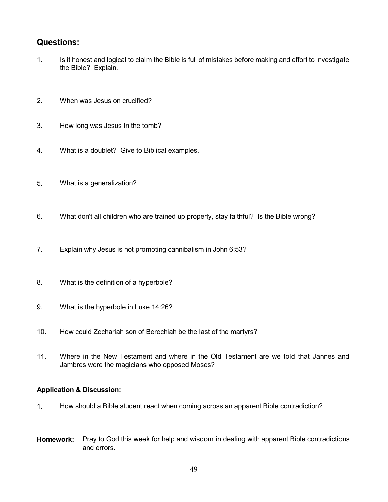## **Questions:**

- 1. Is it honest and logical to claim the Bible is full of mistakes before making and effort to investigate the Bible? Explain.
- 2. When was Jesus on crucified?
- 3. How long was Jesus In the tomb?
- 4. What is a doublet? Give to Biblical examples.
- 5. What is a generalization?
- 6. What don't all children who are trained up properly, stay faithful? Is the Bible wrong?
- 7. Explain why Jesus is not promoting cannibalism in John 6:53?
- 8. What is the definition of a hyperbole?
- 9. What is the hyperbole in Luke 14:26?
- 10. How could Zechariah son of Berechiah be the last of the martyrs?
- 11. Where in the New Testament and where in the Old Testament are we told that Jannes and Jambres were the magicians who opposed Moses?

## **Application & Discussion:**

- 1. How should a Bible student react when coming across an apparent Bible contradiction?
- **Homework:** Pray to God this week for help and wisdom in dealing with apparent Bible contradictions and errors.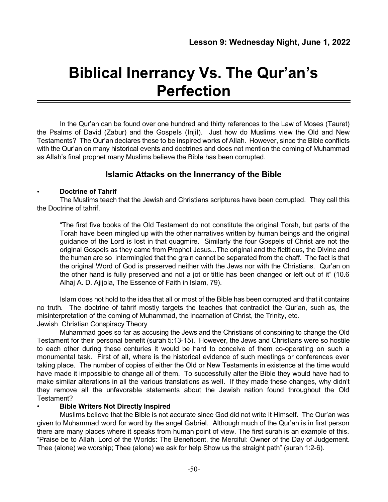# **Biblical Inerrancy Vs. The Qur'an's Perfection**

In the Qur'an can be found over one hundred and thirty references to the Law of Moses (Tauret) the Psalms of David (Zabur) and the Gospels (Injil). Just how do Muslims view the Old and New Testaments? The Qur'an declares these to be inspired works of Allah. However, since the Bible conflicts with the Qur'an on many historical events and doctrines and does not mention the coming of Muhammad as Allah's final prophet many Muslims believe the Bible has been corrupted.

## **Islamic Attacks on the Innerrancy of the Bible**

## • **Doctrine of Tahrif**

The Muslims teach that the Jewish and Christians scriptures have been corrupted. They call this the Doctrine of tahrif.

"The first five books of the Old Testament do not constitute the original Torah, but parts of the Torah have been mingled up with the other narratives written by human beings and the original guidance of the Lord is lost in that quagmire. Similarly the four Gospels of Christ are not the original Gospels as they came from Prophet Jesus...The original and the fictitious, the Divine and the human are so intermingled that the grain cannot be separated from the chaff. The fact is that the original Word of God is preserved neither with the Jews nor with the Christians. Qur'an on the other hand is fully preserved and not a jot or tittle has been changed or left out of it" (10.6 Alhaj A. D. Ajijola, The Essence of Faith in Islam, 79).

Islam does not hold to the idea that all or most of the Bible has been corrupted and that it contains no truth. The doctrine of tahrif mostly targets the teaches that contradict the Qur'an, such as, the misinterpretation of the coming of Muhammad, the incarnation of Christ, the Trinity, etc. Jewish Christian Conspiracy Theory

Muhammad goes so far as accusing the Jews and the Christians of conspiring to change the Old Testament for their personal benefit (surah 5:13-15). However, the Jews and Christians were so hostile to each other during these centuries it would be hard to conceive of them co-operating on such a monumental task. First of all, where is the historical evidence of such meetings or conferences ever taking place. The number of copies of either the Old or New Testaments in existence at the time would have made it impossible to change all of them. To successfully alter the Bible they would have had to make similar alterations in all the various translations as well. If they made these changes, why didn't they remove all the unfavorable statements about the Jewish nation found throughout the Old Testament?

## • **Bible Writers Not Directly Inspired**

Muslims believe that the Bible is not accurate since God did not write it Himself. The Qur'an was given to Muhammad word for word by the angel Gabriel. Although much of the Qur'an is in first person there are many places where it speaks from human point of view. The first surah is an example of this. "Praise be to Allah, Lord of the Worlds: The Beneficent, the Merciful: Owner of the Day of Judgement. Thee (alone) we worship; Thee (alone) we ask for help Show us the straight path" (surah 1:2-6).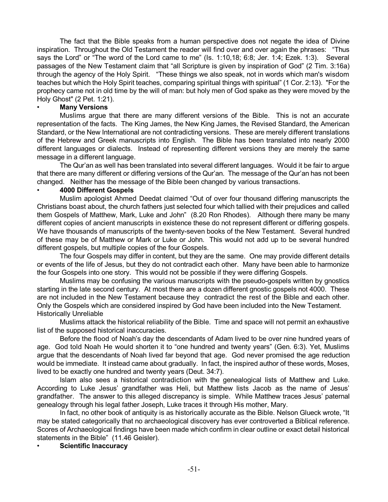The fact that the Bible speaks from a human perspective does not negate the idea of Divine inspiration. Throughout the Old Testament the reader will find over and over again the phrases: "Thus says the Lord" or "The word of the Lord came to me" (Is. 1:10,18; 6:8; Jer. 1:4; Ezek. 1:3). Several passages of the New Testament claim that "all Scripture is given by inspiration of God" (2 Tim. 3:16a) through the agency of the Holy Spirit. "These things we also speak, not in words which man's wisdom teaches but which the Holy Spirit teaches, comparing spiritual things with spiritual" (1 Cor. 2:13). "For the prophecy came not in old time by the will of man: but holy men of God spake as they were moved by the Holy Ghost" (2 Pet. 1:21).

#### • **Many Versions**

Muslims argue that there are many different versions of the Bible. This is not an accurate representation of the facts. The King James, the New King James, the Revised Standard, the American Standard, or the New International are not contradicting versions. These are merely different translations of the Hebrew and Greek manuscripts into English. The Bible has been translated into nearly 2000 different languages or dialects. Instead of representing different versions they are merely the same message in a different language.

The Qur'an as well has been translated into several different languages. Would it be fair to argue that there are many different or differing versions of the Qur'an. The message of the Qur'an has not been changed. Neither has the message of the Bible been changed by various transactions.

#### • **4000 Different Gospels**

Muslim apologist Ahmed Deedat claimed "Out of over four thousand differing manuscripts the Christians boast about, the church fathers just selected four which tallied with their prejudices and called them Gospels of Matthew, Mark, Luke and John" (8.20 Ron Rhodes). Although there many be many different copies of ancient manuscripts in existence these do not represent different or differing gospels. We have thousands of manuscripts of the twenty-seven books of the New Testament. Several hundred of these may be of Matthew or Mark or Luke or John. This would not add up to be several hundred different gospels, but multiple copies of the four Gospels.

The four Gospels may differ in content, but they are the same. One may provide different details or events of the life of Jesus, but they do not contradict each other. Many have been able to harmonize the four Gospels into one story. This would not be possible if they were differing Gospels.

Muslims may be confusing the various manuscripts with the pseudo-gospels written by gnostics starting in the late second century. At most there are a dozen different gnostic gospels not 4000. These are not included in the New Testament because they contradict the rest of the Bible and each other. Only the Gospels which are considered inspired by God have been included into the New Testament. Historically Unreliable

Muslims attack the historical reliability of the Bible. Time and space will not permit an exhaustive list of the supposed historical inaccuracies.

Before the flood of Noah's day the descendants of Adam lived to be over nine hundred years of age. God told Noah He would shorten it to "one hundred and twenty years" (Gen. 6:3). Yet, Muslims argue that the descendants of Noah lived far beyond that age. God never promised the age reduction would be immediate. It instead came about gradually. In fact, the inspired author of these words, Moses, lived to be exactly one hundred and twenty years (Deut. 34:7).

Islam also sees a historical contradiction with the genealogical lists of Matthew and Luke. According to Luke Jesus' grandfather was Heli, but Matthew lists Jacob as the name of Jesus' grandfather. The answer to this alleged discrepancy is simple. While Matthew traces Jesus' paternal genealogy through his legal father Joseph, Luke traces it through His mother, Mary.

In fact, no other book of antiquity is as historically accurate as the Bible. Nelson Glueck wrote, "It may be stated categorically that no archaeological discovery has ever controverted a Biblical reference. Scores of Archaeological findings have been made which confirm in clear outline or exact detail historical statements in the Bible" (11.46 Geisler).

#### • **Scientific Inaccuracy**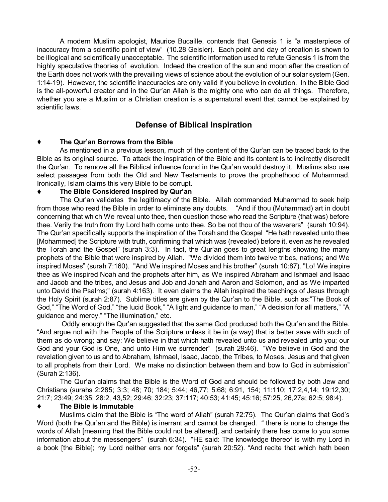A modern Muslim apologist, Maurice Bucaille, contends that Genesis 1 is "a masterpiece of inaccuracy from a scientific point of view" (10.28 Geisler). Each point and day of creation is shown to be illogical and scientifically unacceptable. The scientific information used to refute Genesis 1 is from the highly speculative theories of evolution. Indeed the creation of the sun and moon after the creation of the Earth does not work with the prevailing views of science about the evolution of our solar system (Gen. 1:14-19). However, the scientific inaccuracies are only valid if you believe in evolution. In the Bible God is the all-powerful creator and in the Qur'an Allah is the mighty one who can do all things. Therefore, whether you are a Muslim or a Christian creation is a supernatural event that cannot be explained by scientific laws.

## **Defense of Biblical Inspiration**

## **The Qur'an Borrows from the Bible**

As mentioned in a previous lesson, much of the content of the Qur'an can be traced back to the Bible as its original source. To attack the inspiration of the Bible and its content is to indirectly discredit the Qur'an. To remove all the Biblical influence found in the Qur'an would destroy it. Muslims also use select passages from both the Old and New Testaments to prove the prophethood of Muhammad. Ironically, Islam claims this very Bible to be corrupt.

## **The Bible Considered Inspired by Qur'an**

The Qur'an validates the legitimacy of the Bible. Allah commanded Muhammad to seek help from those who read the Bible in order to eliminate any doubts. "And if thou (Muhammad) art in doubt concerning that which We reveal unto thee, then question those who read the Scripture (that was) before thee. Verily the truth from thy Lord hath come unto thee. So be not thou of the waverers" (surah 10:94). The Qur'an specifically supports the inspiration of the Torah and the Gospel "He hath revealed unto thee [Mohammed] the Scripture with truth, confirming that which was (revealed) before it, even as he revealed the Torah and the Gospel" (surah 3:3). In fact, the Qur'an goes to great lengths showing the many prophets of the Bible that were inspired by Allah. "We divided them into twelve tribes, nations; and We inspired Moses" (surah 7:160). "And We inspired Moses and his brother" (surah 10:87). "Lo! We inspire thee as We inspired Noah and the prophets after him, as We inspired Abraham and Ishmael and Isaac and Jacob and the tribes, and Jesus and Job and Jonah and Aaron and Solomon, and as We imparted unto David the Psalms;" (surah 4:163). It even claims the Allah inspired the teachings of Jesus through the Holy Spirit (surah 2:87). Sublime titles are given by the Qur'an to the Bible, such as:"The Book of God," "The Word of God," "the lucid Book," "A light and guidance to man," "A decision for all matters," "A guidance and mercy," "The illumination," etc.

Oddly enough the Qur'an suggested that the same God produced both the Qur'an and the Bible. "And argue not with the People of the Scripture unless it be in (a way) that is better save with such of them as do wrong; and say: We believe in that which hath revealed unto us and revealed unto you; our God and your God is One, and unto Him we surrender" (surah 29:46). "We believe in God and the revelation given to us and to Abraham, Ishmael, Isaac, Jacob, the Tribes, to Moses, Jesus and that given to all prophets from their Lord. We make no distinction between them and bow to God in submission" (Surah 2:136).

The Qur'an claims that the Bible is the Word of God and should be followed by both Jew and Christians (surahs 2:285; 3:3; 48; 70; 184; 5:44; 46,77; 5:68; 6:91, 154; 11:110; 17:2,4,14; 19:12,30; 21:7; 23:49; 24:35; 28:2, 43,52; 29:46; 32:23; 37:117; 40:53; 41:45; 45:16; 57:25, 26,27a; 62:5; 98:4).

## **The Bible is Immutable**

Muslims claim that the Bible is "The word of Allah" (surah 72:75). The Qur'an claims that God's Word (both the Qur'an and the Bible) is inerrant and cannot be changed. " there is none to change the words of Allah [meaning that the Bible could not be altered], and certainly there has come to you some information about the messengers" (surah 6:34). "HE said: The knowledge thereof is with my Lord in a book [the Bible]; my Lord neither errs nor forgets" (surah 20:52). "And recite that which hath been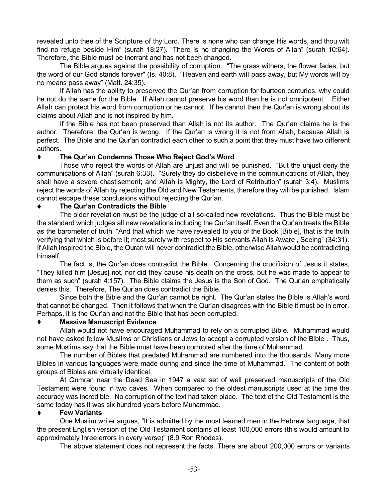revealed unto thee of the Scripture of thy Lord. There is none who can change His words, and thou wilt find no refuge beside Him" (surah 18:27). "There is no changing the Words of Allah" (surah 10:64). Therefore, the Bible must be inerrant and has not been changed.

The Bible argues against the possibility of corruption. "The grass withers, the flower fades, but the word of our God stands forever'' (Is. 40:8). "Heaven and earth will pass away, but My words will by no means pass away" (Matt. 24:35).

If Allah has the ability to preserved the Qur'an from corruption for fourteen centuries, why could he not do the same for the Bible. If Allah cannot preserve his word than he is not omnipotent. Either Allah can protect his word from corruption or he cannot. If he cannot then the Qur'an is wrong about its claims about Allah and is not inspired by him.

If the Bible has not been preserved than Allah is not its author. The Qur'an claims he is the author. Therefore, the Qur'an is wrong. If the Qur'an is wrong it is not from Allah, because Allah is perfect. The Bible and the Qur'an contradict each other to such a point that they must have two different authors.

## **The Qur'an Condemns Those Who Reject God's Word**

Those who reject the words of Allah are unjust and will be punished. "But the unjust deny the communications of Allah" (surah 6:33). "Surely they do disbelieve in the communications of Allah, they shall have a severe chastisement; and Allah is Mighty, the Lord of Retribution" (surah 3:4). Muslims reject the words of Allah by rejecting the Old and New Testaments, therefore they will be punished. Islam cannot escape these conclusions without rejecting the Qur'an.

#### **The Qur'an Contradicts the Bible**

The older revelation must be the judge of all so-called new revelations. Thus the Bible must be the standard which judges all new revelations including the Qur'an itself. Even the Qur'an treats the Bible as the barometer of truth. "And that which we have revealed to you of the Book [Bible], that is the truth verifying that which is before it; most surely with respect to His servants Allah is Aware , Seeing" (34:31). If Allah inspired the Bible, the Quran will never contradict the Bible, otherwise Allah would be contradicting himself.

The fact is, the Qur'an does contradict the Bible. Concerning the crucifixion of Jesus it states, "They killed him [Jesus] not, nor did they cause his death on the cross, but he was made to appear to them as such" (surah 4:157). The Bible claims the Jesus is the Son of God. The Qur'an emphatically denies this. Therefore, The Qur'an does contradict the Bible.

Since both the Bible and the Qur'an cannot be right. The Qur'an states the Bible is Allah's word that cannot be changed. Then it follows that when the Qur'an disagrees with the Bible it must be in error. Perhaps, it is the Qur'an and not the Bible that has been corrupted.

#### **Massive Manuscript Evidence**

Allah would not have encouraged Muhammad to rely on a corrupted Bible. Muhammad would not have asked fellow Muslims or Christians or Jews to accept a corrupted version of the Bible . Thus, some Muslims say that the Bible must have been corrupted after the time of Muhammad.

The number of Bibles that predated Muhammad are numbered into the thousands. Many more Bibles in various languages were made during and since the time of Muhammad. The content of both groups of Bibles are virtually identical.

At Qumran near the Dead Sea in 1947 a vast set of well preserved manuscripts of the Old Testament were found in two caves. When compared to the oldest manuscripts used at the time the accuracy was incredible. No corruption of the text had taken place. The text of the Old Testament is the same today has it was six hundred years before Muhammad.

#### **Few Variants**

One Muslim writer argues, "It is admitted by the most learned men in the Hebrew language, that the present English version of the Old Testament contains at least 100,000 errors (this would amount to approximately three errors in every verse)" (8.9 Ron Rhodes).

The above statement does not represent the facts. There are about 200,000 errors or variants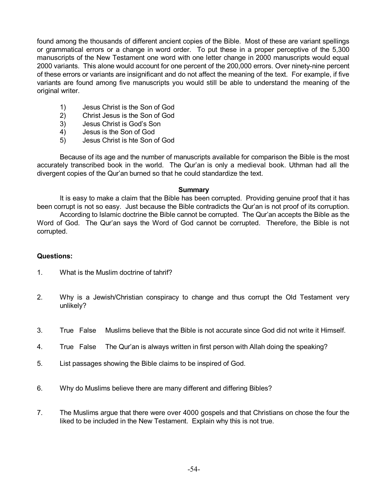found among the thousands of different ancient copies of the Bible. Most of these are variant spellings or grammatical errors or a change in word order. To put these in a proper perceptive of the 5,300 manuscripts of the New Testament one word with one letter change in 2000 manuscripts would equal 2000 variants. This alone would account for one percent of the 200,000 errors. Over ninety-nine percent of these errors or variants are insignificant and do not affect the meaning of the text. For example, if five variants are found among five manuscripts you would still be able to understand the meaning of the original writer.

- 1) Jesus Christ is the Son of God
- 2) Christ Jesus is the Son of God
- 3) Jesus Christ is God's Son
- 4) Jesus is the Son of God
- 5) Jesus Christ is hte Son of God

Because of its age and the number of manuscripts available for comparison the Bible is the most accurately transcribed book in the world. The Qur'an is only a medieval book. Uthman had all the divergent copies of the Qur'an burned so that he could standardize the text.

#### **Summary**

It is easy to make a claim that the Bible has been corrupted. Providing genuine proof that it has been corrupt is not so easy. Just because the Bible contradicts the Qur'an is not proof of its corruption.

According to Islamic doctrine the Bible cannot be corrupted. The Qur'an accepts the Bible as the Word of God. The Qur'an says the Word of God cannot be corrupted. Therefore, the Bible is not corrupted.

## **Questions:**

- 1. What is the Muslim doctrine of tahrif?
- 2. Why is a Jewish/Christian conspiracy to change and thus corrupt the Old Testament very unlikely?
- 3. True False Muslims believe that the Bible is not accurate since God did not write it Himself.
- 4. True False The Qur'an is always written in first person with Allah doing the speaking?
- 5. List passages showing the Bible claims to be inspired of God.
- 6. Why do Muslims believe there are many different and differing Bibles?
- 7. The Muslims argue that there were over 4000 gospels and that Christians on chose the four the liked to be included in the New Testament. Explain why this is not true.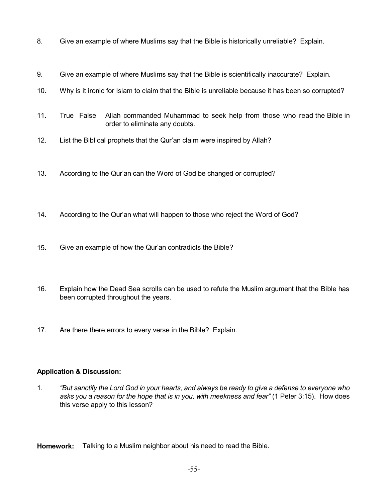- 8. Give an example of where Muslims say that the Bible is historically unreliable? Explain.
- 9. Give an example of where Muslims say that the Bible is scientifically inaccurate? Explain.
- 10. Why is it ironic for Islam to claim that the Bible is unreliable because it has been so corrupted?
- 11. True False Allah commanded Muhammad to seek help from those who read the Bible in order to eliminate any doubts.
- 12. List the Biblical prophets that the Qur'an claim were inspired by Allah?
- 13. According to the Qur'an can the Word of God be changed or corrupted?
- 14. According to the Qur'an what will happen to those who reject the Word of God?
- 15. Give an example of how the Qur'an contradicts the Bible?
- 16. Explain how the Dead Sea scrolls can be used to refute the Muslim argument that the Bible has been corrupted throughout the years.
- 17. Are there there errors to every verse in the Bible? Explain.

## **Application & Discussion:**

1. "But sanctify the Lord God in your hearts, and always be ready to give a defense to everyone who *asks you a reason for the hope that is in you, with meekness and fear"* (1 Peter 3:15). How does this verse apply to this lesson?

**Homework:** Talking to a Muslim neighbor about his need to read the Bible.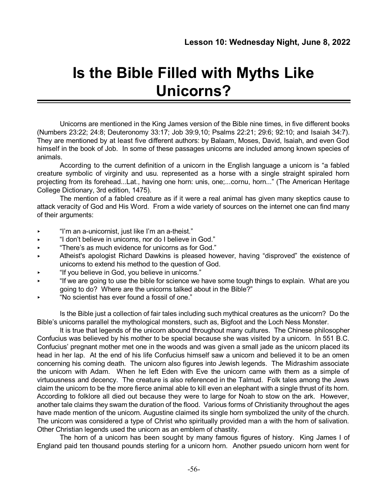# **Is the Bible Filled with Myths Like Unicorns?**

Unicorns are mentioned in the King James version of the Bible nine times, in five different books (Numbers 23:22; 24:8; Deuteronomy 33:17; Job 39:9,10; Psalms 22:21; 29:6; 92:10; and Isaiah 34:7). They are mentioned by at least five different authors: by Balaam, Moses, David, Isaiah, and even God himself in the book of Job. In some of these passages unicorns are included among known species of animals.

According to the current definition of a unicorn in the English language a unicorn is "a fabled creature symbolic of virginity and usu. represented as a horse with a single straight spiraled horn projecting from its forehead...Lat., having one horn: unis, one;...cornu, horn..." (The American Heritage College Dictionary, 3rd edition, 1475).

The mention of a fabled creature as if it were a real animal has given many skeptics cause to attack veracity of God and His Word. From a wide variety of sources on the internet one can find many of their arguments:

- < "I'm an a-unicornist, just like I'm an a-theist."
- < "I don't believe in unicorns, nor do I believe in God."
- < "There's as much evidence for unicorns as for God."
- < Atheist's apologist Richard Dawkins is pleased however, having "disproved" the existence of unicorns to extend his method to the question of God.
- < "If you believe in God, you believe in unicorns."
- < "If we are going to use the bible for science we have some tough things to explain. What are you going to do? Where are the unicorns talked about in the Bible?"
- < "No scientist has ever found a fossil of one."

Is the Bible just a collection of fair tales including such mythical creatures as the unicorn? Do the Bible's unicorns parallel the mythological monsters, such as, Bigfoot and the Loch Ness Monster.

It is true that legends of the unicorn abound throughout many cultures. The Chinese philosopher Confucius was believed by his mother to be special because she was visited by a unicorn. In 551 B.C. Confucius' pregnant mother met one in the woods and was given a small jade as the unicorn placed its head in her lap. At the end of his life Confucius himself saw a unicorn and believed it to be an omen concerning his coming death. The unicorn also figures into Jewish legends. The Midrashim associate the unicorn with Adam. When he left Eden with Eve the unicorn came with them as a simple of virtuousness and decency. The creature is also referenced in the Talmud. Folk tales among the Jews claim the unicorn to be the more fierce animal able to kill even an elephant with a single thrust of its horn. According to folklore all died out because they were to large for Noah to stow on the ark. However, another tale claims they swam the duration of the flood. Various forms of Christianity throughout the ages have made mention of the unicorn. Augustine claimed its single horn symbolized the unity of the church. The unicorn was considered a type of Christ who spiritually provided man a with the horn of salivation. Other Christian legends used the unicorn as an emblem of chastity.

The horn of a unicorn has been sought by many famous figures of history. King James I of England paid ten thousand pounds sterling for a unicorn horn. Another psuedo unicorn horn went for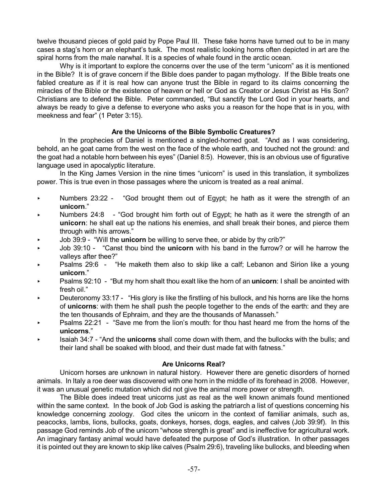twelve thousand pieces of gold paid by Pope Paul III. These fake horns have turned out to be in many cases a stag's horn or an elephant's tusk. The most realistic looking horns often depicted in art are the spiral horns from the male narwhal. It is a species of whale found in the arctic ocean.

Why is it important to explore the concerns over the use of the term "unicorn" as it is mentioned in the Bible? It is of grave concern if the Bible does pander to pagan mythology. If the Bible treats one fabled creature as if it is real how can anyone trust the Bible in regard to its claims concerning the miracles of the Bible or the existence of heaven or hell or God as Creator or Jesus Christ as His Son? Christians are to defend the Bible. Peter commanded, "But sanctify the Lord God in your hearts, and always be ready to give a defense to everyone who asks you a reason for the hope that is in you, with meekness and fear" (1 Peter 3:15).

#### **Are the Unicorns of the Bible Symbolic Creatures?**

In the prophecies of Daniel is mentioned a singled-horned goat. "And as I was considering, behold, an he goat came from the west on the face of the whole earth, and touched not the ground: and the goat had a notable horn between his eyes" (Daniel 8:5). However, this is an obvious use of figurative language used in apocalyptic literature.

In the King James Version in the nine times "unicorn" is used in this translation, it symbolizes power. This is true even in those passages where the unicorn is treated as a real animal.

- ► Numbers 23:22 "God brought them out of Egypt; he hath as it were the strength of an **unicorn**."
- < Numbers 24:8 "God brought him forth out of Egypt; he hath as it were the strength of an **unicorn**: he shall eat up the nations his enemies, and shall break their bones, and pierce them through with his arrows."
- < Job 39:9 "Will the **unicorn** be willing to serve thee, or abide by thy crib?"
- < Job 39:10 "Canst thou bind the **unicorn** with his band in the furrow? or will he harrow the valleys after thee?"
- Psalms 29:6 "He maketh them also to skip like a calf; Lebanon and Sirion like a young **unicorn**."
- < Psalms 92:10 "But my horn shalt thou exalt like the horn of an **unicorn**: I shall be anointed with fresh oil."
- < Deuteronomy 33:17 "His glory is like the firstling of his bullock, and his horns are like the horns of **unicorns**: with them he shall push the people together to the ends of the earth: and they are the ten thousands of Ephraim, and they are the thousands of Manasseh."
- < Psalms 22:21 "Save me from the lion's mouth: for thou hast heard me from the horns of the **unicorns**."
- < Isaiah 34:7 "And the **unicorns** shall come down with them, and the bullocks with the bulls; and their land shall be soaked with blood, and their dust made fat with fatness."

#### **Are Unicorns Real?**

Unicorn horses are unknown in natural history. However there are genetic disorders of horned animals. In Italy a roe deer was discovered with one horn in the middle of its forehead in 2008. However, it was an unusual genetic mutation which did not give the animal more power or strength.

The Bible does indeed treat unicorns just as real as the well known animals found mentioned within the same context. In the book of Job God is asking the patriarch a list of questions concerning his knowledge concerning zoology. God cites the unicorn in the context of familiar animals, such as, peacocks, lambs, lions, bullocks, goats, donkeys, horses, dogs, eagles, and calves (Job 39:9f). In this passage God reminds Job of the unicorn "whose strength is great" and is ineffective for agricultural work. An imaginary fantasy animal would have defeated the purpose of God's illustration. In other passages it is pointed out they are known to skip like calves (Psalm 29:6), traveling like bullocks, and bleeding when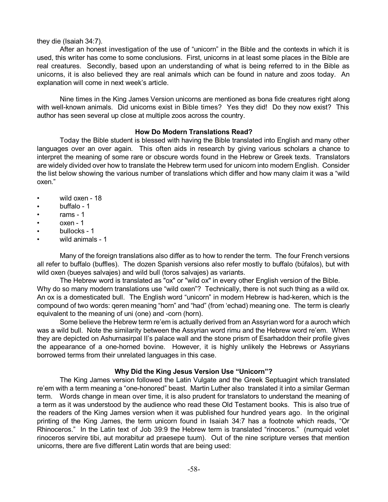#### they die (Isaiah 34:7).

After an honest investigation of the use of "unicorn" in the Bible and the contexts in which it is used, this writer has come to some conclusions. First, unicorns in at least some places in the Bible are real creatures. Secondly, based upon an understanding of what is being referred to in the Bible as unicorns, it is also believed they are real animals which can be found in nature and zoos today. An explanation will come in next week's article.

Nine times in the King James Version unicorns are mentioned as bona fide creatures right along with well-known animals. Did unicorns exist in Bible times? Yes they did! Do they now exist? This author has seen several up close at multiple zoos across the country.

#### **How Do Modern Translations Read?**

Today the Bible student is blessed with having the Bible translated into English and many other languages over an over again. This often aids in research by giving various scholars a chance to interpret the meaning of some rare or obscure words found in the Hebrew or Greek texts. Translators are widely divided over how to translate the Hebrew term used for unicorn into modern English. Consider the list below showing the various number of translations which differ and how many claim it was a "wild oxen."

- wild oxen 18
- buffalo 1
- rams 1
- oxen 1
- bullocks 1
- wild animals 1

Many of the foreign translations also differ as to how to render the term. The four French versions all refer to buffalo (buffles). The dozen Spanish versions also refer mostly to buffalo (búfalos), but with wild oxen (bueyes salvajes) and wild bull (toros salvajes) as variants.

The Hebrew word is translated as "ox" or "wild ox" in every other English version of the Bible. Why do so many modern translations use "wild oxen"? Technically, there is not such thing as a wild ox. An ox is a domesticated bull. The English word "unicorn" in modern Hebrew is had-keren, which is the compound of two words: qeren meaning "horn" and "had" (from 'echad) meaning one. The term is clearly equivalent to the meaning of uni (one) and -corn (horn).

Some believe the Hebrew term re'em is actually derived from an Assyrian word for a auroch which was a wild bull. Note the similarity between the Assyrian word rimu and the Hebrew word re'em. When they are depicted on Ashurnasirpal II's palace wall and the stone prism of Esarhaddon their profile gives the appearance of a one-horned bovine. However, it is highly unlikely the Hebrews or Assyrians borrowed terms from their unrelated languages in this case.

## **Why Did the King Jesus Version Use "Unicorn"?**

The King James version followed the Latin Vulgate and the Greek Septuagint which translated re'em with a term meaning a "one-honored" beast. Martin Luther also translated it into a similar German term. Words change in mean over time, it is also prudent for translators to understand the meaning of a term as it was understood by the audience who read these Old Testament books. This is also true of the readers of the King James version when it was published four hundred years ago. In the original printing of the King James, the term unicorn found in Isaiah 34:7 has a footnote which reads, "Or Rhinoceros." In the Latin text of Job 39:9 the Hebrew term is translated "rinoceros." (numquid volet rinoceros servire tibi, aut morabitur ad praesepe tuum). Out of the nine scripture verses that mention unicorns, there are five different Latin words that are being used: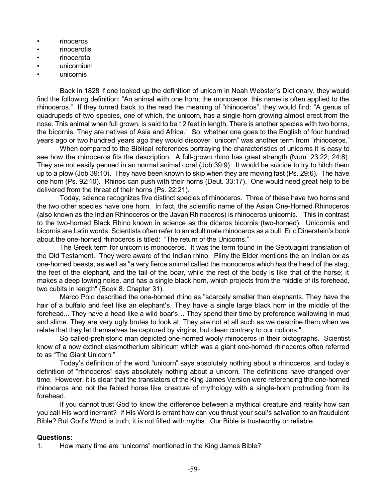- rinoceros
- rinocerotis
- rinocerota
- unicornium
- unicornis

Back in 1828 if one looked up the definition of unicorn in Noah Webster's Dictionary, they would find the following definition: "An animal with one horn; the monoceros. this name is often applied to the rhinoceros." If they turned back to the read the meaning of "rhinoceros", they would find: "A genus of quadrupeds of two species, one of which, the unicorn, has a single horn growing almost erect from the nose. This animal when full grown, is said to be 12 feet in length. There is another species with two horns, the bicornis. They are natives of Asia and Africa." So, whether one goes to the English of four hundred years ago or two hundred years ago they would discover "unicorn" was another term from "rhinoceros."

When compared to the Biblical references portraying the characteristics of unicorns it is easy to see how the rhinoceros fits the description. A full-grown rhino has great strength (Num. 23:22; 24:8). They are not easily penned in an normal animal coral (Job 39:9). It would be suicide to try to hitch them up to a plow (Job 39:10). They have been known to skip when they are moving fast (Ps. 29:6). The have one horn (Ps. 92:10). Rhinos can push with their horns (Deut. 33:17). One would need great help to be delivered from the threat of their horns (Ps. 22:21).

Today, science recognizes five distinct species of rhinoceros. Three of these have two horns and the two other species have one horn. In fact, the scientific name of the Asian One-Horned Rhinoceros (also known as the Indian Rhinoceros or the Javan Rhinoceros) is rhinoceros unicornis. This in contrast to the two-horned Black Rhino known in science as the diceros bicornis (two-horned). Unicornis and bicornis are Latin words. Scientists often refer to an adult male rhinoceros as a bull. Eric Dinerstein's book about the one-horned rhinoceros is titled: "The return of the Unicorns."

The Greek term for unicorn is monoceros. It was the term found in the Septuagint translation of the Old Testament. They were aware of the Indian rhino. Pliny the Elder mentions the an Indian ox as one-horned beasts, as well as "a very fierce animal called the monoceros which has the head of the stag, the feet of the elephant, and the tail of the boar, while the rest of the body is like that of the horse; it makes a deep lowing noise, and has a single black horn, which projects from the middle of its forehead, two cubits in length" (Book 8. Chapter 31).

Marco Polo described the one-horned rhino as "scarcely smaller than elephants. They have the hair of a buffalo and feet like an elephant's. They have a single large black horn in the middle of the forehead... They have a head like a wild boar's… They spend their time by preference wallowing in mud and slime. They are very ugly brutes to look at. They are not at all such as we describe them when we relate that they let themselves be captured by virgins, but clean contrary to our notions."

So called-prehistoric man depicted one-horned wooly rhinoceros in their pictographs. Scientist know of a now extinct elasmotherium sibiricum which was a giant one-horned rhinoceros often referred to as "The Giant Unicorn."

Today's definition of the word "unicorn" says absolutely nothing about a rhinoceros, and today's definition of "rhinoceros" says absolutely nothing about a unicorn. The definitions have changed over time. However, it is clear that the translators of the King James Version were referencing the one-horned rhinoceros and not the fabled horse like creature of mythology with a single-horn protruding from its forehead.

If you cannot trust God to know the difference between a mythical creature and reality how can you call His word inerrant? If His Word is errant how can you thrust your soul's salvation to an fraudulent Bible? But God's Word is truth, it is not filled with myths. Our Bible is trustworthy or reliable.

## **Questions:**

1. How many time are "unicorns" mentioned in the King James Bible?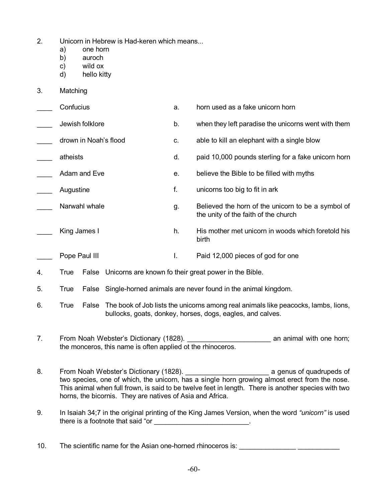- 2. Unicorn in Hebrew is Had-keren which means...
	- a) one horn
	- b) auroch
	- c) wild ox
	- d) hello kitty
- 3. Matching
- \_\_\_\_ Confucius a. horn used as a fake unicorn horn Lewish folklore **b.** when they left paradise the unicorns went with them drown in Noah's flood c. able to kill an elephant with a single blow equal theists atheists and the stead of the control of the paid 10,000 pounds sterling for a fake unicorn horn Adam and Eve e. believe the Bible to be filled with myths Augustine f. unicorns too big to fit in ark Narwahl whale example and the settlement of the unicorn to be a symbol of the unity of the faith of the church King James I h. His mother met unicorn in woods which foretold his birth
- Pope Paul III **I.** Paid 12,000 pieces of god for one
- 4. True False Unicorns are known fo their great power in the Bible.
- 5. True False Single-horned animals are never found in the animal kingdom.
- 6. True False The book of Job lists the unicorns among real animals like peacocks, lambs, lions, bullocks, goats, donkey, horses, dogs, eagles, and calves.
- 7. From Noah Webster's Dictionary (1828). The mannimal with one horn; the monceros, this name is often applied ot the rhinoceros.
- 8. From Noah Webster's Dictionary (1828). **Constrained a genus of quadrupeds of** two species, one of which, the unicorn, has a single horn growing almost erect from the nose. This animal when full frown, is said to be twelve feet in length. There is another species with two horns, the bicornis. They are natives of Asia and Africa.
- 9. In Isaiah 34;7 in the original printing of the King James Version, when the word *"unicorn"* is used there is a footnote that said "or  $\blacksquare$
- 10. The scientific name for the Asian one-horned rhinoceros is: \_\_\_\_\_\_\_\_\_\_\_\_\_\_\_\_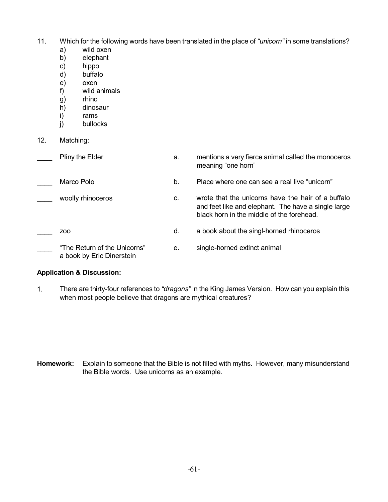- 11. Which for the following words have been translated in the place of *"unicorn"* in some translations?
	- a) wild oxen
	- b) elephant
	- c) hippo
	- d) buffalo
	- e) oxen
	- f) wild animals
	- g) rhino
	- h) dinosaur<br>i) rams
	- i) rams<br>j) bulloc
	- bullocks
- 12. Matching:

| Pliny the Elder                                           | а. | mentions a very fierce animal called the monoceros<br>meaning "one horn"                                                                               |
|-----------------------------------------------------------|----|--------------------------------------------------------------------------------------------------------------------------------------------------------|
| Marco Polo                                                | b. | Place where one can see a real live "unicorn"                                                                                                          |
| woolly rhinoceros                                         | C. | wrote that the unicorns have the hair of a buffalo<br>and feet like and elephant. The have a single large<br>black horn in the middle of the forehead. |
| Z00                                                       | d. | a book about the singl-horned rhinoceros                                                                                                               |
| "The Return of the Unicorns"<br>a book by Eric Dinerstein | е. | single-horned extinct animal                                                                                                                           |

## **Application & Discussion:**

1. There are thirty-four references to *"dragons"* in the King James Version. How can you explain this when most people believe that dragons are mythical creatures?

**Homework:** Explain to someone that the Bible is not filled with myths. However, many misunderstand the Bible words. Use unicorns as an example.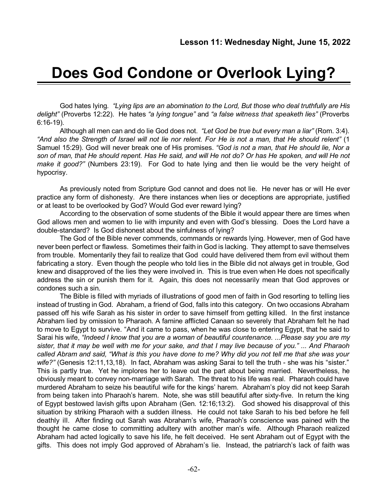# **Does God Condone or Overlook Lying?**

God hates lying*. "Lying lips are an abomination to the Lord, But those who deal truthfully are His delight"* (Proverbs 12:22). He hates *"a lying tongue"* and *"a false witness that speaketh lies"* (Proverbs 6:16-19).

Although all men can and do lie God does not. *"Let God be true but every man a liar"* (Rom. 3:4). "And also the Strength of Israel will not lie nor relent. For He is not a man, that He should relent" (1 Samuel 15:29). God will never break one of His promises. *"God is not a man, that He should lie, Nor a* son of man, that He should repent. Has He said, and will He not do? Or has He spoken, and will He not *make it good?"* (Numbers 23:19). For God to hate lying and then lie would be the very height of hypocrisy.

As previously noted from Scripture God cannot and does not lie. He never has or will He ever practice any form of dishonesty. Are there instances when lies or deceptions are appropriate, justified or at least to be overlooked by God? Would God ever reward lying?

According to the observation of some students of the Bible it would appear there are times when God allows men and women to lie with impunity and even with God's blessing. Does the Lord have a double-standard? Is God dishonest about the sinfulness of lying?

The God of the Bible never commends, commands or rewards lying. However, men of God have never been perfect or flawless. Sometimes their faith in God is lacking. They attempt to save themselves from trouble. Momentarily they fail to realize that God could have delivered them from evil without them fabricating a story. Even though the people who told lies in the Bible did not always get in trouble, God knew and disapproved of the lies they were involved in. This is true even when He does not specifically address the sin or punish them for it. Again, this does not necessarily mean that God approves or condones such a sin.

The Bible is filled with myriads of illustrations of good men of faith in God resorting to telling lies instead of trusting in God. Abraham, a friend of God, falls into this category. On two occasions Abraham passed off his wife Sarah as his sister in order to save himself from getting killed. In the first instance Abraham lied by omission to Pharaoh. A famine afflicted Canaan so severely that Abraham felt he had to move to Egypt to survive. "And it came to pass, when he was close to entering Egypt, that he said to Sarai his wife, *"Indeed I know that you are a woman of beautiful countenance. ...Please say you are my* sister, that it may be well with me for your sake, and that I may live because of you." ... And Pharaoh called Abram and said, "What is this you have done to me? Why did you not tell me that she was your *wife?"* (Genesis 12:11,13,18). In fact, Abraham was asking Sarai to tell the truth - she was his "sister." This is partly true. Yet he implores her to leave out the part about being married. Nevertheless, he obviously meant to convey non-marriage with Sarah. The threat to his life was real. Pharaoh could have murdered Abraham to seize his beautiful wife for the kings' harem. Abraham's ploy did not keep Sarah from being taken into Pharaoh's harem. Note, she was still beautiful after sixty-five. In return the king of Egypt bestowed lavish gifts upon Abraham (Gen. 12:16;13:2). God showed his disapproval of this situation by striking Pharaoh with a sudden illness. He could not take Sarah to his bed before he fell deathly ill. After finding out Sarah was Abraham's wife, Pharaoh's conscience was pained with the thought he came close to committing adultery with another man's wife. Although Pharaoh realized Abraham had acted logically to save his life, he felt deceived. He sent Abraham out of Egypt with the gifts. This does not imply God approved of Abraham's lie. Instead, the patriarch's lack of faith was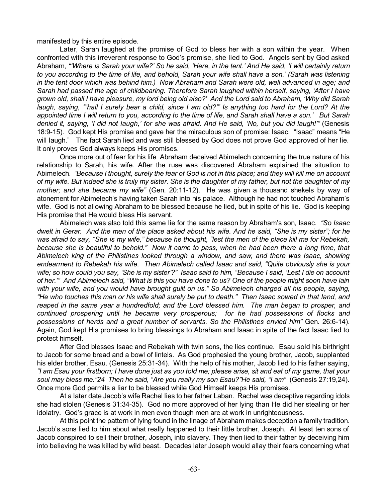manifested by this entire episode.

Later, Sarah laughed at the promise of God to bless her with a son within the year. When confronted with this irreverent response to God's promise, she lied to God. Angels sent by God asked Abraham, "Where is Sarah your wife?' So he said, 'Here, in the tent.' And He said, 'I will certainly return to you according to the time of life, and behold. Sarah your wife shall have a son.' (Sarah was listening *in the tent door which was behind him.) Now Abraham and Sarah were old, well advanced in age; and Sarah had passed the age of childbearing. Therefore Sarah laughed within herself, saying, 'After I have* grown old, shall I have pleasure, my lord being old also?' And the Lord said to Abraham, 'Why did Sarah laugh, saying, "hall I surely bear a child, since I am old?" Is anything too hard for the Lord? At the appointed time I will return to you, according to the time of life, and Sarah shall have a son.' But Sarah denied it, saying, 'I did not laugh,' for she was afraid. And He said, 'No, but you did laugh!"" (Genesis 18:9-15). God kept His promise and gave her the miraculous son of promise: Isaac. "Isaac" means "He will laugh." The fact Sarah lied and was still blessed by God does not prove God approved of her lie. It only proves God always keeps His promises.

Once more out of fear for his life Abraham deceived Abimelech concerning the true nature of his relationship to Sarah, his wife. After the ruse was discovered Abraham explained the situation to Abimelech. "Because I thought, surely the fear of God is not in this place; and they will kill me on account of my wife. But indeed she is truly my sister. She is the daughter of my father, but not the daughter of my *mother; and she became my wife"* (Gen. 20:11-12). He was given a thousand shekels by way of atonement for Abimelech's having taken Sarah into his palace. Although he had not touched Abraham's wife. God is not allowing Abraham to be blessed because he lied, but in spite of his lie. God is keeping His promise that He would bless His servant.

Abimelech was also told this same lie for the same reason by Abraham's son, Isaac. *"So Isaac* dwelt in Gerar. And the men of the place asked about his wife. And he said, "She is my sister"; for he was afraid to say, "She is my wife," because he thought, "lest the men of the place kill me for Rebekah, because she is beautiful to behold." Now it came to pass, when he had been there a long time, that *Abimelech king of the Philistines looked through a window, and saw, and there was Isaac, showing endearment to Rebekah his wife. Then Abimelech called Isaac and said, "Quite obviously she is your* wife; so how could you say, 'She is my sister'?" Isaac said to him, "Because I said, 'Lest I die on account of her."" And Abimelech said, "What is this you have done to us? One of the people might soon have lain *with your wife, and you would have brought guilt on us." So Abimelech charged all his people, saying,* "He who touches this man or his wife shall surely be put to death." Then Isaac sowed in that land, and *reaped in the same year a hundredfold; and the Lord blessed him. The man began to prosper, and continued prospering until he became very prosperous; for he had possessions of flocks and possessions of herds and a great number of servants. So the Philistines envied him"* Gen. 26:6-14). Again, God kept His promises to bring blessings to Abraham and Isaac in spite of the fact Isaac lied to protect himself.

After God blesses Isaac and Rebekah with twin sons, the lies continue. Esau sold his birthright to Jacob for some bread and a bowl of lintels. As God prophesied the young brother, Jacob, supplanted his elder brother, Esau. (Genesis 25:31-34). With the help of his mother, Jacob lied to his father saying, "I am Esau your firstborn; I have done just as you told me; please arise, sit and eat of my game, that your *soul may bless me."24 Then he said, "Are you really my son Esau?"He said, "I am"* (Genesis 27:19,24). Once more God permits a liar to be blessed while God Himself keeps His promises.

At a later date Jacob's wife Rachel lies to her father Laban. Rachel was deceptive regarding idols she had stolen (Genesis 31:34-35). God no more approved of her lying than He did her stealing or her idolatry. God's grace is at work in men even though men are at work in unrighteousness.

At this point the pattern of lying found in the linage of Abraham makes deception a family tradition. Jacob's sons lied to him about what really happened to their little brother, Joseph. At least ten sons of Jacob conspired to sell their brother, Joseph, into slavery. They then lied to their father by deceiving him into believing he was killed by wild beast. Decades later Joseph would allay their fears concerning what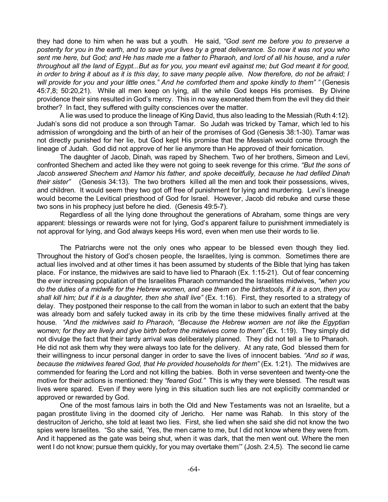they had done to him when he was but a youth. He said, *"God sent me before you to preserve a* posterity for you in the earth, and to save your lives by a great deliverance. So now it was not you who sent me here, but God; and He has made me a father to Pharaoh, and lord of all his house, and a ruler throughout all the land of Egypt...But as for you, you meant evil against me; but God meant it for good, in order to bring it about as it is this day, to save many people alive. Now therefore, do not be afraid; I *will provide for you and your little ones." And he comforted them and spoke kindly to them" "* (Genesis 45:7,8; 50:20,21). While all men keep on lying, all the while God keeps His promises. By Divine providence their sins resulted in God's mercy. This in no way exonerated them from the evil they did their brother? In fact, they suffered with guilty consciences over the matter.

A lie was used to produce the lineage of King David, thus also leading to the Messiah (Ruth 4:12). Judah's sons did not produce a son through Tamar. So Judah was tricked by Tamar, which led to his admission of wrongdoing and the birth of an heir of the promises of God (Genesis 38:1-30). Tamar was not directly punished for her lie, but God kept His promise that the Messiah would come through the lineage of Judah. God did not approve of her lie anymore than He approved of their fornication.

The daughter of Jacob, Dinah, was raped by Shechem. Two of her brothers, Simeon and Levi, confronted Shechem and acted like they were not going to seek revenge for this crime. *"But the sons of Jacob answered Shechem and Hamor his father, and spoke deceitfully, because he had defiled Dinah their sister"* (Genesis 34:13). The two brothers killed all the men and took their possessions, wives, and children. It would seem they two got off free of punishment for lying and murdering. Levi's lineage would become the Levitical priesthood of God for Israel. However, Jacob did rebuke and curse these two sons in his prophecy just before he died. (Genesis 49:5-7).

Regardless of all the lying done throughout the generations of Abraham, some things are very apparent: blessings or rewards were not for lying, God's apparent failure to punishment immediately is not approval for lying, and God always keeps His word, even when men use their words to lie.

The Patriarchs were not the only ones who appear to be blessed even though they lied. Throughout the history of God's chosen people, the Israelites, lying is common. Sometimes there are actual lies involved and at other times it has been assumed by students of the Bible that lying has taken place. For instance, the midwives are said to have lied to Pharaoh (Ex. 1:15-21). Out of fear concerning the ever increasing population of the Israelites Pharaoh commanded the Israelites midwives, *"when you* do the duties of a midwife for the Hebrew women, and see them on the birthstools, if it is a son, then you *shall kill him; but if it is a daughter, then she shall live"* (Ex. 1:16). First, they resorted to a strategy of delay. They postponed their response to the call from the woman in labor to such an extent that the baby was already born and safely tucked away in its crib by the time these midwives finally arrived at the house*. "And the midwives said to Pharaoh, "Because the Hebrew women are not like the Egyptian women; for they are lively and give birth before the midwives come to them"* (Ex. 1:19). They simply did not divulge the fact that their tardy arrival was deliberately planned. They did not tell a lie to Pharaoh. He did not ask them why they were always too late for the delivery. At any rate, God blessed them for their willingness to incur personal danger in order to save the lives of innocent babies. *"And so it was, because the midwives feared God, that He provided households for them"* (Ex. 1:21). The midwives are commended for fearing the Lord and not killing the babies. Both in verse seventeen and twenty-one the motive for their actions is mentioned: they *"feared God."* This is why they were blessed. The result was lives were spared. Even if they were lying in this situation such lies are not explicitly commanded or approved or rewarded by God.

One of the most famous lairs in both the Old and New Testaments was not an Israelite, but a pagan prostitute living in the doomed city of Jericho. Her name was Rahab. In this story of the destruciton of Jericho, she told at least two lies. First, she lied when she said she did not know the two spies were Israelites. "So she said, 'Yes, the men came to me, but I did not know where they were from. And it happened as the gate was being shut, when it was dark, that the men went out. Where the men went I do not know; pursue them quickly, for you may overtake them'" (Josh. 2:4,5). The second lie came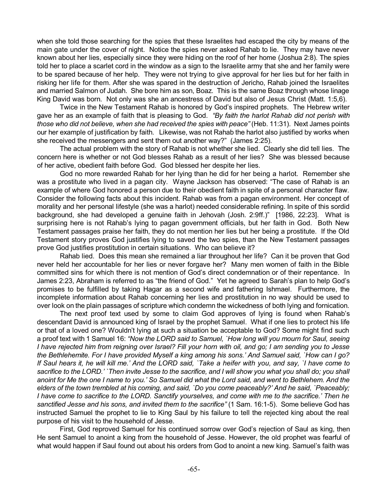when she told those searching for the spies that these Israelites had escaped the city by means of the main gate under the cover of night. Notice the spies never asked Rahab to lie. They may have never known about her lies, especially since they were hiding on the roof of her home (Joshua 2:8). The spies told her to place a scarlet cord in the window as a sign to the Israelite army that she and her family were to be spared because of her help. They were not trying to give approval for her lies but for her faith in risking her life for them. After she was spared in the destruction of Jericho, Rahab joined the Israelites and married Salmon of Judah. She bore him as son, Boaz. This is the same Boaz through whose linage King David was born. Not only was she an ancestress of David but also of Jesus Christ (Matt. 1:5,6).

Twice in the New Testament Rahab is honored by God's inspired prophets. The Hebrew writer gave her as an example of faith that is pleasing to God. *"By faith the harlot Rahab did not perish with those who did not believe, when she had received the spies with peace"* (Heb. 11:31). Next James points our her example of justification by faith. Likewise, was not Rahab the harlot also justified by works when she received the messengers and sent them out another way?" (James 2:25).

The actual problem with the story of Rahab is not whether she lied. Clearly she did tell lies. The concern here is whether or not God blesses Rahab as a result of her lies? She was blessed because of her active, obedient faith before God. God blessed her despite her lies.

God no more rewarded Rahab for her lying than he did for her being a harlot. Remember she was a prostitute who lived in a pagan city. Wayne Jackson has observed: "The case of Rahab is an example of where God honored a person due to their obedient faith in spite of a personal character flaw. Consider the following facts about this incident. Rahab was from a pagan environment. Her concept of morality and her personal lifestyle (she was a harlot) needed considerable refining. In spite of this sordid background, she had developed a genuine faith in Jehovah (Josh. 2:9ff.)" [1986, 22:23]. What is surprising here is not Rahab's lying to pagan government officials, but her faith in God. Both New Testament passages praise her faith, they do not mention her lies but her being a prostitute. If the Old Testament story proves God justifies lying to saved the two spies, than the New Testament passages prove God justifies prostitution in certain situations. Who can believe it?

Rahab lied. Does this mean she remained a liar throughout her life? Can it be proven that God never held her accountable for her lies or never forgave her? Many men women of faith in the Bible committed sins for which there is not mention of God's direct condemnation or of their repentance. In James 2:23, Abraham is referred to as "the friend of God." Yet he agreed to Sarah's plan to help God's promises to be fulfilled by taking Hagar as a second wife and fathering Ishmael. Furthermore, the incomplete information about Rahab concerning her lies and prostitution in no way should be used to over look on the plain passages of scripture which condemn the wickedness of both lying and fornication.

The next proof text used by some to claim God approves of lying is found when Rahab's descendant David is announced king of Israel by the prophet Samuel. What if one lies to protect his life or that of a loved one? Wouldn't lying at such a situation be acceptable to God? Some might find such a proof text with 1 Samuel 16: *"Now the LORD said to Samuel, `How long will you mourn for Saul, seeing* I have rejected him from reigning over Israel? Fill your horn with oil, and go; I am sending you to Jesse the Bethlehemite. For I have provided Myself a king among his sons.' And Samuel said, `How can I go? If Saul hears it, he will kill me.' And the LORD said, `Take a heifer with you, and say, `I have come to sacrifice to the LORD.' `Then invite Jesse to the sacrifice, and I will show you what you shall do; you shall anoint for Me the one I name to you.' So Samuel did what the Lord said, and went to Bethlehem. And the elders of the town trembled at his coming, and said, `Do you come peaceably?' And he said, `Peaceably; I have come to sacrifice to the LORD. Sanctify yourselves, and come with me to the sacrifice.' Then he *sanctified Jesse and his sons, and invited them to the sacrifice"* (1 Sam. 16:1-5). Some believe God has instructed Samuel the prophet to lie to King Saul by his failure to tell the rejected king about the real purpose of his visit to the household of Jesse.

First, God reproved Samuel for his continued sorrow over God's rejection of Saul as king, then He sent Samuel to anoint a king from the household of Jesse. However, the old prophet was fearful of what would happen if Saul found out about his orders from God to anoint a new king. Samuel's faith was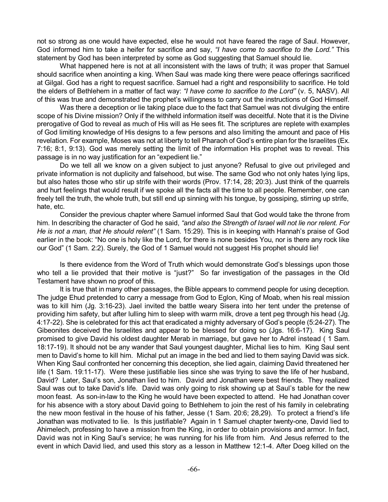not so strong as one would have expected, else he would not have feared the rage of Saul. However, God informed him to take a heifer for sacrifice and say, *"I have come to sacrifice to the Lord."* This statement by God has been interpreted by some as God suggesting that Samuel should lie.

What happened here is not at all inconsistent with the laws of truth; it was proper that Samuel should sacrifice when anointing a king. When Saul was made king there were peace offerings sacrificed at Gilgal. God has a right to request sacrifice. Samuel had a right and responsibility to sacrifice. He told the elders of Bethlehem in a matter of fact way: *"I have come to sacrifice to the Lord"* (v. 5, NASV). All of this was true and demonstrated the prophet's willingness to carry out the instructions of God Himself.

Was there a deception or lie taking place due to the fact that Samuel was not divulging the entire scope of his Divine mission? Only if the withheld information itself was deceitful. Note that it is the Divine prerogative of God to reveal as much of His will as He sees fit. The scriptures are replete with examples of God limiting knowledge of His designs to a few persons and also limiting the amount and pace of His revelation. For example, Moses was not at liberty to tell Pharaoh of God's entire plan for the Israelites (Ex. 7:16; 8:1, 9:13). God was merely setting the limit of the information His prophet was to reveal. This passage is in no way justification for an "expedient lie."

Do we tell all we know on a given subject to just anyone? Refusal to give out privileged and private information is not duplicity and falsehood, but wise. The same God who not only hates lying lips, but also hates those who stir up strife with their words (Prov. 17:14, 28; 20:3). Just think of the quarrels and hurt feelings that would result if we spoke all the facts all the time to all people. Remember, one can freely tell the truth, the whole truth, but still end up sinning with his tongue, by gossiping, stirring up strife, hate, etc.

Consider the previous chapter where Samuel informed Saul that God would take the throne from him. In describing the character of God he said, *"and also the Strength of Israel will not lie nor relent. For He is not a man, that He should relent"* (1 Sam. 15:29). This is in keeping with Hannah's praise of God earlier in the book: "No one is holy like the Lord, for there is none besides You, nor is there any rock like our God" (1 Sam. 2:2). Surely, the God of 1 Samuel would not suggest His prophet should lie!

Is there evidence from the Word of Truth which would demonstrate God's blessings upon those who tell a lie provided that their motive is "just?" So far investigation of the passages in the Old Testament have shown no proof of this.

It is true that in many other passages, the Bible appears to commend people for using deception. The judge Ehud pretended to carry a message from God to Eglon, King of Moab, when his real mission was to kill him (Jg. 3:16-23). Jael invited the battle weary Sisera into her tent under the pretense of providing him safety, but after lulling him to sleep with warm milk, drove a tent peg through his head (Jg. 4:17-22). She is celebrated for this act that eradicated a mighty adversary of God's people (5:24-27). The Gibeonites deceived the Israelites and appear to be blessed for doing so (Jgs. 16:6-17). King Saul promised to give David his oldest daughter Merab in marriage, but gave her to Adrel instead ( 1 Sam. 18:17-19). It should not be any wander that Saul youngest daughter, Michal lies to him. King Saul sent men to David's home to kill him. Michal put an image in the bed and lied to them saying David was sick. When King Saul confronted her concerning this deception, she lied again, claiming David threatened her life (1 Sam. 19:11-17). Were these justifiable lies since she was trying to save the life of her husband, David? Later, Saul's son, Jonathan lied to him. David and Jonathan were best friends. They realized Saul was out to take David's life. David was only going to risk showing up at Saul's table for the new moon feast. As son-in-law to the King he would have been expected to attend. He had Jonathan cover for his absence with a story about David going to Bethlehem to join the rest of his family in celebrating the new moon festival in the house of his father, Jesse (1 Sam. 20:6; 28,29). To protect a friend's life Jonathan was motivated to lie. Is this justifiable? Again in 1 Samuel chapter twenty-one, David lied to Ahimelech, professing to have a mission from the King, in order to obtain provisions and armor. In fact, David was not in King Saul's service; he was running for his life from him. And Jesus referred to the event in which David lied, and used this story as a lesson in Matthew 12:1-4. After Doeg killed on the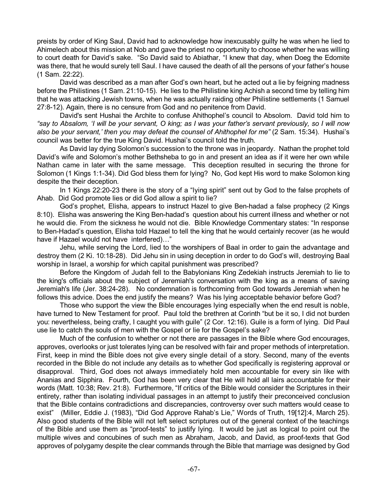preists by order of King Saul, David had to acknowledge how inexcusably guilty he was when he lied to Ahimelech about this mission at Nob and gave the priest no opportunity to choose whether he was willing to court death for David's sake. "So David said to Abiathar, "I knew that day, when Doeg the Edomite was there, that he would surely tell Saul. I have caused the death of all the persons of your father's house (1 Sam. 22:22).

David was described as a man after God's own heart, but he acted out a lie by feigning madness before the Philistines (1 Sam. 21:10-15). He lies to the Philistine king Achish a second time by telling him that he was attacking Jewish towns, when he was actually raiding other Philistine settlements (1 Samuel 27:8-12). Again, there is no censure from God and no penitence from David.

David's sent Hushai the Archite to confuse Ahithophel's council to Absolom. David told him to "say to Absalom, 'I will be your servant, O king; as I was your father's servant previously, so I will now *also be your servant,' then you may defeat the counsel of Ahithophel for me"* (2 Sam. 15:34). Hushai's council was better for the true King David. Hushai's council told the truth.

As David lay dying Solomon's succession to the throne was in jeopardy. Nathan the prophet told David's wife and Solomon's mother Bethsheba to go in and present an idea as if it were her own while Nathan came in later with the same message. This deception resulted in securing the throne for Solomon (1 Kings 1:1-34). Did God bless them for lying? No, God kept His word to make Solomon king despite the their deception.

In 1 Kings 22:20-23 there is the story of a "lying spirit" sent out by God to the false prophets of Ahab. Did God promote lies or did God allow a spirit to lie?

God's prophet, Elisha, appears to instruct Hazel to give Ben-hadad a false prophecy (2 Kings 8:10). Elisha was answering the King Ben-hadad's question about his current illness and whether or not he would die. From the sickness he would not die. Bible Knowledge Commentary states: "In response to Ben-Hadad's question, Elisha told Hazael to tell the king that he would certainly recover (as he would have if Hazael would not have interfered)…"

Jehu, while serving the Lord, lied to the worshipers of Baal in order to gain the advantage and destroy them (2 Ki. 10:18-28). Did Jehu sin in using deception in order to do God's will, destroying Baal worship in Israel, a worship for which capital punishment was prescribed?

Before the Kingdom of Judah fell to the Babylonians King Zedekiah instructs Jeremiah to lie to the king's officials about the subject of Jeremiah's conversation with the king as a means of saving Jeremiah's life (Jer. 38:24-28). No condemnation is forthcoming from God towards Jeremiah when he follows this advice. Does the end justify the means? Was his lying acceptable behavior before God?

Those who support the view the Bible encourages lying especially when the end result is noble, have turned to New Testament for proof. Paul told the brethren at Corinth "but be it so, I did not burden you: nevertheless, being crafty, I caught you with guile" (2 Cor. 12:16). Guile is a form of lying. Did Paul use lie to catch the souls of men with the Gospel or lie for the Gospel's sake?

Much of the confusion to whether or not there are passages in the Bible where God encourages, approves, overlooks or just tolerates lying can be resolved with fair and proper methods of interpretation. First, keep in mind the Bible does not give every single detail of a story. Second, many of the events recorded in the Bible do not include any details as to whether God specifically is registering approval or disapproval. Third, God does not always immediately hold men accountable for every sin like with Ananias and Sipphira. Fourth, God has been very clear that He will hold all lairs accountable for their words (Matt. 10:38; Rev. 21:8). Furthermore, "If critics of the Bible would consider the Scriptures in their entirety, rather than isolating individual passages in an attempt to justify their preconceived conclusion that the Bible contains contradictions and discrepancies, controversy over such matters would cease to exist" (Miller, Eddie J. (1983), "Did God Approve Rahab's Lie," Words of Truth, 19[12]:4, March 25). Also good students of the Bible will not left select scriptures out of the general context of the teachings of the Bible and use them as "proof-tests" to justify lying. It would be just as logical to point out the multiple wives and concubines of such men as Abraham, Jacob, and David, as proof-texts that God approves of polygamy despite the clear commands through the Bible that marriage was designed by God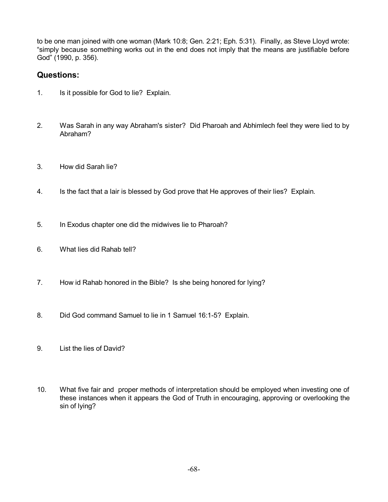to be one man joined with one woman (Mark 10:8; Gen. 2:21; Eph. 5:31). Finally, as Steve Lloyd wrote: "simply because something works out in the end does not imply that the means are justifiable before God" (1990, p. 356).

## **Questions:**

- 1. Is it possible for God to lie? Explain.
- 2. Was Sarah in any way Abraham's sister? Did Pharoah and Abhimlech feel they were lied to by Abraham?
- 3. How did Sarah lie?
- 4. Is the fact that a lair is blessed by God prove that He approves of their lies? Explain.
- 5. In Exodus chapter one did the midwives lie to Pharoah?
- 6. What lies did Rahab tell?
- 7. How id Rahab honored in the Bible? Is she being honored for lying?
- 8. Did God command Samuel to lie in 1 Samuel 16:1-5? Explain.
- 9. List the lies of David?
- 10. What five fair and proper methods of interpretation should be employed when investing one of these instances when it appears the God of Truth in encouraging, approving or overlooking the sin of lying?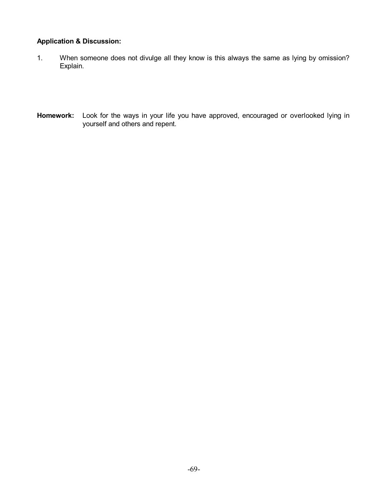## **Application & Discussion:**

- 1. When someone does not divulge all they know is this always the same as lying by omission? Explain.
- **Homework:** Look for the ways in your life you have approved, encouraged or overlooked lying in yourself and others and repent.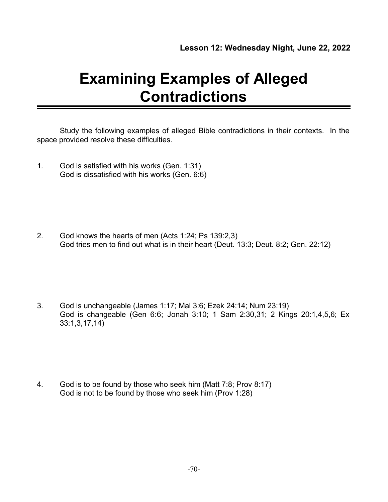# **Examining Examples of Alleged Contradictions**

Study the following examples of alleged Bible contradictions in their contexts. In the space provided resolve these difficulties.

1. God is satisfied with his works (Gen. 1:31) God is dissatisfied with his works (Gen. 6:6)

2. God knows the hearts of men (Acts 1:24; Ps 139:2,3) God tries men to find out what is in their heart (Deut. 13:3; Deut. 8:2; Gen. 22:12)

3. God is unchangeable (James 1:17; Mal 3:6; Ezek 24:14; Num 23:19) God is changeable (Gen 6:6; Jonah 3:10; 1 Sam 2:30,31; 2 Kings 20:1,4,5,6; Ex 33:1,3,17,14)

4. God is to be found by those who seek him (Matt 7:8; Prov 8:17) God is not to be found by those who seek him (Prov 1:28)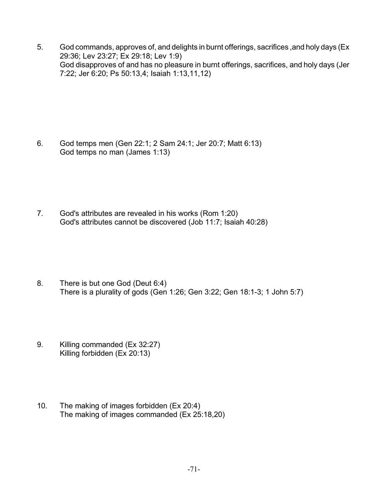5. God commands, approves of, and delights in burnt offerings, sacrifices ,and holy days (Ex 29:36; Lev 23:27; Ex 29:18; Lev 1:9) God disapproves of and has no pleasure in burnt offerings, sacrifices, and holy days (Jer 7:22; Jer 6:20; Ps 50:13,4; Isaiah 1:13,11,12)

6. God temps men (Gen 22:1; 2 Sam 24:1; Jer 20:7; Matt 6:13) God temps no man (James 1:13)

7. God's attributes are revealed in his works (Rom 1:20) God's attributes cannot be discovered (Job 11:7; Isaiah 40:28)

- 8. There is but one God (Deut 6:4) There is a plurality of gods (Gen 1:26; Gen 3:22; Gen 18:1-3; 1 John 5:7)
- 9. Killing commanded (Ex 32:27) Killing forbidden (Ex 20:13)
- 10. The making of images forbidden (Ex 20:4) The making of images commanded (Ex 25:18,20)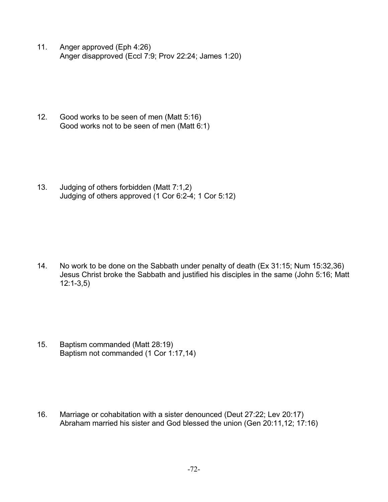11. Anger approved (Eph 4:26) Anger disapproved (Eccl 7:9; Prov 22:24; James 1:20)

12. Good works to be seen of men (Matt 5:16) Good works not to be seen of men (Matt 6:1)

13. Judging of others forbidden (Matt 7:1,2) Judging of others approved (1 Cor 6:2-4; 1 Cor 5:12)

14. No work to be done on the Sabbath under penalty of death (Ex 31:15; Num 15:32,36) Jesus Christ broke the Sabbath and justified his disciples in the same (John 5:16; Matt 12:1-3,5)

15. Baptism commanded (Matt 28:19) Baptism not commanded (1 Cor 1:17,14)

16. Marriage or cohabitation with a sister denounced (Deut 27:22; Lev 20:17) Abraham married his sister and God blessed the union (Gen 20:11,12; 17:16)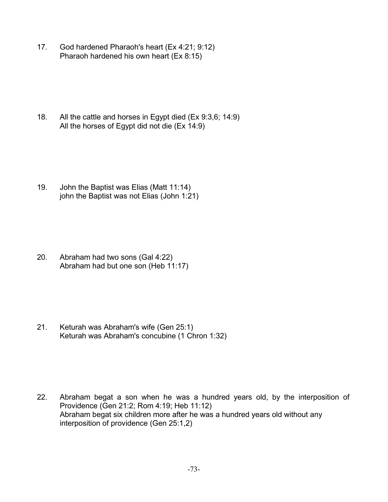17. God hardened Pharaoh's heart (Ex 4:21; 9:12) Pharaoh hardened his own heart (Ex 8:15)

18. All the cattle and horses in Egypt died (Ex 9:3,6; 14:9) All the horses of Egypt did not die (Ex 14:9)

19. John the Baptist was Elias (Matt 11:14) john the Baptist was not Elias (John 1:21)

20. Abraham had two sons (Gal 4:22) Abraham had but one son (Heb 11:17)

21. Keturah was Abraham's wife (Gen 25:1) Keturah was Abraham's concubine (1 Chron 1:32)

22. Abraham begat a son when he was a hundred years old, by the interposition of Providence (Gen 21:2; Rom 4:19; Heb 11:12) Abraham begat six children more after he was a hundred years old without any interposition of providence (Gen 25:1,2)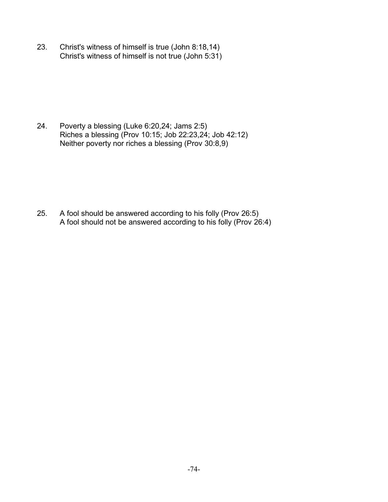23. Christ's witness of himself is true (John 8:18,14) Christ's witness of himself is not true (John 5:31)

24. Poverty a blessing (Luke 6:20,24; Jams 2:5) Riches a blessing (Prov 10:15; Job 22:23,24; Job 42:12) Neither poverty nor riches a blessing (Prov 30:8,9)

25. A fool should be answered according to his folly (Prov 26:5) A fool should not be answered according to his folly (Prov 26:4)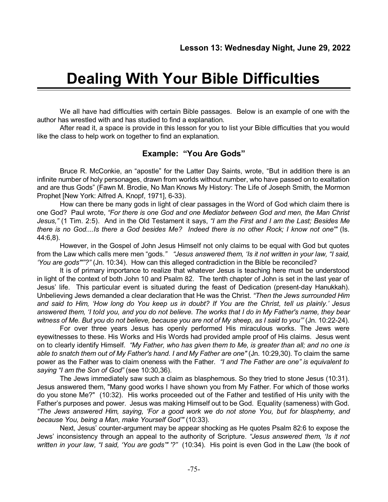## **Dealing With Your Bible Difficulties**

We all have had difficulties with certain Bible passages. Below is an example of one with the author has wrestled with and has studied to find a explanation.

After read it, a space is provide in this lesson for you to list your Bible difficulties that you would like the class to help work on together to find an explanation.

## **Example: "You Are Gods"**

Bruce R. McConkie, an "apostle" for the Latter Day Saints, wrote, "But in addition there is an infinite number of holy personages, drawn from worlds without number, who have passed on to exaltation and are thus Gods" (Fawn M. Brodie, No Man Knows My History: The Life of Joseph Smith, the Mormon Prophet [New York: Alfred A. Knopf, 1971], 6-33).

How can there be many gods in light of clear passages in the Word of God which claim there is one God? Paul wrote, *"For there is one God and one Mediator between God and men, the Man Christ Jesus,"* (1 Tim. 2:5). And in the Old Testament it says, *"I am the First and I am the Last; Besides Me* there is no God....Is there a God besides Me? Indeed there is no other Rock; I know not one'" (Is. 44:6,8).

However, in the Gospel of John Jesus Himself not only claims to be equal with God but quotes from the Law which calls mere men "gods.*" "Jesus answered them, 'Is it not written in your law, "I said, 'You are gods"'"?"* (Jn. 10:34). How can this alleged contradiction in the Bible be reconciled?

It is of primary importance to realize that whatever Jesus is teaching here must be understood in light of the context of both John 10 and Psalm 82. The tenth chapter of John is set in the last year of Jesus' life. This particular event is situated during the feast of Dedication (present-day Hanukkah). Unbelieving Jews demanded a clear declaration that He was the Christ. *"Then the Jews surrounded Him* and said to Him, 'How long do You keep us in doubt? If You are the Christ, tell us plainly.' Jesus answered them, 'I told you, and you do not believe. The works that I do in My Father's name, they bear witness of Me. But you do not believe, because you are not of My sheep, as I said to you" (Jn. 10:22-24).

For over three years Jesus has openly performed His miraculous works. The Jews were eyewitnesses to these. His Works and His Words had provided ample proof of His claims. Jesus went on to clearly identify Himself*. "My Father, who has given them to Me, is greater than all; and no one is able to snatch them out of My Father's hand. I and My Father are one"* (Jn. 10:29,30). To claim the same power as the Father was to claim oneness with the Father*. "I and The Father are one" is equivalent to saying "I am the Son of God"* (see 10:30,36).

The Jews immediately saw such a claim as blasphemous. So they tried to stone Jesus (10:31). Jesus answered them, "Many good works I have shown you from My Father. For which of those works do you stone Me?" (10:32). His works proceeded out of the Father and testified of His unity with the Father's purposes and power. Jesus was making Himself out to be God. Equality (sameness) with God. *"The Jews answered Him, saying, 'For a good work we do not stone You, but for blasphemy, and because You, being a Man, make Yourself God'"* (10:33).

Next, Jesus' counter-argument may be appear shocking as He quotes Psalm 82:6 to expose the Jews' inconsistency through an appeal to the authority of Scripture. *"Jesus answered them, 'Is it not written in your law, "I said, 'You are gods'" '?"* (10:34). His point is even God in the Law (the book of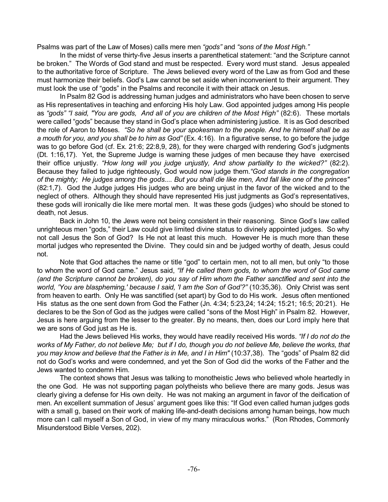Psalms was part of the Law of Moses) calls mere men *"gods"* and *"sons of the Most High."*

In the midst of verse thirty-five Jesus inserts a parenthetical statement: "and the Scripture cannot be broken." The Words of God stand and must be respected. Every word must stand. Jesus appealed to the authoritative force of Scripture. The Jews believed every word of the Law as from God and these must harmonize their beliefs. God's Law cannot be set aside when inconvenient to their argument. They must look the use of "gods" in the Psalms and reconcile it with their attack on Jesus.

In Psalm 82 God is addressing human judges and administrators who have been chosen to serve as His representatives in teaching and enforcing His holy Law. God appointed judges among His people as *"gods" "I said, "You are gods, And all of you are children of the Most High"* (82:6). These mortals were called "gods" because they stand in God's place when administering justice. It is as God described the role of Aaron to Moses*. "So he shall be your spokesman to the people. And he himself shall be as a mouth for you, and you shall be to him as God"* (Ex. 4:16). In a figurative sense, to go before the judge was to go before God (cf. Ex. 21:6; 22:8,9, 28), for they were charged with rendering God's judgments (Dt. 1:16,17). Yet, the Supreme Judge is warning these judges of men because they have exercised their office unjustly. *"How long will you judge unjustly, And show partiality to the wicked?"* (82:2). Because they failed to judge righteously, God would now judge them.*"God stands in the congregation* of the mighty; He judges among the gods.... But you shall die like men, And fall like one of the princes" (82:1,7). God the Judge judges His judges who are being unjust in the favor of the wicked and to the neglect of others. Although they should have represented His just judgments as God's representatives, these gods will ironically die like mere mortal men. It was these gods (judges) who should be stoned to death, not Jesus.

Back in John 10, the Jews were not being consistent in their reasoning. Since God's law called unrighteous men "gods," their Law could give limited divine status to divinely appointed judges. So why not call Jesus the Son of God? Is He not at least this much. However He is much more than these mortal judges who represented the Divine. They could sin and be judged worthy of death, Jesus could not.

Note that God attaches the name or title "god" to certain men, not to all men, but only "to those to whom the word of God came." Jesus said, *"If He called them gods, to whom the word of God came* (and the Scripture cannot be broken), do you say of Him whom the Father sanctified and sent into the *world, 'You are blaspheming,' because I said, 'I am the Son of God'?"* (10:35,36). Only Christ was sent from heaven to earth. Only He was sanctified (set apart) by God to do His work. Jesus often mentioned His status as the one sent down from God the Father (Jn. 4:34; 5:23,24; 14:24; 15:21; 16:5; 20:21). He declares to be the Son of God as the judges were called "sons of the Most High" in Psalm 82. However, Jesus is here arguing from the lesser to the greater. By no means, then, does our Lord imply here that we are sons of God just as He is.

Had the Jews believed His works, they would have readily received His words. *"If I do not do the* works of My Father, do not believe Me; but if I do, though you do not believe Me, believe the works, that *you may know and believe that the Father is in Me, and I in Him"* (10:37,38). The "gods" of Psalm 82 did not do God's works and were condemned, and yet the Son of God did the works of the Father and the Jews wanted to condemn Him.

The context shows that Jesus was talking to monotheistic Jews who believed whole heartedly in the one God. He was not supporting pagan polytheists who believe there are many gods. Jesus was clearly giving a defense for His own deity. He was not making an argument in favor of the deification of men. An excellent summation of Jesus' argument goes like this: "If God even called human judges gods with a small g, based on their work of making life-and-death decisions among human beings, how much more can I call myself a Son of God, in view of my many miraculous works." (Ron Rhodes, Commonly Misunderstood Bible Verses, 202).